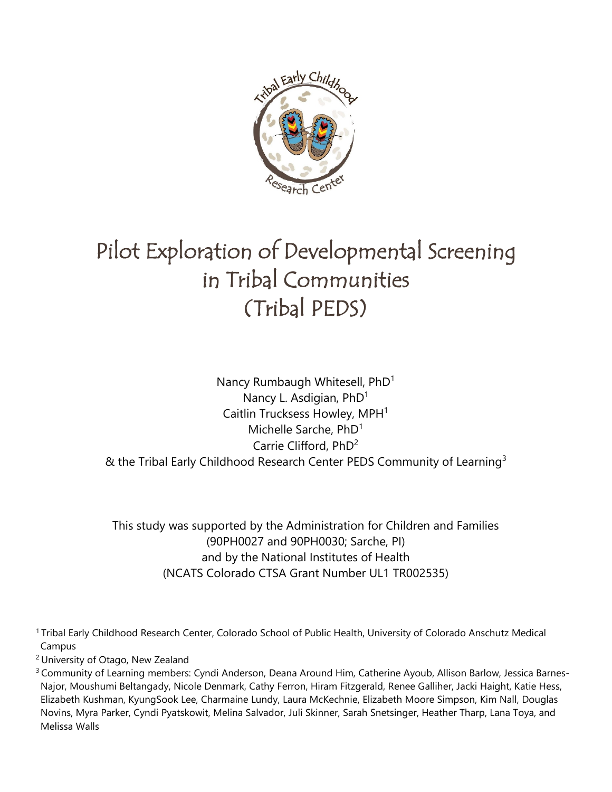

# Pilot Exploration of Developmental Screening in Tribal Communities (Tribal PEDS)

Nancy Rumbaugh Whitesell, PhD<sup>1</sup> Nancy L. Asdigian, PhD<sup>1</sup> Caitlin Trucksess Howley, MPH<sup>1</sup> Michelle Sarche, PhD1 Carrie Clifford, PhD2 & the Tribal Early Childhood Research Center PEDS Community of Learning<sup>3</sup>

This study was supported by the Administration for Children and Families (90PH0027 and 90PH0030; Sarche, PI) and by the National Institutes of Health (NCATS Colorado CTSA Grant Number UL1 TR002535)

1 Tribal Early Childhood Research Center, Colorado School of Public Health, University of Colorado Anschutz Medical Campus

2 University of Otago, New Zealand

3 Community of Learning members: Cyndi Anderson, Deana Around Him, Catherine Ayoub, Allison Barlow, Jessica Barnes-Najor, Moushumi Beltangady, Nicole Denmark, Cathy Ferron, Hiram Fitzgerald, Renee Galliher, Jacki Haight, Katie Hess, Elizabeth Kushman, KyungSook Lee, Charmaine Lundy, Laura McKechnie, Elizabeth Moore Simpson, Kim Nall, Douglas Novins, Myra Parker, Cyndi Pyatskowit, Melina Salvador, Juli Skinner, Sarah Snetsinger, Heather Tharp, Lana Toya, and Melissa Walls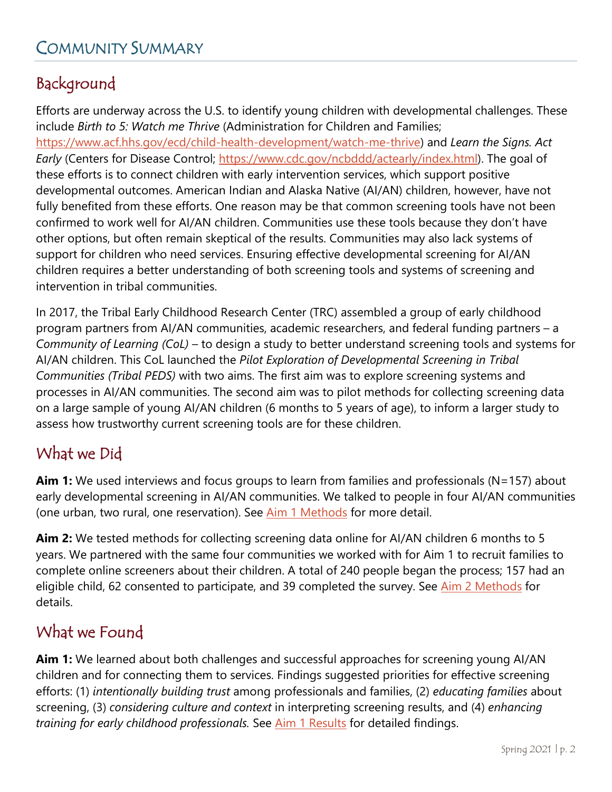# Background

Efforts are underway across the U.S. to identify young children with developmental challenges. These include *Birth to 5: Watch me Thrive* (Administration for Children and Families;

[https://www.acf.hhs.gov/ecd/child-health-development/watch-me-thrive\)](https://www.acf.hhs.gov/ecd/child-health-development/watch-me-thrive) and *Learn the Signs. Act Early* (Centers for Disease Control; [https://www.cdc.gov/ncbddd/actearly/index.html\)](https://www.cdc.gov/ncbddd/actearly/index.html). The goal of these efforts is to connect children with early intervention services, which support positive developmental outcomes. American Indian and Alaska Native (AI/AN) children, however, have not fully benefited from these efforts. One reason may be that common screening tools have not been confirmed to work well for AI/AN children. Communities use these tools because they don't have other options, but often remain skeptical of the results. Communities may also lack systems of support for children who need services. Ensuring effective developmental screening for AI/AN children requires a better understanding of both screening tools and systems of screening and intervention in tribal communities.

In 2017, the Tribal Early Childhood Research Center (TRC) assembled a group of early childhood program partners from AI/AN communities, academic researchers, and federal funding partners – a *Community of Learning (CoL)* – to design a study to better understand screening tools and systems for AI/AN children. This CoL launched the *Pilot Exploration of Developmental Screening in Tribal Communities (Tribal PEDS)* with two aims. The first aim was to explore screening systems and processes in AI/AN communities. The second aim was to pilot methods for collecting screening data on a large sample of young AI/AN children (6 months to 5 years of age), to inform a larger study to assess how trustworthy current screening tools are for these children.

# What we Did

**Aim 1:** We used interviews and focus groups to learn from families and professionals (N=157) about early developmental screening in AI/AN communities. We talked to people in four AI/AN communities (one urban, two rural, one reservation). See [Aim 1 Methods](#page-9-0) for more detail.

**Aim 2:** We tested methods for collecting screening data online for AI/AN children 6 months to 5 years. We partnered with the same four communities we worked with for Aim 1 to recruit families to complete online screeners about their children. A total of 240 people began the process; 157 had an eligible child, 62 consented to participate, and 39 completed the survey. See [Aim 2 Methods](#page-39-0) for details.

# What we Found

**Aim 1:** We learned about both challenges and successful approaches for screening young AI/AN children and for connecting them to services. Findings suggested priorities for effective screening efforts: (1) *intentionally building trust* among professionals and families, (2) *educating families* about screening, (3) *considering culture and context* in interpreting screening results, and (4) *enhancing training for early childhood professionals.* See [Aim 1 Results](#page-11-0) for detailed findings.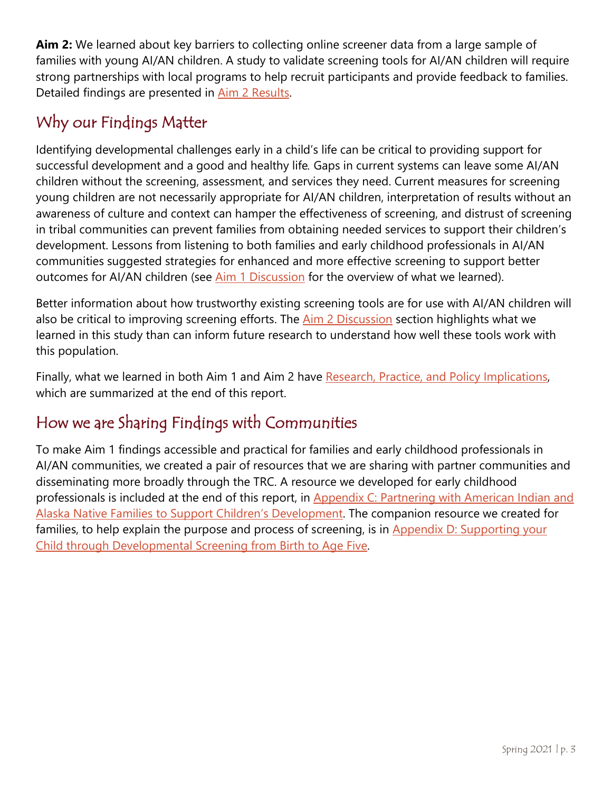**Aim 2:** We learned about key barriers to collecting online screener data from a large sample of families with young AI/AN children. A study to validate screening tools for AI/AN children will require strong partnerships with local programs to help recruit participants and provide feedback to families. Detailed findings are presented in [Aim 2 Results.](#page-43-0)

# Why our Findings Matter

Identifying developmental challenges early in a child's life can be critical to providing support for successful development and a good and healthy life*.* Gaps in current systems can leave some AI/AN children without the screening, assessment, and services they need. Current measures for screening young children are not necessarily appropriate for AI/AN children, interpretation of results without an awareness of culture and context can hamper the effectiveness of screening, and distrust of screening in tribal communities can prevent families from obtaining needed services to support their children's development. Lessons from listening to both families and early childhood professionals in AI/AN communities suggested strategies for enhanced and more effective screening to support better outcomes for AI/AN children (see [Aim 1 Discussion](#page-34-0) for the overview of what we learned).

Better information about how trustworthy existing screening tools are for use with AI/AN children will also be critical to improving screening efforts. The [Aim 2 Discussion](#page-49-0) section highlights what we learned in this study than can inform future research to understand how well these tools work with this population.

Finally, what we learned in both Aim 1 and Aim 2 have [Research, Practice, and Policy Implications,](#page-52-0) which are summarized at the end of this report.

# How we are Sharing Findings with Communities

To make Aim 1 findings accessible and practical for families and early childhood professionals in AI/AN communities, we created a pair of resources that we are sharing with partner communities and disseminating more broadly through the TRC. A resource we developed for early childhood professionals is included at the end of this report, in Appendix C: Partnering with American Indian and [Alaska Native Families to Support Children's Development.](#page-64-0) The companion resource we created for families, to help explain the purpose and process of screening, is in Appendix D: Supporting your [Child through Developmental Screening from Birth to Age Five.](#page-69-0)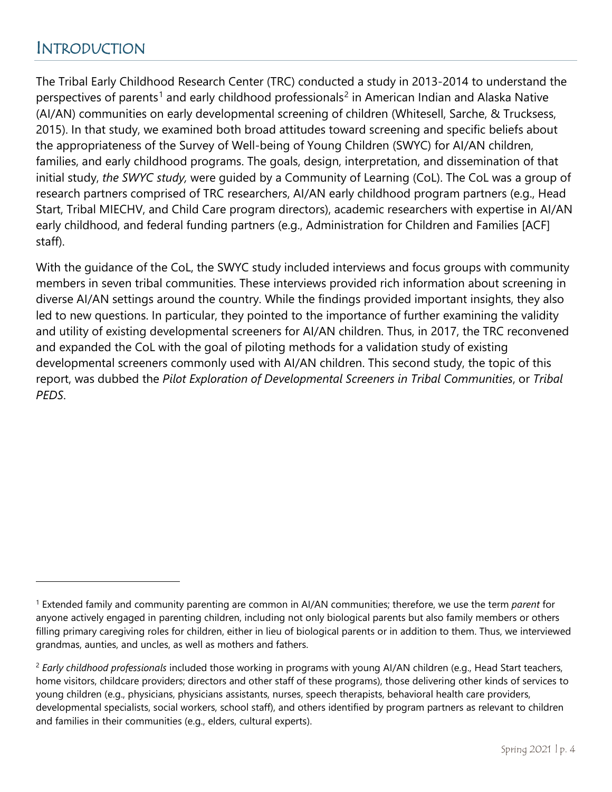# <span id="page-3-2"></span>INTRODUCTION

 $\overline{a}$ 

The Tribal Early Childhood Research Center (TRC) conducted a study in 2013-2014 to understand the perspectives of parents<sup>[1](#page-3-0)</sup> and early childhood professionals<sup>[2](#page-3-1)</sup> in American Indian and Alaska Native (AI/AN) communities on early developmental screening of children (Whitesell, Sarche, & Trucksess, 2015). In that study, we examined both broad attitudes toward screening and specific beliefs about the appropriateness of the Survey of Well-being of Young Children (SWYC) for AI/AN children, families, and early childhood programs. The goals, design, interpretation, and dissemination of that initial study, *the SWYC study,* were guided by a Community of Learning (CoL). The CoL was a group of research partners comprised of TRC researchers, AI/AN early childhood program partners (e.g., Head Start, Tribal MIECHV, and Child Care program directors), academic researchers with expertise in AI/AN early childhood, and federal funding partners (e.g., Administration for Children and Families [ACF] staff).

With the guidance of the CoL, the SWYC study included interviews and focus groups with community members in seven tribal communities. These interviews provided rich information about screening in diverse AI/AN settings around the country. While the findings provided important insights, they also led to new questions. In particular, they pointed to the importance of further examining the validity and utility of existing developmental screeners for AI/AN children. Thus, in 2017, the TRC reconvened and expanded the CoL with the goal of piloting methods for a validation study of existing developmental screeners commonly used with AI/AN children. This second study, the topic of this report, was dubbed the *Pilot Exploration of Developmental Screeners in Tribal Communities*, or *Tribal PEDS*.

<span id="page-3-0"></span><sup>1</sup> Extended family and community parenting are common in AI/AN communities; therefore, we use the term *parent* for anyone actively engaged in parenting children, including not only biological parents but also family members or others filling primary caregiving roles for children, either in lieu of biological parents or in addition to them. Thus, we interviewed grandmas, aunties, and uncles, as well as mothers and fathers.

<span id="page-3-1"></span><sup>2</sup> *Early childhood professionals* included those working in programs with young AI/AN children (e.g., Head Start teachers, home visitors, childcare providers; directors and other staff of these programs), those delivering other kinds of services to young children (e.g., physicians, physicians assistants, nurses, speech therapists, behavioral health care providers, developmental specialists, social workers, school staff), and others identified by program partners as relevant to children and families in their communities (e.g., elders, cultural experts).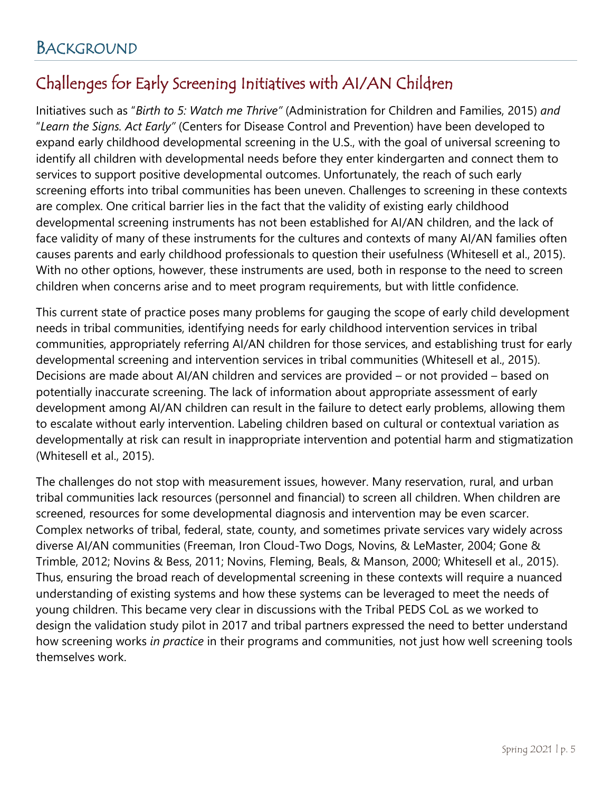# Challenges for Early Screening Initiatives with AI/AN Children

Initiatives such as "*Birth to 5: Watch me Thrive"* (Administration for Children and Families, 2015) *and* "*Learn the Signs. Act Early"* (Centers for Disease Control and Prevention) have been developed to expand early childhood developmental screening in the U.S., with the goal of universal screening to identify all children with developmental needs before they enter kindergarten and connect them to services to support positive developmental outcomes. Unfortunately, the reach of such early screening efforts into tribal communities has been uneven. Challenges to screening in these contexts are complex. One critical barrier lies in the fact that the validity of existing early childhood developmental screening instruments has not been established for AI/AN children, and the lack of face validity of many of these instruments for the cultures and contexts of many AI/AN families often causes parents and early childhood professionals to question their usefulness (Whitesell et al., 2015). With no other options, however, these instruments are used, both in response to the need to screen children when concerns arise and to meet program requirements, but with little confidence.

This current state of practice poses many problems for gauging the scope of early child development needs in tribal communities, identifying needs for early childhood intervention services in tribal communities, appropriately referring AI/AN children for those services, and establishing trust for early developmental screening and intervention services in tribal communities (Whitesell et al., 2015). Decisions are made about AI/AN children and services are provided – or not provided – based on potentially inaccurate screening. The lack of information about appropriate assessment of early development among AI/AN children can result in the failure to detect early problems, allowing them to escalate without early intervention. Labeling children based on cultural or contextual variation as developmentally at risk can result in inappropriate intervention and potential harm and stigmatization (Whitesell et al., 2015).

The challenges do not stop with measurement issues, however. Many reservation, rural, and urban tribal communities lack resources (personnel and financial) to screen all children. When children are screened, resources for some developmental diagnosis and intervention may be even scarcer. Complex networks of tribal, federal, state, county, and sometimes private services vary widely across diverse AI/AN communities (Freeman, Iron Cloud-Two Dogs, Novins, & LeMaster, 2004; Gone & Trimble, 2012; Novins & Bess, 2011; Novins, Fleming, Beals, & Manson, 2000; Whitesell et al., 2015). Thus, ensuring the broad reach of developmental screening in these contexts will require a nuanced understanding of existing systems and how these systems can be leveraged to meet the needs of young children. This became very clear in discussions with the Tribal PEDS CoL as we worked to design the validation study pilot in 2017 and tribal partners expressed the need to better understand how screening works *in practice* in their programs and communities, not just how well screening tools themselves work.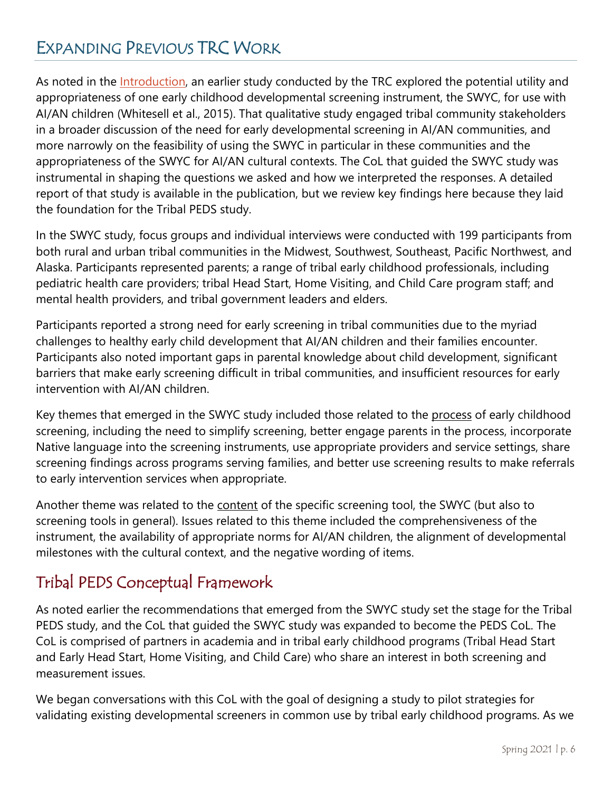# EXPANDING PREVIOUS TRC WORK

As noted in the [Introduction,](#page-3-2) an earlier study conducted by the TRC explored the potential utility and appropriateness of one early childhood developmental screening instrument, the SWYC, for use with AI/AN children (Whitesell et al., 2015). That qualitative study engaged tribal community stakeholders in a broader discussion of the need for early developmental screening in AI/AN communities, and more narrowly on the feasibility of using the SWYC in particular in these communities and the appropriateness of the SWYC for AI/AN cultural contexts. The CoL that guided the SWYC study was instrumental in shaping the questions we asked and how we interpreted the responses. A detailed report of that study is available in the publication, but we review key findings here because they laid the foundation for the Tribal PEDS study.

In the SWYC study, focus groups and individual interviews were conducted with 199 participants from both rural and urban tribal communities in the Midwest, Southwest, Southeast, Pacific Northwest, and Alaska. Participants represented parents; a range of tribal early childhood professionals, including pediatric health care providers; tribal Head Start, Home Visiting, and Child Care program staff; and mental health providers, and tribal government leaders and elders.

Participants reported a strong need for early screening in tribal communities due to the myriad challenges to healthy early child development that AI/AN children and their families encounter. Participants also noted important gaps in parental knowledge about child development, significant barriers that make early screening difficult in tribal communities, and insufficient resources for early intervention with AI/AN children.

Key themes that emerged in the SWYC study included those related to the process of early childhood screening, including the need to simplify screening, better engage parents in the process, incorporate Native language into the screening instruments, use appropriate providers and service settings, share screening findings across programs serving families, and better use screening results to make referrals to early intervention services when appropriate.

Another theme was related to the content of the specific screening tool, the SWYC (but also to screening tools in general). Issues related to this theme included the comprehensiveness of the instrument, the availability of appropriate norms for AI/AN children, the alignment of developmental milestones with the cultural context, and the negative wording of items.

# Tribal PEDS Conceptual Framework

As noted earlier the recommendations that emerged from the SWYC study set the stage for the Tribal PEDS study, and the CoL that guided the SWYC study was expanded to become the PEDS CoL. The CoL is comprised of partners in academia and in tribal early childhood programs (Tribal Head Start and Early Head Start, Home Visiting, and Child Care) who share an interest in both screening and measurement issues.

We began conversations with this CoL with the goal of designing a study to pilot strategies for validating existing developmental screeners in common use by tribal early childhood programs. As we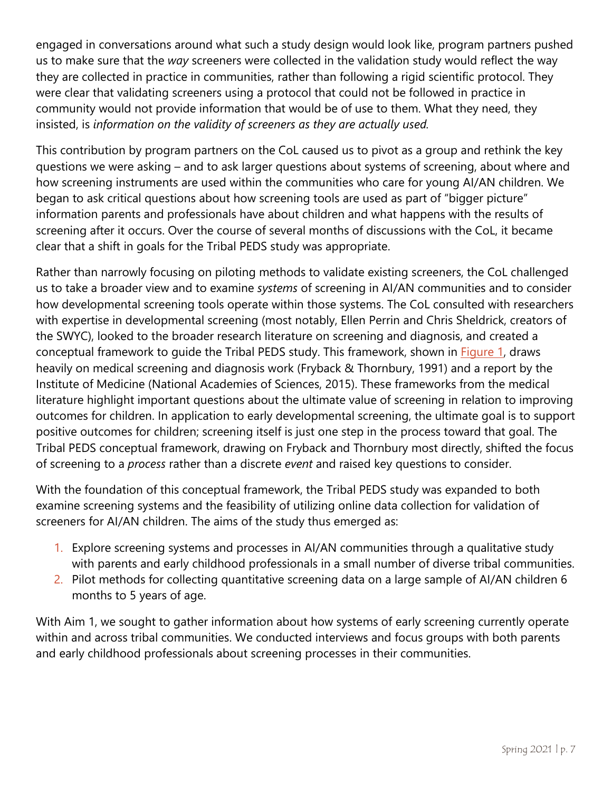engaged in conversations around what such a study design would look like, program partners pushed us to make sure that the *way* screeners were collected in the validation study would reflect the way they are collected in practice in communities, rather than following a rigid scientific protocol. They were clear that validating screeners using a protocol that could not be followed in practice in community would not provide information that would be of use to them. What they need, they insisted, is *information on the validity of screeners as they are actually used.*

This contribution by program partners on the CoL caused us to pivot as a group and rethink the key questions we were asking – and to ask larger questions about systems of screening, about where and how screening instruments are used within the communities who care for young AI/AN children. We began to ask critical questions about how screening tools are used as part of "bigger picture" information parents and professionals have about children and what happens with the results of screening after it occurs. Over the course of several months of discussions with the CoL, it became clear that a shift in goals for the Tribal PEDS study was appropriate.

Rather than narrowly focusing on piloting methods to validate existing screeners, the CoL challenged us to take a broader view and to examine *systems* of screening in AI/AN communities and to consider how developmental screening tools operate within those systems. The CoL consulted with researchers with expertise in developmental screening (most notably, Ellen Perrin and Chris Sheldrick, creators of the SWYC), looked to the broader research literature on screening and diagnosis, and created a conceptual framework to guide the Tribal PEDS study. This framework, shown in [Figure](#page-7-0) 1, draws heavily on medical screening and diagnosis work (Fryback & Thornbury, 1991) and a report by the Institute of Medicine (National Academies of Sciences, 2015). These frameworks from the medical literature highlight important questions about the ultimate value of screening in relation to improving outcomes for children. In application to early developmental screening, the ultimate goal is to support positive outcomes for children; screening itself is just one step in the process toward that goal. The Tribal PEDS conceptual framework, drawing on Fryback and Thornbury most directly, shifted the focus of screening to a *process* rather than a discrete *event* and raised key questions to consider.

With the foundation of this conceptual framework, the Tribal PEDS study was expanded to both examine screening systems and the feasibility of utilizing online data collection for validation of screeners for AI/AN children. The aims of the study thus emerged as:

- 1. Explore screening systems and processes in AI/AN communities through a qualitative study with parents and early childhood professionals in a small number of diverse tribal communities.
- 2. Pilot methods for collecting quantitative screening data on a large sample of AI/AN children 6 months to 5 years of age.

With Aim 1, we sought to gather information about how systems of early screening currently operate within and across tribal communities. We conducted interviews and focus groups with both parents and early childhood professionals about screening processes in their communities.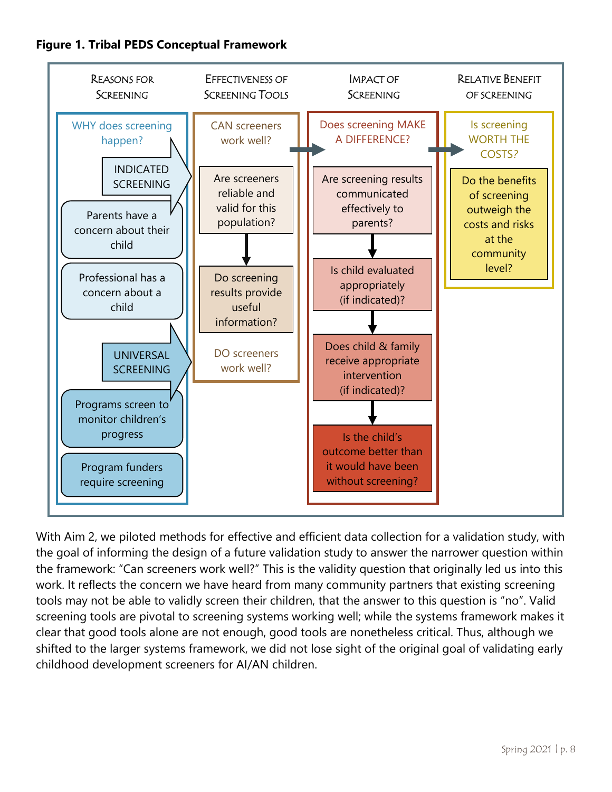<span id="page-7-0"></span>



With Aim 2, we piloted methods for effective and efficient data collection for a validation study, with the goal of informing the design of a future validation study to answer the narrower question within the framework: "Can screeners work well?" This is the validity question that originally led us into this work. It reflects the concern we have heard from many community partners that existing screening tools may not be able to validly screen their children, that the answer to this question is "no". Valid screening tools are pivotal to screening systems working well; while the systems framework makes it clear that good tools alone are not enough, good tools are nonetheless critical. Thus, although we shifted to the larger systems framework, we did not lose sight of the original goal of validating early childhood development screeners for AI/AN children.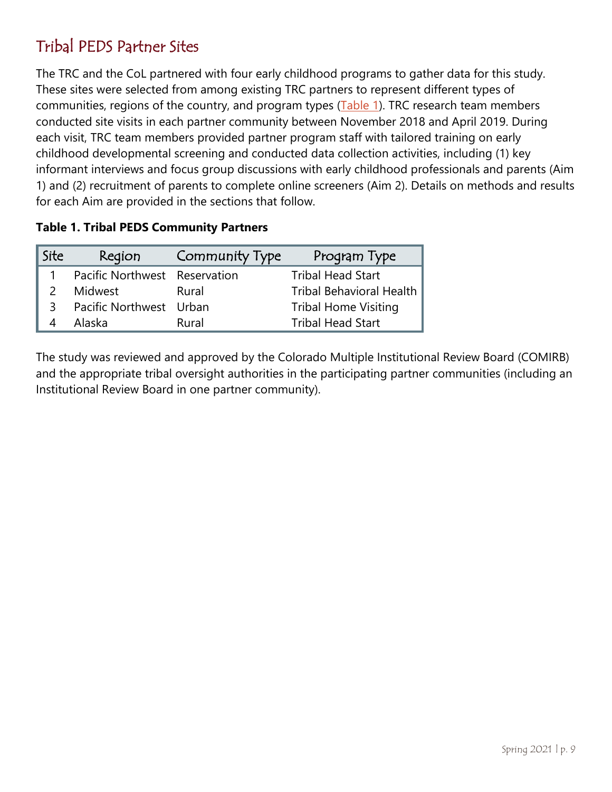# Tribal PEDS Partner Sites

The TRC and the CoL partnered with four early childhood programs to gather data for this study. These sites were selected from among existing TRC partners to represent different types of communities, regions of the country, and program types [\(Table 1\)](#page-8-0). TRC research team members conducted site visits in each partner community between November 2018 and April 2019. During each visit, TRC team members provided partner program staff with tailored training on early childhood developmental screening and conducted data collection activities, including (1) key informant interviews and focus group discussions with early childhood professionals and parents (Aim 1) and (2) recruitment of parents to complete online screeners (Aim 2). Details on methods and results for each Aim are provided in the sections that follow.

| Site | Region                        | Community Type | Program Type                    |
|------|-------------------------------|----------------|---------------------------------|
|      | Pacific Northwest Reservation |                | <b>Tribal Head Start</b>        |
|      | Midwest                       | Rural          | <b>Tribal Behavioral Health</b> |
| 3.   | Pacific Northwest Urban       |                | <b>Tribal Home Visiting</b>     |
|      | Alaska                        | Rural          | <b>Tribal Head Start</b>        |

#### <span id="page-8-0"></span>**Table 1. Tribal PEDS Community Partners**

The study was reviewed and approved by the Colorado Multiple Institutional Review Board (COMIRB) and the appropriate tribal oversight authorities in the participating partner communities (including an Institutional Review Board in one partner community).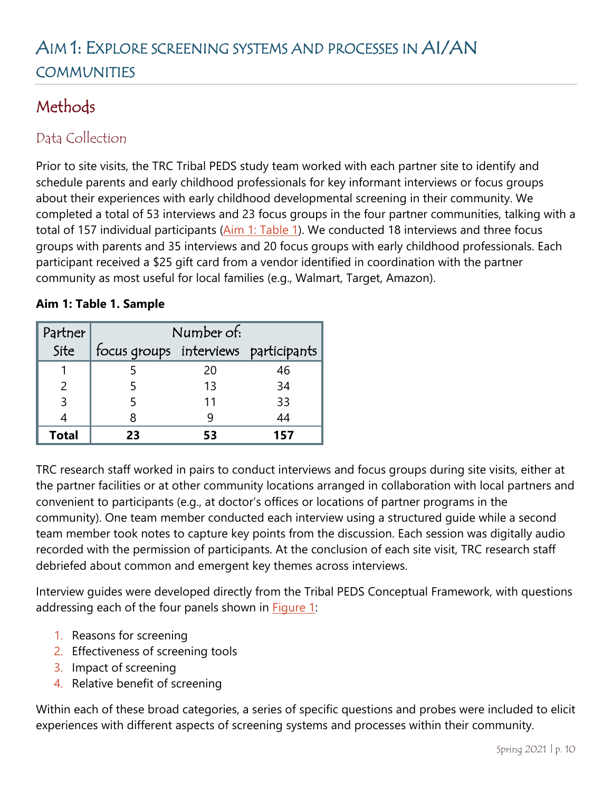# AIM 1: EXPLORE SCREENING SYSTEMS AND PROCESSES IN AI/AN COMMUNITIES

# <span id="page-9-0"></span>**Methods**

### Data Collection

Prior to site visits, the TRC Tribal PEDS study team worked with each partner site to identify and schedule parents and early childhood professionals for key informant interviews or focus groups about their experiences with early childhood developmental screening in their community. We completed a total of 53 interviews and 23 focus groups in the four partner communities, talking with a total of 157 individual participants [\(Aim 1: Table 1\)](#page-9-1). We conducted 18 interviews and three focus groups with parents and 35 interviews and 20 focus groups with early childhood professionals. Each participant received a \$25 gift card from a vendor identified in coordination with the partner community as most useful for local families (e.g., Walmart, Target, Amazon).

#### <span id="page-9-1"></span>**Aim 1: Table 1. Sample**

| Partner      | Number of:                           |    |     |
|--------------|--------------------------------------|----|-----|
| Site         | focus groups interviews participants |    |     |
|              |                                      | 20 | 46  |
|              |                                      | 13 | 34  |
|              |                                      | 11 | 33  |
|              |                                      |    | 44  |
| <b>Total</b> | フミ                                   | 53 | 157 |

TRC research staff worked in pairs to conduct interviews and focus groups during site visits, either at the partner facilities or at other community locations arranged in collaboration with local partners and convenient to participants (e.g., at doctor's offices or locations of partner programs in the community). One team member conducted each interview using a structured guide while a second team member took notes to capture key points from the discussion. Each session was digitally audio recorded with the permission of participants. At the conclusion of each site visit, TRC research staff debriefed about common and emergent key themes across interviews.

Interview guides were developed directly from the Tribal PEDS Conceptual Framework, with questions addressing each of the four panels shown in **Figure 1:** 

- 1. Reasons for screening
- 2. Effectiveness of screening tools
- 3. Impact of screening
- 4. Relative benefit of screening

Within each of these broad categories, a series of specific questions and probes were included to elicit experiences with different aspects of screening systems and processes within their community.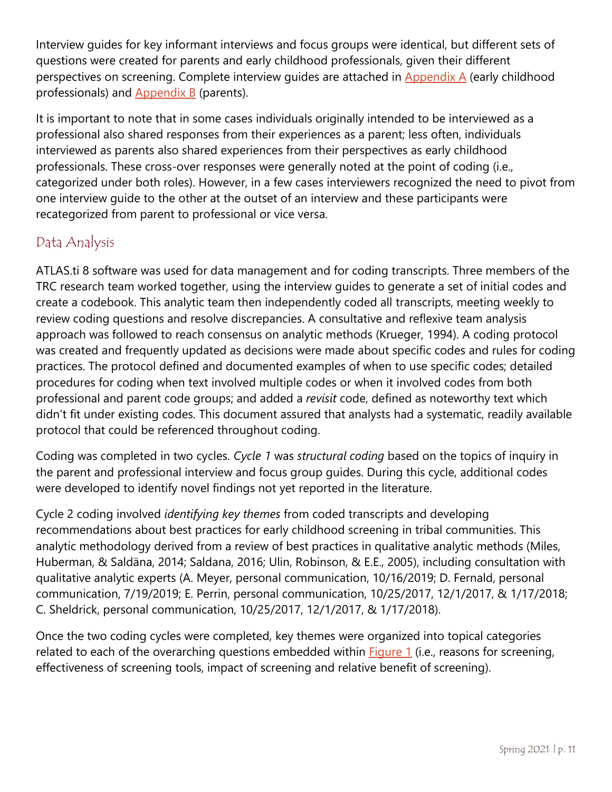Interview guides for key informant interviews and focus groups were identical, but different sets of questions were created for parents and early childhood professionals, given their different perspectives on screening. Complete interview quides are attached in [Appendix](#page-57-0) A (early childhood professionals) and [Appendix B](#page-61-0) (parents).

It is important to note that in some cases individuals originally intended to be interviewed as a professional also shared responses from their experiences as a parent; less often, individuals interviewed as parents also shared experiences from their perspectives as early childhood professionals. These cross-over responses were generally noted at the point of coding (i.e., categorized under both roles). However, in a few cases interviewers recognized the need to pivot from one interview guide to the other at the outset of an interview and these participants were recategorized from parent to professional or vice versa.

### Data Analysis

ATLAS.ti 8 software was used for data management and for coding transcripts. Three members of the TRC research team worked together, using the interview guides to generate a set of initial codes and create a codebook. This analytic team then independently coded all transcripts, meeting weekly to review coding questions and resolve discrepancies. A consultative and reflexive team analysis approach was followed to reach consensus on analytic methods (Krueger, 1994). A coding protocol was created and frequently updated as decisions were made about specific codes and rules for coding practices. The protocol defined and documented examples of when to use specific codes; detailed procedures for coding when text involved multiple codes or when it involved codes from both professional and parent code groups; and added a *revisit* code, defined as noteworthy text which didn't fit under existing codes. This document assured that analysts had a systematic, readily available protocol that could be referenced throughout coding.

Coding was completed in two cycles. *Cycle 1* was *structural coding* based on the topics of inquiry in the parent and professional interview and focus group guides. During this cycle, additional codes were developed to identify novel findings not yet reported in the literature.

Cycle 2 coding involved *identifying key themes* from coded transcripts and developing recommendations about best practices for early childhood screening in tribal communities. This analytic methodology derived from a review of best practices in qualitative analytic methods (Miles, Huberman, & Saldäna, 2014; Saldana, 2016; Ulin, Robinson, & E.E., 2005), including consultation with qualitative analytic experts (A. Meyer, personal communication, 10/16/2019; D. Fernald, personal communication, 7/19/2019; E. Perrin, personal communication, 10/25/2017, 12/1/2017, & 1/17/2018; C. Sheldrick, personal communication, 10/25/2017, 12/1/2017, & 1/17/2018).

Once the two coding cycles were completed, key themes were organized into topical categories related to each of the overarching questions embedded within [Figure 1](#page-7-0) (i.e., reasons for screening, effectiveness of screening tools, impact of screening and relative benefit of screening).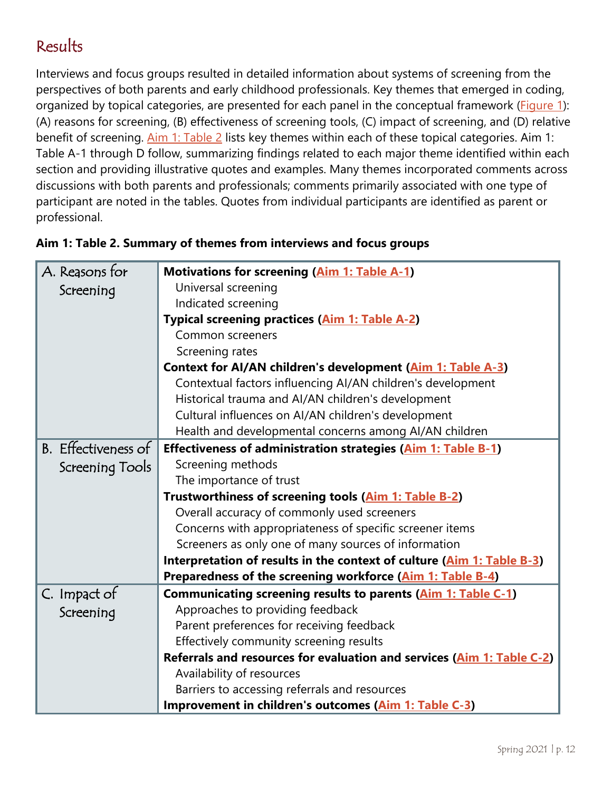# <span id="page-11-0"></span>Results

Interviews and focus groups resulted in detailed information about systems of screening from the perspectives of both parents and early childhood professionals. Key themes that emerged in coding, organized by topical categories, are presented for each panel in the conceptual framework [\(Figure 1\)](#page-7-0): (A) reasons for screening, (B) effectiveness of screening tools, (C) impact of screening, and (D) relative benefit of screening. [Aim 1: Table](#page-11-1) 2 lists key themes within each of these topical categories. Aim 1: Table A-1 through D follow, summarizing findings related to each major theme identified within each section and providing illustrative quotes and examples. Many themes incorporated comments across discussions with both parents and professionals; comments primarily associated with one type of participant are noted in the tables. Quotes from individual participants are identified as parent or professional.

| A. Reasons for          | <b>Motivations for screening (Aim 1: Table A-1)</b>                    |  |  |
|-------------------------|------------------------------------------------------------------------|--|--|
| Screening               | Universal screening                                                    |  |  |
|                         | Indicated screening                                                    |  |  |
|                         | Typical screening practices (Aim 1: Table A-2)                         |  |  |
|                         | Common screeners                                                       |  |  |
|                         | Screening rates                                                        |  |  |
|                         | Context for AI/AN children's development (Aim 1: Table A-3)            |  |  |
|                         | Contextual factors influencing AI/AN children's development            |  |  |
|                         | Historical trauma and AI/AN children's development                     |  |  |
|                         | Cultural influences on AI/AN children's development                    |  |  |
|                         | Health and developmental concerns among AI/AN children                 |  |  |
| B. Effectiveness of     | Effectiveness of administration strategies (Aim 1: Table B-1)          |  |  |
| Screening Tools         | Screening methods                                                      |  |  |
| The importance of trust |                                                                        |  |  |
|                         | Trustworthiness of screening tools (Aim 1: Table B-2)                  |  |  |
|                         | Overall accuracy of commonly used screeners                            |  |  |
|                         | Concerns with appropriateness of specific screener items               |  |  |
|                         | Screeners as only one of many sources of information                   |  |  |
|                         | Interpretation of results in the context of culture (Aim 1: Table B-3) |  |  |
|                         | Preparedness of the screening workforce (Aim 1: Table B-4)             |  |  |
| C. Impact of            | Communicating screening results to parents (Aim 1: Table C-1)          |  |  |
| Screening               | Approaches to providing feedback                                       |  |  |
|                         | Parent preferences for receiving feedback                              |  |  |
|                         | Effectively community screening results                                |  |  |
|                         | Referrals and resources for evaluation and services (Aim 1: Table C-2) |  |  |
|                         | Availability of resources                                              |  |  |
|                         | Barriers to accessing referrals and resources                          |  |  |
|                         | Improvement in children's outcomes (Aim 1: Table C-3)                  |  |  |

#### <span id="page-11-1"></span>**Aim 1: Table 2. Summary of themes from interviews and focus groups**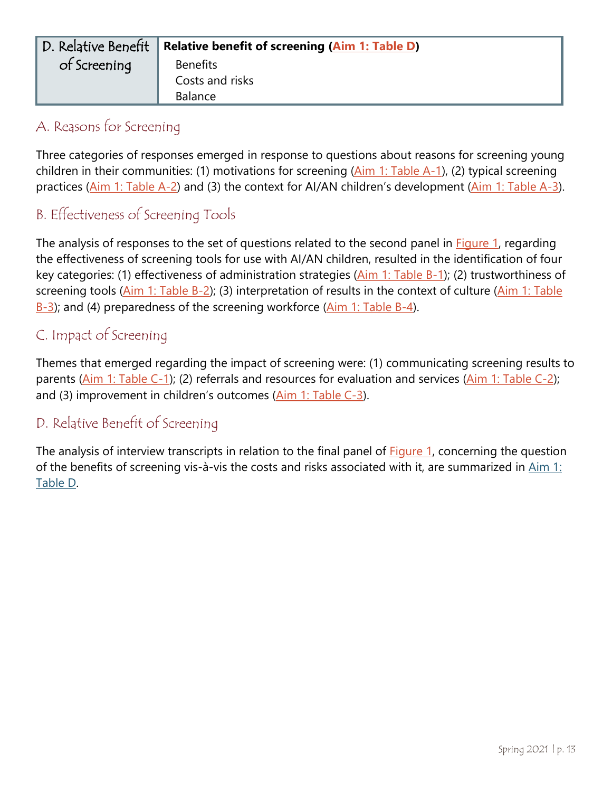<span id="page-12-1"></span><span id="page-12-0"></span>

| D. Relative Benefit | <b>Relative benefit of screening (Aim 1: Table D)</b> |
|---------------------|-------------------------------------------------------|
| of Screening        | <b>Benefits</b>                                       |
|                     | Costs and risks                                       |
|                     | <b>Balance</b>                                        |

#### A. Reasons for Screening

<span id="page-12-2"></span>Three categories of responses emerged in response to questions about reasons for screening young children in their communities: (1) motivations for screening [\(Aim 1: Table A-1\)](#page-13-0), (2) typical screening practices [\(Aim 1: Table A-2\)](#page-15-0) and (3) the context for AI/AN children's development [\(Aim 1: Table A-3\)](#page-16-0).

### B. Effectiveness of Screening Tools

<span id="page-12-3"></span>The analysis of responses to the set of questions related to the second panel in [Figure 1,](#page-7-0) regarding the effectiveness of screening tools for use with AI/AN children, resulted in the identification of four key categories: (1) effectiveness of administration strategies [\(Aim 1: Table B-1\)](#page-18-0); (2) trustworthiness of screening tools [\(Aim 1: Table B-2\)](#page-20-0); (3) interpretation of results in the context of culture (Aim 1: Table [B-3\)](#page-23-0); and (4) preparedness of the screening workforce [\(Aim 1: Table B-4\)](#page-25-0).

#### C. Impact of Screening

Themes that emerged regarding the impact of screening were: (1) communicating screening results to parents [\(Aim 1: Table C-1\)](#page-26-0); (2) referrals and resources for evaluation and services [\(Aim 1: Table C-2\)](#page-29-0); and (3) improvement in children's outcomes [\(Aim 1: Table C-3\)](#page-29-1).

#### D. Relative Benefit of Screening

The analysis of interview transcripts in relation to the final panel of **Figure 1**, concerning the question of the benefits of screening vis-à-vis the costs and risks associated with it, are summarized in [Aim 1:](#page-32-0)  [Table D.](#page-32-0)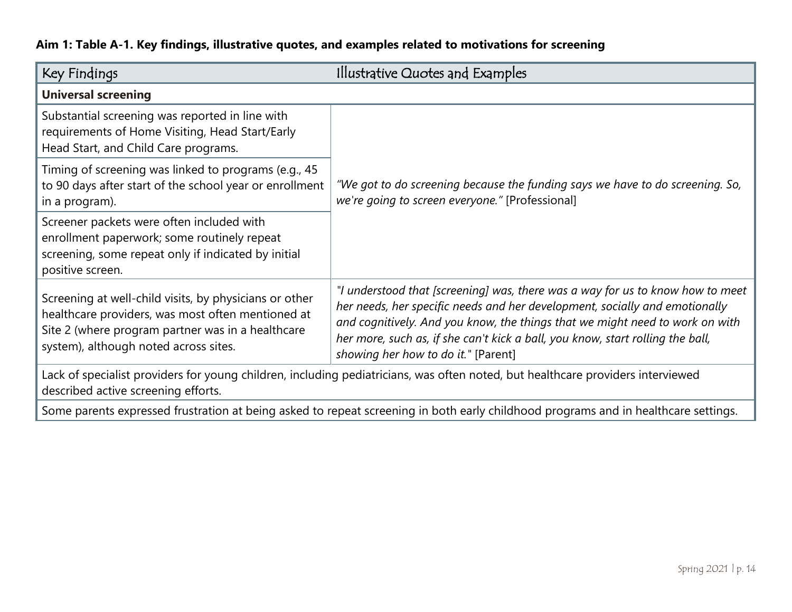|  | Aim 1: Table A-1. Key findings, illustrative quotes, and examples related to motivations for screening |
|--|--------------------------------------------------------------------------------------------------------|
|  |                                                                                                        |

<span id="page-13-0"></span>

| Key Findings                                                                                                                                                                                              | Illustrative Quotes and Examples                                                                                                                                                                                                                                                                                                                                       |  |  |
|-----------------------------------------------------------------------------------------------------------------------------------------------------------------------------------------------------------|------------------------------------------------------------------------------------------------------------------------------------------------------------------------------------------------------------------------------------------------------------------------------------------------------------------------------------------------------------------------|--|--|
| <b>Universal screening</b>                                                                                                                                                                                |                                                                                                                                                                                                                                                                                                                                                                        |  |  |
| Substantial screening was reported in line with<br>requirements of Home Visiting, Head Start/Early<br>Head Start, and Child Care programs.                                                                | "We got to do screening because the funding says we have to do screening. So,<br>we're going to screen everyone." [Professional]                                                                                                                                                                                                                                       |  |  |
| Timing of screening was linked to programs (e.g., 45<br>to 90 days after start of the school year or enrollment<br>in a program).                                                                         |                                                                                                                                                                                                                                                                                                                                                                        |  |  |
| Screener packets were often included with<br>enrollment paperwork; some routinely repeat<br>screening, some repeat only if indicated by initial<br>positive screen.                                       |                                                                                                                                                                                                                                                                                                                                                                        |  |  |
| Screening at well-child visits, by physicians or other<br>healthcare providers, was most often mentioned at<br>Site 2 (where program partner was in a healthcare<br>system), although noted across sites. | "I understood that [screening] was, there was a way for us to know how to meet<br>her needs, her specific needs and her development, socially and emotionally<br>and cognitively. And you know, the things that we might need to work on with<br>her more, such as, if she can't kick a ball, you know, start rolling the ball,<br>showing her how to do it." [Parent] |  |  |
| Lack of specialist providers for young children, including pediatricians, was often noted, but healthcare providers interviewed<br>described active screening efforts.                                    |                                                                                                                                                                                                                                                                                                                                                                        |  |  |
| Some parents expressed frustration at being asked to repeat screening in both early childhood programs and in healthcare settings.                                                                        |                                                                                                                                                                                                                                                                                                                                                                        |  |  |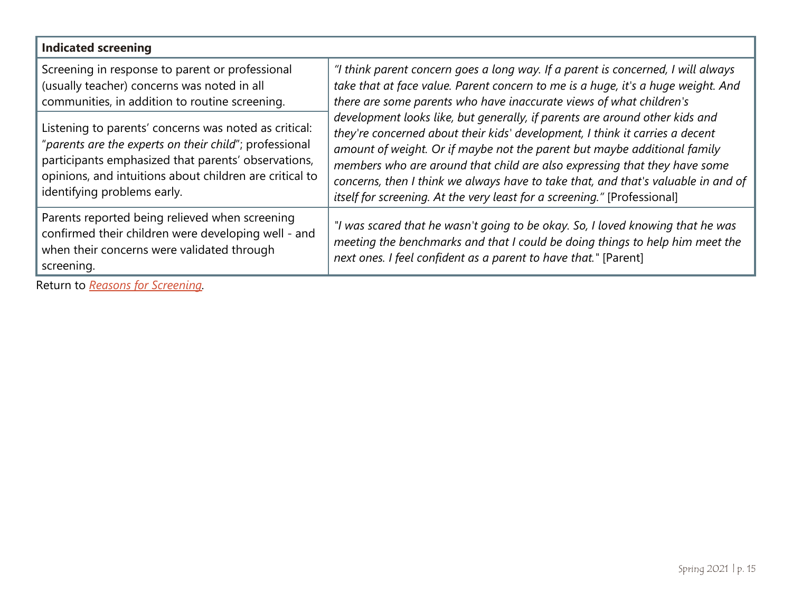| <b>Indicated screening</b>                                                                                                                                                                                                                                       |                                                                                                                                                                                                                                                                                                                                                                                                                                                                                       |  |  |
|------------------------------------------------------------------------------------------------------------------------------------------------------------------------------------------------------------------------------------------------------------------|---------------------------------------------------------------------------------------------------------------------------------------------------------------------------------------------------------------------------------------------------------------------------------------------------------------------------------------------------------------------------------------------------------------------------------------------------------------------------------------|--|--|
| Screening in response to parent or professional<br>(usually teacher) concerns was noted in all<br>communities, in addition to routine screening.                                                                                                                 | "I think parent concern goes a long way. If a parent is concerned, I will always<br>take that at face value. Parent concern to me is a huge, it's a huge weight. And<br>there are some parents who have inaccurate views of what children's                                                                                                                                                                                                                                           |  |  |
| Listening to parents' concerns was noted as critical:<br>"parents are the experts on their child"; professional<br>participants emphasized that parents' observations,<br>opinions, and intuitions about children are critical to<br>identifying problems early. | development looks like, but generally, if parents are around other kids and<br>they're concerned about their kids' development, I think it carries a decent<br>amount of weight. Or if maybe not the parent but maybe additional family<br>members who are around that child are also expressing that they have some<br>concerns, then I think we always have to take that, and that's valuable in and of<br>itself for screening. At the very least for a screening." [Professional] |  |  |
| Parents reported being relieved when screening<br>confirmed their children were developing well - and<br>when their concerns were validated through<br>screening.                                                                                                | "I was scared that he wasn't going to be okay. So, I loved knowing that he was<br>meeting the benchmarks and that I could be doing things to help him meet the<br>next ones. I feel confident as a parent to have that." [Parent]                                                                                                                                                                                                                                                     |  |  |

Return to *[Reasons for Screening.](#page-12-0)*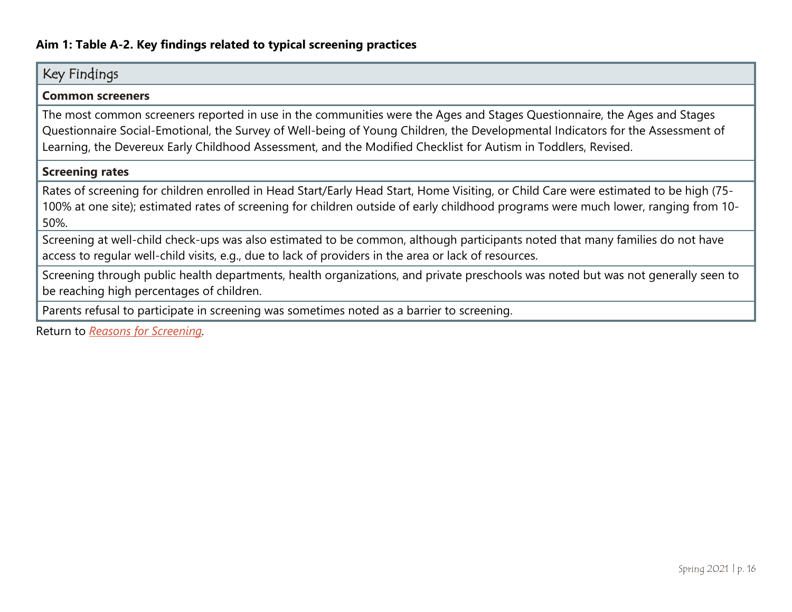| Key Findings                                                                                                                                                                                                                                                                                                                                                                 |
|------------------------------------------------------------------------------------------------------------------------------------------------------------------------------------------------------------------------------------------------------------------------------------------------------------------------------------------------------------------------------|
| <b>Common screeners</b>                                                                                                                                                                                                                                                                                                                                                      |
| The most common screeners reported in use in the communities were the Ages and Stages Questionnaire, the Ages and Stages<br>Questionnaire Social-Emotional, the Survey of Well-being of Young Children, the Developmental Indicators for the Assessment of<br>Learning, the Devereux Early Childhood Assessment, and the Modified Checklist for Autism in Toddlers, Revised. |
| <b>Screening rates</b>                                                                                                                                                                                                                                                                                                                                                       |
| Rates of screening for children enrolled in Head Start/Early Head Start, Home Visiting, or Child Care were estimated to be high (75-<br>100% at one site); estimated rates of screening for children outside of early childhood programs were much lower, ranging from 10-<br>50%.                                                                                           |
| Screening at well-child check-ups was also estimated to be common, although participants noted that many families do not have<br>access to regular well-child visits, e.g., due to lack of providers in the area or lack of resources.                                                                                                                                       |
| Screening through public health departments, health organizations, and private preschools was noted but was not generally seen to<br>be reaching high percentages of children.                                                                                                                                                                                               |
| Parents refusal to participate in screening was sometimes noted as a barrier to screening.                                                                                                                                                                                                                                                                                   |

<span id="page-15-0"></span>Return to *[Reasons for Screening.](#page-12-0)*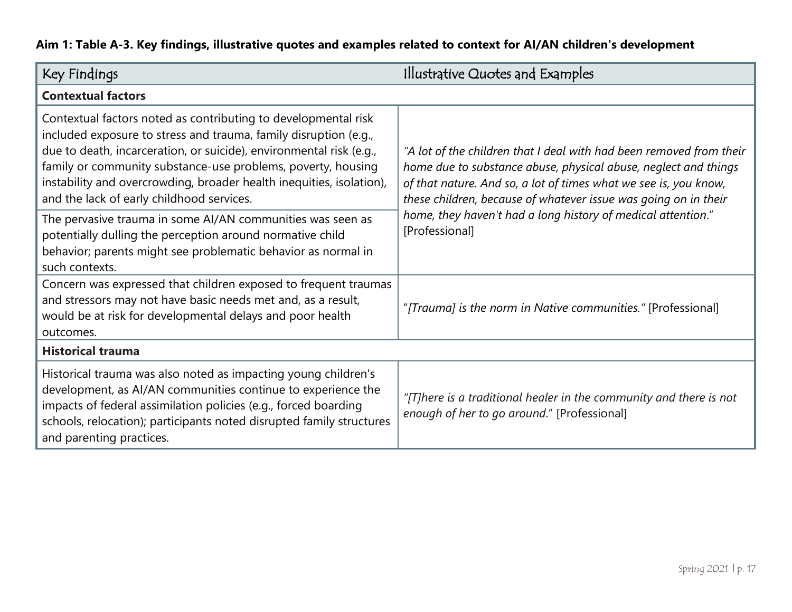### **Aim 1: Table A-3. Key findings, illustrative quotes and examples related to context for AI/AN children's development**

<span id="page-16-0"></span>

| Key Findings                                                                                                                                                                                                                                                                                                                                                                                   | Illustrative Quotes and Examples                                                                                                                                                                                                                                              |  |  |
|------------------------------------------------------------------------------------------------------------------------------------------------------------------------------------------------------------------------------------------------------------------------------------------------------------------------------------------------------------------------------------------------|-------------------------------------------------------------------------------------------------------------------------------------------------------------------------------------------------------------------------------------------------------------------------------|--|--|
| <b>Contextual factors</b>                                                                                                                                                                                                                                                                                                                                                                      |                                                                                                                                                                                                                                                                               |  |  |
| Contextual factors noted as contributing to developmental risk<br>included exposure to stress and trauma, family disruption (e.g.,<br>due to death, incarceration, or suicide), environmental risk (e.g.,<br>family or community substance-use problems, poverty, housing<br>instability and overcrowding, broader health inequities, isolation),<br>and the lack of early childhood services. | "A lot of the children that I deal with had been removed from their<br>home due to substance abuse, physical abuse, neglect and things<br>of that nature. And so, a lot of times what we see is, you know,<br>these children, because of whatever issue was going on in their |  |  |
| The pervasive trauma in some AI/AN communities was seen as<br>potentially dulling the perception around normative child<br>behavior; parents might see problematic behavior as normal in<br>such contexts.                                                                                                                                                                                     | home, they haven't had a long history of medical attention."<br>[Professional]                                                                                                                                                                                                |  |  |
| Concern was expressed that children exposed to frequent traumas<br>and stressors may not have basic needs met and, as a result,<br>would be at risk for developmental delays and poor health<br>outcomes.                                                                                                                                                                                      | "[Trauma] is the norm in Native communities." [Professional]                                                                                                                                                                                                                  |  |  |
| <b>Historical trauma</b>                                                                                                                                                                                                                                                                                                                                                                       |                                                                                                                                                                                                                                                                               |  |  |
| Historical trauma was also noted as impacting young children's<br>development, as AI/AN communities continue to experience the<br>impacts of federal assimilation policies (e.g., forced boarding<br>schools, relocation); participants noted disrupted family structures<br>and parenting practices.                                                                                          | "[T]here is a traditional healer in the community and there is not<br>enough of her to go around." [Professional]                                                                                                                                                             |  |  |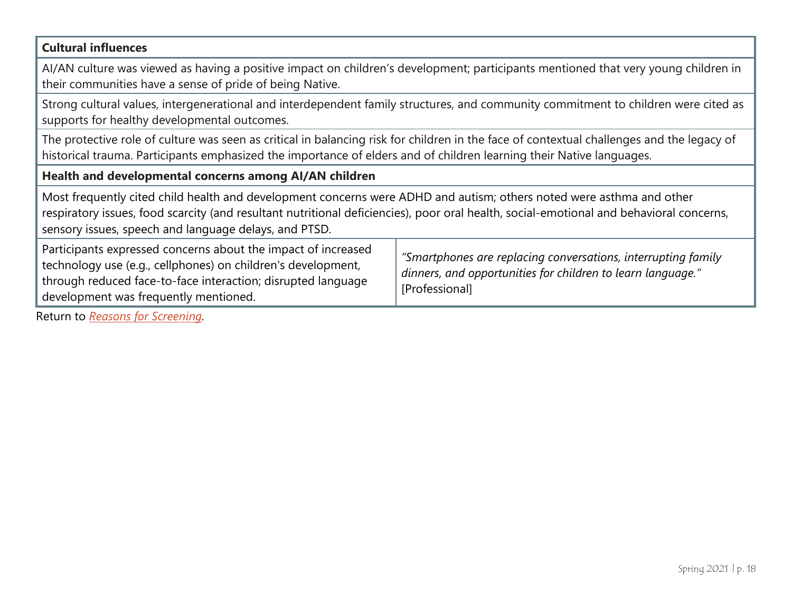#### **Cultural influences**

AI/AN culture was viewed as having a positive impact on children's development; participants mentioned that very young children in their communities have a sense of pride of being Native.

Strong cultural values, intergenerational and interdependent family structures, and community commitment to children were cited as supports for healthy developmental outcomes.

The protective role of culture was seen as critical in balancing risk for children in the face of contextual challenges and the legacy of historical trauma. Participants emphasized the importance of elders and of children learning their Native languages.

#### **Health and developmental concerns among AI/AN children**

Most frequently cited child health and development concerns were ADHD and autism; others noted were asthma and other respiratory issues, food scarcity (and resultant nutritional deficiencies), poor oral health, social-emotional and behavioral concerns, sensory issues, speech and language delays, and PTSD.

| Participants expressed concerns about the impact of increased<br>technology use (e.g., cellphones) on children's development,<br>through reduced face-to-face interaction; disrupted language<br>development was frequently mentioned. | "Smartphones are replacing conversations, interrupting family<br>$^1$ dinners, and opportunities for children to learn language."<br>[Professional] |
|----------------------------------------------------------------------------------------------------------------------------------------------------------------------------------------------------------------------------------------|-----------------------------------------------------------------------------------------------------------------------------------------------------|
|----------------------------------------------------------------------------------------------------------------------------------------------------------------------------------------------------------------------------------------|-----------------------------------------------------------------------------------------------------------------------------------------------------|

Return to *[Reasons for Screening.](#page-12-0)*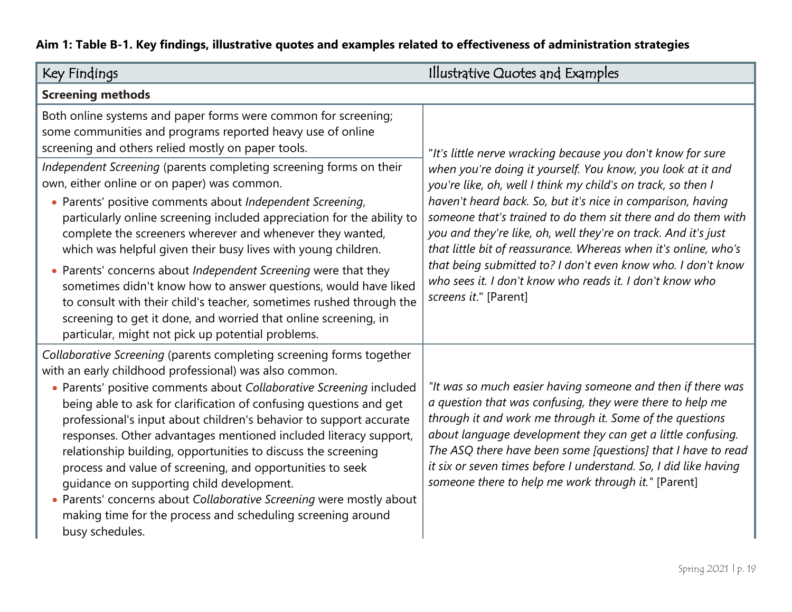### **Aim 1: Table B-1. Key findings, illustrative quotes and examples related to effectiveness of administration strategies**

<span id="page-18-0"></span>

| Key Findings                                                                                                                                                                                                                                                                                                                                                                                                                                                                                                                                                                                                                                                                                                                                                       | Illustrative Quotes and Examples                                                                                                                                                                                                                                                                                                                                                                                                                                                                                                                     |  |  |
|--------------------------------------------------------------------------------------------------------------------------------------------------------------------------------------------------------------------------------------------------------------------------------------------------------------------------------------------------------------------------------------------------------------------------------------------------------------------------------------------------------------------------------------------------------------------------------------------------------------------------------------------------------------------------------------------------------------------------------------------------------------------|------------------------------------------------------------------------------------------------------------------------------------------------------------------------------------------------------------------------------------------------------------------------------------------------------------------------------------------------------------------------------------------------------------------------------------------------------------------------------------------------------------------------------------------------------|--|--|
| <b>Screening methods</b>                                                                                                                                                                                                                                                                                                                                                                                                                                                                                                                                                                                                                                                                                                                                           |                                                                                                                                                                                                                                                                                                                                                                                                                                                                                                                                                      |  |  |
| Both online systems and paper forms were common for screening;<br>some communities and programs reported heavy use of online<br>screening and others relied mostly on paper tools.                                                                                                                                                                                                                                                                                                                                                                                                                                                                                                                                                                                 | "It's little nerve wracking because you don't know for sure                                                                                                                                                                                                                                                                                                                                                                                                                                                                                          |  |  |
| Independent Screening (parents completing screening forms on their<br>own, either online or on paper) was common.<br>Parents' positive comments about Independent Screening,<br>particularly online screening included appreciation for the ability to<br>complete the screeners wherever and whenever they wanted,<br>which was helpful given their busy lives with young children.<br>Parents' concerns about Independent Screening were that they<br>sometimes didn't know how to answer questions, would have liked<br>to consult with their child's teacher, sometimes rushed through the<br>screening to get it done, and worried that online screening, in<br>particular, might not pick up potential problems.                                             | when you're doing it yourself. You know, you look at it and<br>you're like, oh, well I think my child's on track, so then I<br>haven't heard back. So, but it's nice in comparison, having<br>someone that's trained to do them sit there and do them with<br>you and they're like, oh, well they're on track. And it's just<br>that little bit of reassurance. Whereas when it's online, who's<br>that being submitted to? I don't even know who. I don't know<br>who sees it. I don't know who reads it. I don't know who<br>screens it." [Parent] |  |  |
| Collaborative Screening (parents completing screening forms together<br>with an early childhood professional) was also common.<br>Parents' positive comments about Collaborative Screening included<br>$\bullet$<br>being able to ask for clarification of confusing questions and get<br>professional's input about children's behavior to support accurate<br>responses. Other advantages mentioned included literacy support,<br>relationship building, opportunities to discuss the screening<br>process and value of screening, and opportunities to seek<br>guidance on supporting child development.<br>Parents' concerns about Collaborative Screening were mostly about<br>making time for the process and scheduling screening around<br>busy schedules. | "It was so much easier having someone and then if there was<br>a question that was confusing, they were there to help me<br>through it and work me through it. Some of the questions<br>about language development they can get a little confusing.<br>The ASQ there have been some [questions] that I have to read<br>it six or seven times before I understand. So, I did like having<br>someone there to help me work through it." [Parent]                                                                                                       |  |  |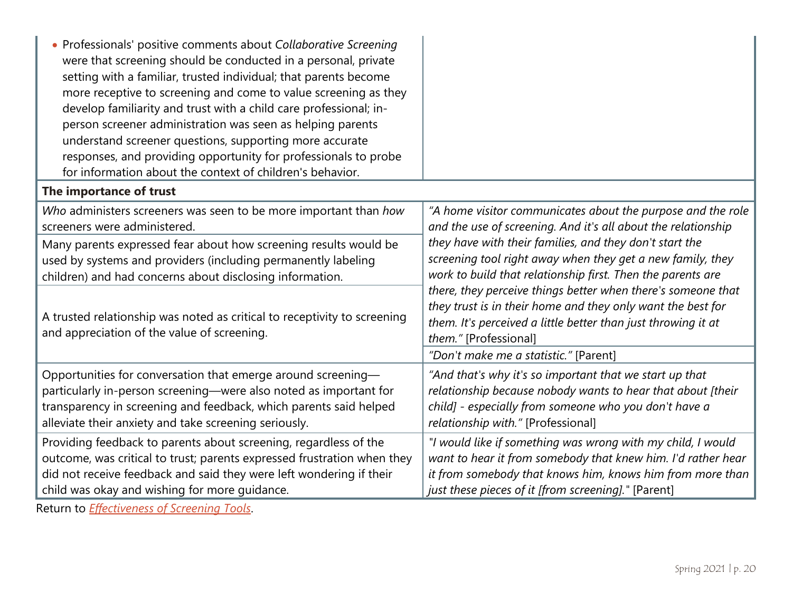| • Professionals' positive comments about Collaborative Screening<br>were that screening should be conducted in a personal, private<br>setting with a familiar, trusted individual; that parents become<br>more receptive to screening and come to value screening as they<br>develop familiarity and trust with a child care professional; in-<br>person screener administration was seen as helping parents<br>understand screener questions, supporting more accurate<br>responses, and providing opportunity for professionals to probe<br>for information about the context of children's behavior. |                                                                                                                                                                                                                       |
|---------------------------------------------------------------------------------------------------------------------------------------------------------------------------------------------------------------------------------------------------------------------------------------------------------------------------------------------------------------------------------------------------------------------------------------------------------------------------------------------------------------------------------------------------------------------------------------------------------|-----------------------------------------------------------------------------------------------------------------------------------------------------------------------------------------------------------------------|
| The importance of trust                                                                                                                                                                                                                                                                                                                                                                                                                                                                                                                                                                                 |                                                                                                                                                                                                                       |
| Who administers screeners was seen to be more important than how                                                                                                                                                                                                                                                                                                                                                                                                                                                                                                                                        | "A home visitor communicates about the purpose and the role                                                                                                                                                           |
| screeners were administered.                                                                                                                                                                                                                                                                                                                                                                                                                                                                                                                                                                            | and the use of screening. And it's all about the relationship                                                                                                                                                         |
| Many parents expressed fear about how screening results would be                                                                                                                                                                                                                                                                                                                                                                                                                                                                                                                                        | they have with their families, and they don't start the                                                                                                                                                               |
| used by systems and providers (including permanently labeling                                                                                                                                                                                                                                                                                                                                                                                                                                                                                                                                           | screening tool right away when they get a new family, they                                                                                                                                                            |
| children) and had concerns about disclosing information.                                                                                                                                                                                                                                                                                                                                                                                                                                                                                                                                                | work to build that relationship first. Then the parents are                                                                                                                                                           |
| A trusted relationship was noted as critical to receptivity to screening<br>and appreciation of the value of screening.                                                                                                                                                                                                                                                                                                                                                                                                                                                                                 | there, they perceive things better when there's someone that<br>they trust is in their home and they only want the best for<br>them. It's perceived a little better than just throwing it at<br>them." [Professional] |
|                                                                                                                                                                                                                                                                                                                                                                                                                                                                                                                                                                                                         | "Don't make me a statistic." [Parent]                                                                                                                                                                                 |
| Opportunities for conversation that emerge around screening-                                                                                                                                                                                                                                                                                                                                                                                                                                                                                                                                            | "And that's why it's so important that we start up that                                                                                                                                                               |
| particularly in-person screening—were also noted as important for                                                                                                                                                                                                                                                                                                                                                                                                                                                                                                                                       | relationship because nobody wants to hear that about [their                                                                                                                                                           |
| transparency in screening and feedback, which parents said helped                                                                                                                                                                                                                                                                                                                                                                                                                                                                                                                                       | child] - especially from someone who you don't have a                                                                                                                                                                 |
| alleviate their anxiety and take screening seriously.                                                                                                                                                                                                                                                                                                                                                                                                                                                                                                                                                   | relationship with." [Professional]                                                                                                                                                                                    |
| Providing feedback to parents about screening, regardless of the                                                                                                                                                                                                                                                                                                                                                                                                                                                                                                                                        | "I would like if something was wrong with my child, I would                                                                                                                                                           |
| outcome, was critical to trust; parents expressed frustration when they                                                                                                                                                                                                                                                                                                                                                                                                                                                                                                                                 | want to hear it from somebody that knew him. I'd rather hear                                                                                                                                                          |
| did not receive feedback and said they were left wondering if their                                                                                                                                                                                                                                                                                                                                                                                                                                                                                                                                     | it from somebody that knows him, knows him from more than                                                                                                                                                             |
| child was okay and wishing for more guidance.                                                                                                                                                                                                                                                                                                                                                                                                                                                                                                                                                           | just these pieces of it [from screening]." [Parent]                                                                                                                                                                   |

Return to *[Effectiveness of Screening Tools](#page-12-1)*.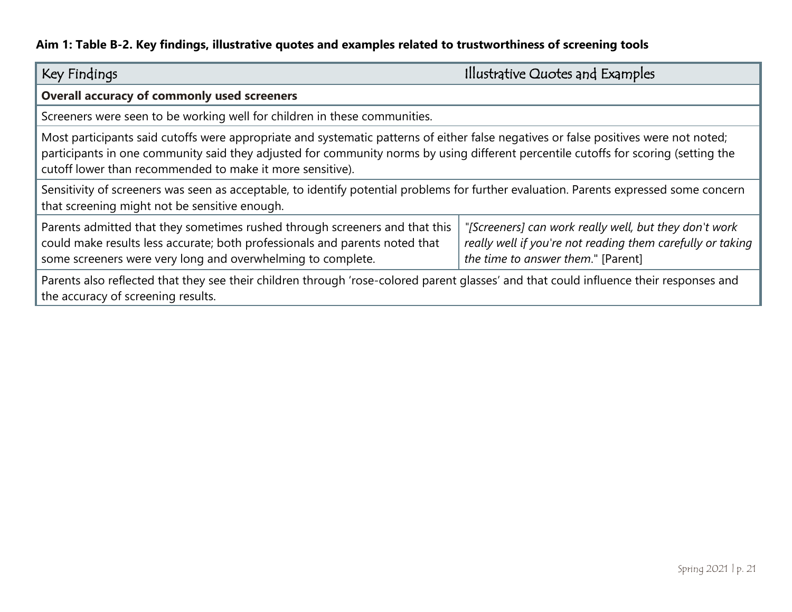### **Aim 1: Table B-2. Key findings, illustrative quotes and examples related to trustworthiness of screening tools**

<span id="page-20-0"></span>

| Key Findings                                                                                                                                                                                                                                                                                                                                                                            | Illustrative Quotes and Examples |  |
|-----------------------------------------------------------------------------------------------------------------------------------------------------------------------------------------------------------------------------------------------------------------------------------------------------------------------------------------------------------------------------------------|----------------------------------|--|
| <b>Overall accuracy of commonly used screeners</b>                                                                                                                                                                                                                                                                                                                                      |                                  |  |
| Screeners were seen to be working well for children in these communities.                                                                                                                                                                                                                                                                                                               |                                  |  |
| Most participants said cutoffs were appropriate and systematic patterns of either false negatives or false positives were not noted;<br>participants in one community said they adjusted for community norms by using different percentile cutoffs for scoring (setting the<br>cutoff lower than recommended to make it more sensitive).                                                |                                  |  |
| Sensitivity of screeners was seen as acceptable, to identify potential problems for further evaluation. Parents expressed some concern<br>that screening might not be sensitive enough.                                                                                                                                                                                                 |                                  |  |
| Parents admitted that they sometimes rushed through screeners and that this<br>"[Screeners] can work really well, but they don't work<br>could make results less accurate; both professionals and parents noted that<br>really well if you're not reading them carefully or taking<br>the time to answer them." [Parent]<br>some screeners were very long and overwhelming to complete. |                                  |  |
| Parents also reflected that they see their children through 'rose-colored parent glasses' and that could influence their responses and<br>the accuracy of screening results.                                                                                                                                                                                                            |                                  |  |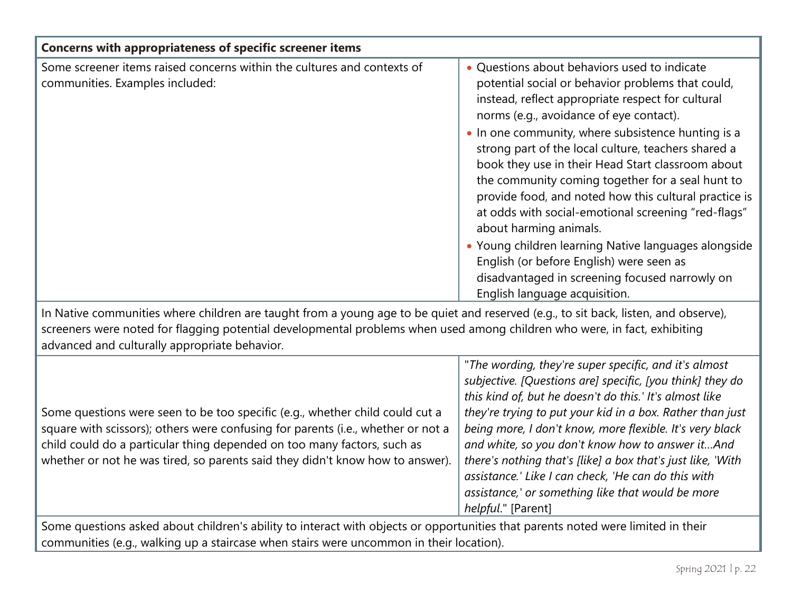| <b>Concerns with appropriateness of specific screener items</b>                                                                                                                                                                                                                                                              |                                                                                                                                                                                                                                                                                                                                                                                                                                                                                                                                                                                                                                                                                                                                                          |  |
|------------------------------------------------------------------------------------------------------------------------------------------------------------------------------------------------------------------------------------------------------------------------------------------------------------------------------|----------------------------------------------------------------------------------------------------------------------------------------------------------------------------------------------------------------------------------------------------------------------------------------------------------------------------------------------------------------------------------------------------------------------------------------------------------------------------------------------------------------------------------------------------------------------------------------------------------------------------------------------------------------------------------------------------------------------------------------------------------|--|
| Some screener items raised concerns within the cultures and contexts of<br>communities. Examples included:                                                                                                                                                                                                                   | • Questions about behaviors used to indicate<br>potential social or behavior problems that could,<br>instead, reflect appropriate respect for cultural<br>norms (e.g., avoidance of eye contact).<br>. In one community, where subsistence hunting is a<br>strong part of the local culture, teachers shared a<br>book they use in their Head Start classroom about<br>the community coming together for a seal hunt to<br>provide food, and noted how this cultural practice is<br>at odds with social-emotional screening "red-flags"<br>about harming animals.<br>• Young children learning Native languages alongside<br>English (or before English) were seen as<br>disadvantaged in screening focused narrowly on<br>English language acquisition. |  |
| In Native communities where children are taught from a young age to be quiet and reserved (e.g., to sit back, listen, and observe),<br>screeners were noted for flagging potential developmental problems when used among children who were, in fact, exhibiting<br>advanced and culturally appropriate behavior.            |                                                                                                                                                                                                                                                                                                                                                                                                                                                                                                                                                                                                                                                                                                                                                          |  |
| Some questions were seen to be too specific (e.g., whether child could cut a<br>square with scissors); others were confusing for parents (i.e., whether or not a<br>child could do a particular thing depended on too many factors, such as<br>whether or not he was tired, so parents said they didn't know how to answer). | "The wording, they're super specific, and it's almost<br>subjective. [Questions are] specific, [you think] they do<br>this kind of, but he doesn't do this.' It's almost like<br>they're trying to put your kid in a box. Rather than just<br>being more, I don't know, more flexible. It's very black<br>and white, so you don't know how to answer itAnd<br>there's nothing that's [like] a box that's just like, 'With<br>assistance.' Like I can check, 'He can do this with<br>assistance,' or something like that would be more<br>helpful." [Parent]                                                                                                                                                                                              |  |
| Some questions asked about children's ability to interact with objects or opportunities that parents noted were limited in their                                                                                                                                                                                             |                                                                                                                                                                                                                                                                                                                                                                                                                                                                                                                                                                                                                                                                                                                                                          |  |

communities (e.g., walking up a staircase when stairs were uncommon in their location).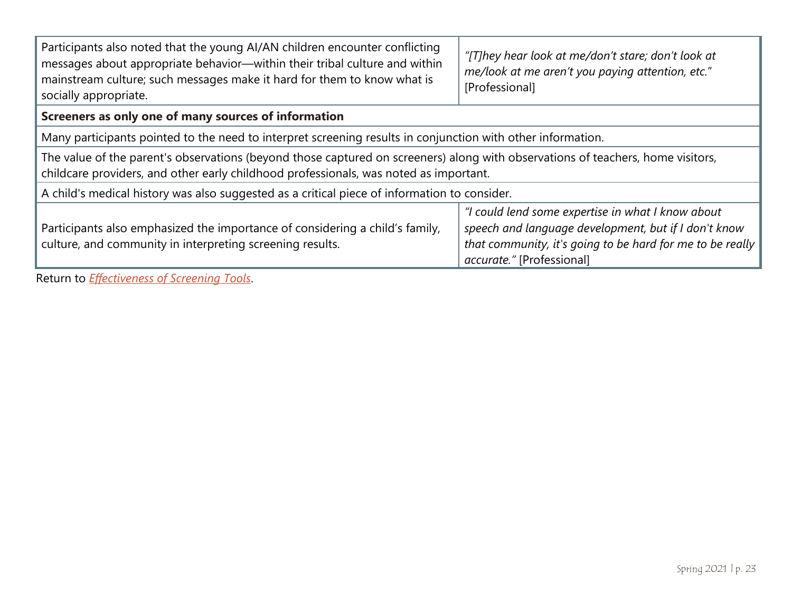| Participants also noted that the young AI/AN children encounter conflicting<br>messages about appropriate behavior-within their tribal culture and within<br>mainstream culture; such messages make it hard for them to know what is<br>socially appropriate. | "[T]hey hear look at me/don't stare; don't look at<br>me/look at me aren't you paying attention, etc."<br>[Professional]                                                                            |  |  |  |
|---------------------------------------------------------------------------------------------------------------------------------------------------------------------------------------------------------------------------------------------------------------|-----------------------------------------------------------------------------------------------------------------------------------------------------------------------------------------------------|--|--|--|
| Screeners as only one of many sources of information                                                                                                                                                                                                          |                                                                                                                                                                                                     |  |  |  |
| Many participants pointed to the need to interpret screening results in conjunction with other information.                                                                                                                                                   |                                                                                                                                                                                                     |  |  |  |
| The value of the parent's observations (beyond those captured on screeners) along with observations of teachers, home visitors,<br>childcare providers, and other early childhood professionals, was noted as important.                                      |                                                                                                                                                                                                     |  |  |  |
| A child's medical history was also suggested as a critical piece of information to consider.                                                                                                                                                                  |                                                                                                                                                                                                     |  |  |  |
| Participants also emphasized the importance of considering a child's family,<br>culture, and community in interpreting screening results.                                                                                                                     | "I could lend some expertise in what I know about<br>speech and language development, but if I don't know<br>that community, it's going to be hard for me to be really<br>accurate." [Professional] |  |  |  |

Return to *[Effectiveness of Screening Tools](#page-12-1)*.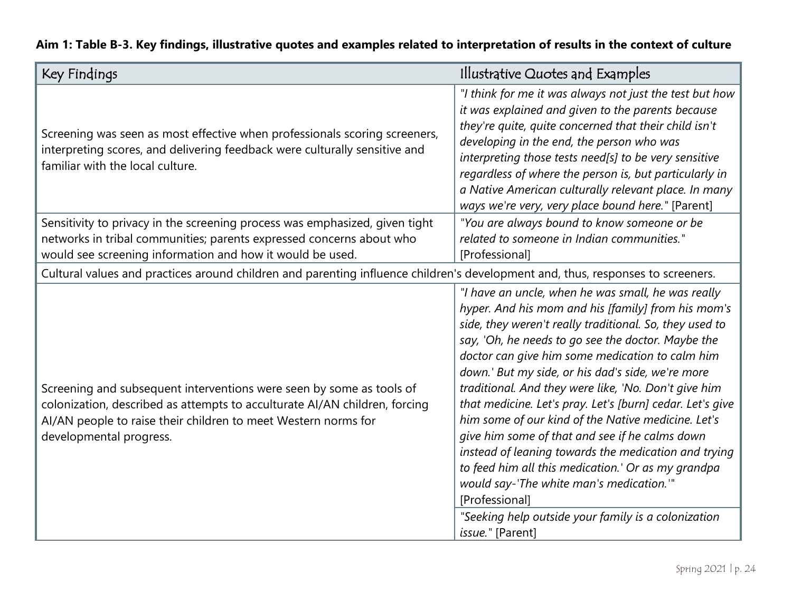<span id="page-23-0"></span>

| Key Findings                                                                                                                                                                                                                                    | Illustrative Quotes and Examples                                                                                                                                                                                                                                                                                                                                                                                                                                                                                                                                                                                                                                                                                                                                                                                     |
|-------------------------------------------------------------------------------------------------------------------------------------------------------------------------------------------------------------------------------------------------|----------------------------------------------------------------------------------------------------------------------------------------------------------------------------------------------------------------------------------------------------------------------------------------------------------------------------------------------------------------------------------------------------------------------------------------------------------------------------------------------------------------------------------------------------------------------------------------------------------------------------------------------------------------------------------------------------------------------------------------------------------------------------------------------------------------------|
| Screening was seen as most effective when professionals scoring screeners,<br>interpreting scores, and delivering feedback were culturally sensitive and<br>familiar with the local culture.                                                    | "I think for me it was always not just the test but how<br>it was explained and given to the parents because<br>they're quite, quite concerned that their child isn't<br>developing in the end, the person who was<br>interpreting those tests need[s] to be very sensitive<br>regardless of where the person is, but particularly in<br>a Native American culturally relevant place. In many<br>ways we're very, very place bound here." [Parent]                                                                                                                                                                                                                                                                                                                                                                   |
| Sensitivity to privacy in the screening process was emphasized, given tight<br>networks in tribal communities; parents expressed concerns about who<br>would see screening information and how it would be used.                                | "You are always bound to know someone or be<br>related to someone in Indian communities."<br>[Professional]                                                                                                                                                                                                                                                                                                                                                                                                                                                                                                                                                                                                                                                                                                          |
| Cultural values and practices around children and parenting influence children's development and, thus, responses to screeners.                                                                                                                 |                                                                                                                                                                                                                                                                                                                                                                                                                                                                                                                                                                                                                                                                                                                                                                                                                      |
| Screening and subsequent interventions were seen by some as tools of<br>colonization, described as attempts to acculturate AI/AN children, forcing<br>AI/AN people to raise their children to meet Western norms for<br>developmental progress. | "I have an uncle, when he was small, he was really<br>hyper. And his mom and his [family] from his mom's<br>side, they weren't really traditional. So, they used to<br>say, 'Oh, he needs to go see the doctor. Maybe the<br>doctor can give him some medication to calm him<br>down.' But my side, or his dad's side, we're more<br>traditional. And they were like, 'No. Don't give him<br>that medicine. Let's pray. Let's [burn] cedar. Let's give<br>him some of our kind of the Native medicine. Let's<br>give him some of that and see if he calms down<br>instead of leaning towards the medication and trying<br>to feed him all this medication.' Or as my grandpa<br>would say-'The white man's medication."<br>[Professional]<br>"Seeking help outside your family is a colonization<br>issue." [Parent] |

### **Aim 1: Table B-3. Key findings, illustrative quotes and examples related to interpretation of results in the context of culture**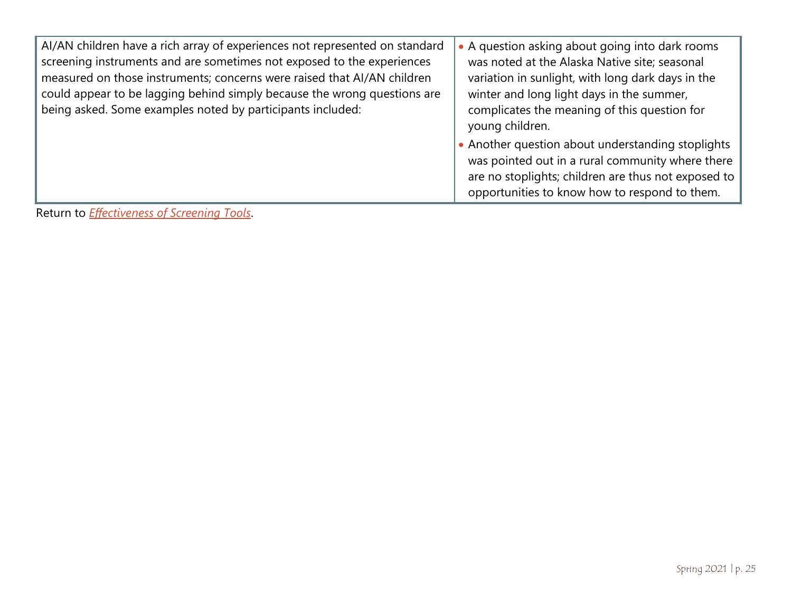| AI/AN children have a rich array of experiences not represented on standard<br>screening instruments and are sometimes not exposed to the experiences<br>measured on those instruments; concerns were raised that AI/AN children<br>could appear to be lagging behind simply because the wrong questions are<br>being asked. Some examples noted by participants included: | • A question asking about going into dark rooms<br>was noted at the Alaska Native site; seasonal<br>variation in sunlight, with long dark days in the<br>winter and long light days in the summer,<br>complicates the meaning of this question for<br>young children. |
|----------------------------------------------------------------------------------------------------------------------------------------------------------------------------------------------------------------------------------------------------------------------------------------------------------------------------------------------------------------------------|-----------------------------------------------------------------------------------------------------------------------------------------------------------------------------------------------------------------------------------------------------------------------|
|                                                                                                                                                                                                                                                                                                                                                                            | • Another question about understanding stoplights<br>was pointed out in a rural community where there<br>are no stoplights; children are thus not exposed to<br>opportunities to know how to respond to them.                                                         |

Return to *Effectiveness [of Screening Tools](#page-12-1)*.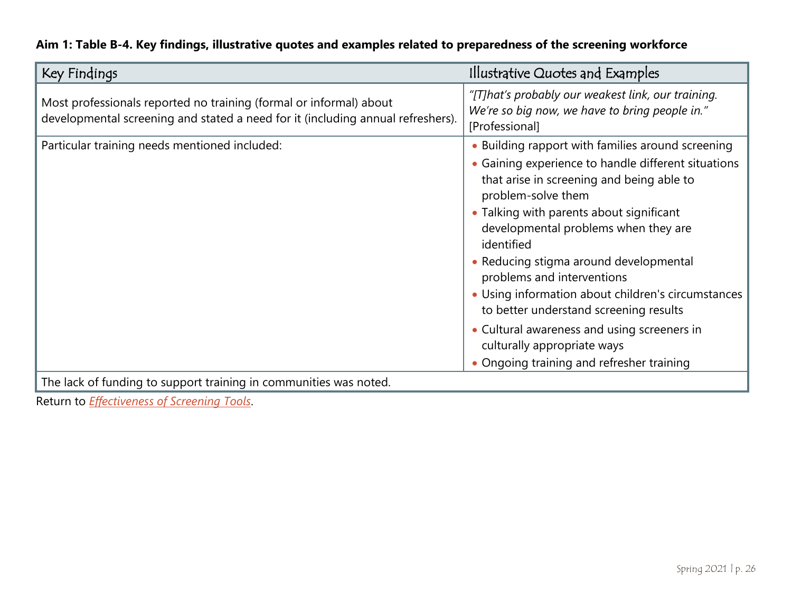| Aim 1: Table B-4. Key findings, illustrative quotes and examples related to preparedness of the screening workforce |  |  |  |  |  |
|---------------------------------------------------------------------------------------------------------------------|--|--|--|--|--|
|---------------------------------------------------------------------------------------------------------------------|--|--|--|--|--|

<span id="page-25-0"></span>

| Key Findings                                                                                                                                          | Illustrative Quotes and Examples                                                                                                                                                                                                                                                                                                                                                                                                                                                                                                                                                 |
|-------------------------------------------------------------------------------------------------------------------------------------------------------|----------------------------------------------------------------------------------------------------------------------------------------------------------------------------------------------------------------------------------------------------------------------------------------------------------------------------------------------------------------------------------------------------------------------------------------------------------------------------------------------------------------------------------------------------------------------------------|
| Most professionals reported no training (formal or informal) about<br>developmental screening and stated a need for it (including annual refreshers). | "[T]hat's probably our weakest link, our training.<br>We're so big now, we have to bring people in."<br>[Professional]                                                                                                                                                                                                                                                                                                                                                                                                                                                           |
| Particular training needs mentioned included:                                                                                                         | • Building rapport with families around screening<br>• Gaining experience to handle different situations<br>that arise in screening and being able to<br>problem-solve them<br>• Talking with parents about significant<br>developmental problems when they are<br>identified<br>• Reducing stigma around developmental<br>problems and interventions<br>• Using information about children's circumstances<br>to better understand screening results<br>• Cultural awareness and using screeners in<br>culturally appropriate ways<br>• Ongoing training and refresher training |
| The lack of funding to support training in communities was noted.                                                                                     |                                                                                                                                                                                                                                                                                                                                                                                                                                                                                                                                                                                  |

Return to *[Effectiveness of Screening Tools](#page-12-1)*.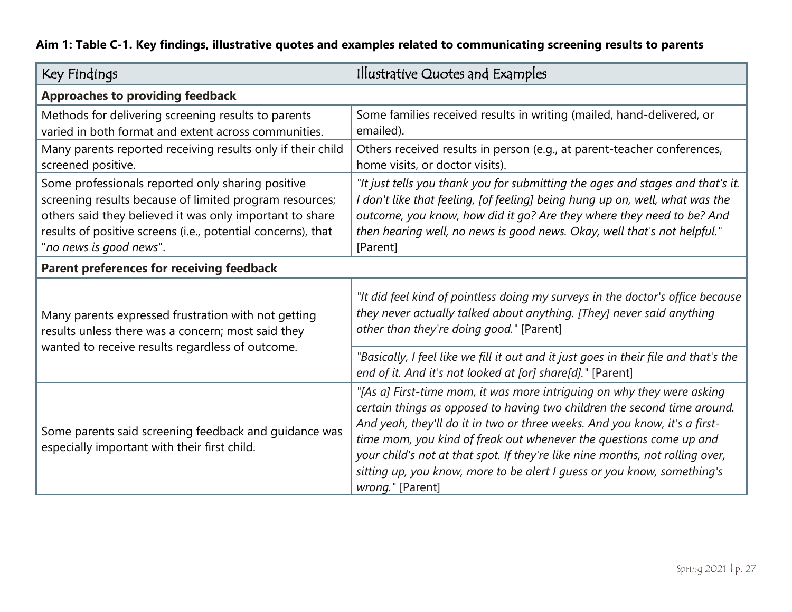|  |  | Aim 1: Table C-1. Key findings, illustrative quotes and examples related to communicating screening results to parents |  |  |
|--|--|------------------------------------------------------------------------------------------------------------------------|--|--|
|--|--|------------------------------------------------------------------------------------------------------------------------|--|--|

<span id="page-26-0"></span>

| Key Findings                                                                                                                                                                                                                                                        | Illustrative Quotes and Examples                                                                                                                                                                                                                                                                                                                                                                                                                                                       |
|---------------------------------------------------------------------------------------------------------------------------------------------------------------------------------------------------------------------------------------------------------------------|----------------------------------------------------------------------------------------------------------------------------------------------------------------------------------------------------------------------------------------------------------------------------------------------------------------------------------------------------------------------------------------------------------------------------------------------------------------------------------------|
| <b>Approaches to providing feedback</b>                                                                                                                                                                                                                             |                                                                                                                                                                                                                                                                                                                                                                                                                                                                                        |
| Methods for delivering screening results to parents<br>varied in both format and extent across communities.                                                                                                                                                         | Some families received results in writing (mailed, hand-delivered, or<br>emailed).                                                                                                                                                                                                                                                                                                                                                                                                     |
| Many parents reported receiving results only if their child<br>screened positive.                                                                                                                                                                                   | Others received results in person (e.g., at parent-teacher conferences,<br>home visits, or doctor visits).                                                                                                                                                                                                                                                                                                                                                                             |
| Some professionals reported only sharing positive<br>screening results because of limited program resources;<br>others said they believed it was only important to share<br>results of positive screens (i.e., potential concerns), that<br>"no news is good news". | "It just tells you thank you for submitting the ages and stages and that's it.<br>I don't like that feeling, [of feeling] being hung up on, well, what was the<br>outcome, you know, how did it go? Are they where they need to be? And<br>then hearing well, no news is good news. Okay, well that's not helpful."<br>[Parent]                                                                                                                                                        |
| Parent preferences for receiving feedback                                                                                                                                                                                                                           |                                                                                                                                                                                                                                                                                                                                                                                                                                                                                        |
| Many parents expressed frustration with not getting<br>results unless there was a concern; most said they<br>wanted to receive results regardless of outcome.                                                                                                       | "It did feel kind of pointless doing my surveys in the doctor's office because<br>they never actually talked about anything. [They] never said anything<br>other than they're doing good." [Parent]                                                                                                                                                                                                                                                                                    |
|                                                                                                                                                                                                                                                                     | "Basically, I feel like we fill it out and it just goes in their file and that's the<br>end of it. And it's not looked at [or] share[d]." [Parent]                                                                                                                                                                                                                                                                                                                                     |
| Some parents said screening feedback and guidance was<br>especially important with their first child.                                                                                                                                                               | "[As a] First-time mom, it was more intriguing on why they were asking<br>certain things as opposed to having two children the second time around.<br>And yeah, they'll do it in two or three weeks. And you know, it's a first-<br>time mom, you kind of freak out whenever the questions come up and<br>your child's not at that spot. If they're like nine months, not rolling over,<br>sitting up, you know, more to be alert I guess or you know, something's<br>wrong." [Parent] |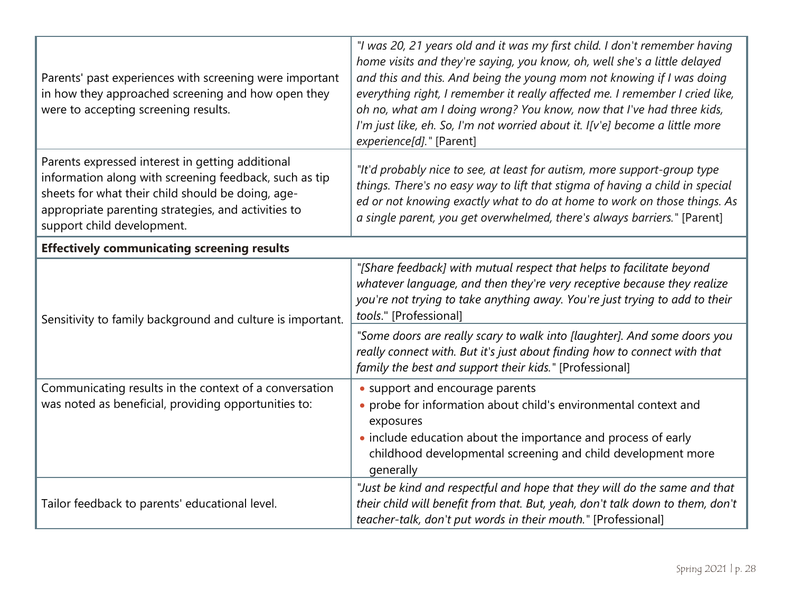| Parents' past experiences with screening were important<br>in how they approached screening and how open they<br>were to accepting screening results.                                                                                                | "I was 20, 21 years old and it was my first child. I don't remember having<br>home visits and they're saying, you know, oh, well she's a little delayed<br>and this and this. And being the young mom not knowing if I was doing<br>everything right, I remember it really affected me. I remember I cried like,<br>oh no, what am I doing wrong? You know, now that I've had three kids,<br>I'm just like, eh. So, I'm not worried about it. I[v'e] become a little more<br>experience[d]." [Parent] |  |  |
|------------------------------------------------------------------------------------------------------------------------------------------------------------------------------------------------------------------------------------------------------|-------------------------------------------------------------------------------------------------------------------------------------------------------------------------------------------------------------------------------------------------------------------------------------------------------------------------------------------------------------------------------------------------------------------------------------------------------------------------------------------------------|--|--|
| Parents expressed interest in getting additional<br>information along with screening feedback, such as tip<br>sheets for what their child should be doing, age-<br>appropriate parenting strategies, and activities to<br>support child development. | "It'd probably nice to see, at least for autism, more support-group type<br>things. There's no easy way to lift that stigma of having a child in special<br>ed or not knowing exactly what to do at home to work on those things. As<br>a single parent, you get overwhelmed, there's always barriers." [Parent]                                                                                                                                                                                      |  |  |
| <b>Effectively communicating screening results</b>                                                                                                                                                                                                   |                                                                                                                                                                                                                                                                                                                                                                                                                                                                                                       |  |  |
| Sensitivity to family background and culture is important.                                                                                                                                                                                           | "[Share feedback] with mutual respect that helps to facilitate beyond<br>whatever language, and then they're very receptive because they realize<br>you're not trying to take anything away. You're just trying to add to their<br>tools." [Professional]                                                                                                                                                                                                                                             |  |  |
|                                                                                                                                                                                                                                                      | "Some doors are really scary to walk into [laughter]. And some doors you<br>really connect with. But it's just about finding how to connect with that<br>family the best and support their kids." [Professional]                                                                                                                                                                                                                                                                                      |  |  |
| Communicating results in the context of a conversation                                                                                                                                                                                               | • support and encourage parents                                                                                                                                                                                                                                                                                                                                                                                                                                                                       |  |  |
| was noted as beneficial, providing opportunities to:                                                                                                                                                                                                 | • probe for information about child's environmental context and<br>exposures                                                                                                                                                                                                                                                                                                                                                                                                                          |  |  |
|                                                                                                                                                                                                                                                      | • include education about the importance and process of early<br>childhood developmental screening and child development more<br>generally                                                                                                                                                                                                                                                                                                                                                            |  |  |
| Tailor feedback to parents' educational level.                                                                                                                                                                                                       | "Just be kind and respectful and hope that they will do the same and that<br>their child will benefit from that. But, yeah, don't talk down to them, don't<br>teacher-talk, don't put words in their mouth." [Professional]                                                                                                                                                                                                                                                                           |  |  |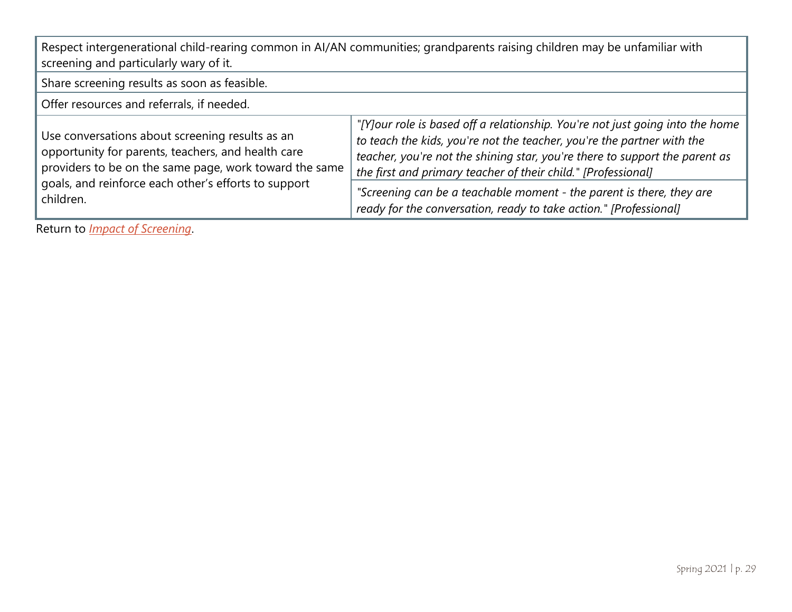| Respect intergenerational child-rearing common in AI/AN communities; grandparents raising children may be unfamiliar with<br>screening and particularly wary of it.                                                                  |                                                                                                                                                                                                                                                                                                                                                                                                                                                      |  |
|--------------------------------------------------------------------------------------------------------------------------------------------------------------------------------------------------------------------------------------|------------------------------------------------------------------------------------------------------------------------------------------------------------------------------------------------------------------------------------------------------------------------------------------------------------------------------------------------------------------------------------------------------------------------------------------------------|--|
| Share screening results as soon as feasible.                                                                                                                                                                                         |                                                                                                                                                                                                                                                                                                                                                                                                                                                      |  |
| Offer resources and referrals, if needed.                                                                                                                                                                                            |                                                                                                                                                                                                                                                                                                                                                                                                                                                      |  |
| Use conversations about screening results as an<br>opportunity for parents, teachers, and health care<br>providers to be on the same page, work toward the same<br>goals, and reinforce each other's efforts to support<br>children. | "[Y]our role is based off a relationship. You're not just going into the home<br>to teach the kids, you're not the teacher, you're the partner with the<br>teacher, you're not the shining star, you're there to support the parent as<br>the first and primary teacher of their child." [Professional]<br>"Screening can be a teachable moment - the parent is there, they are<br>ready for the conversation, ready to take action." [Professional] |  |

Return to *[Impact of Screening](#page-12-2)*.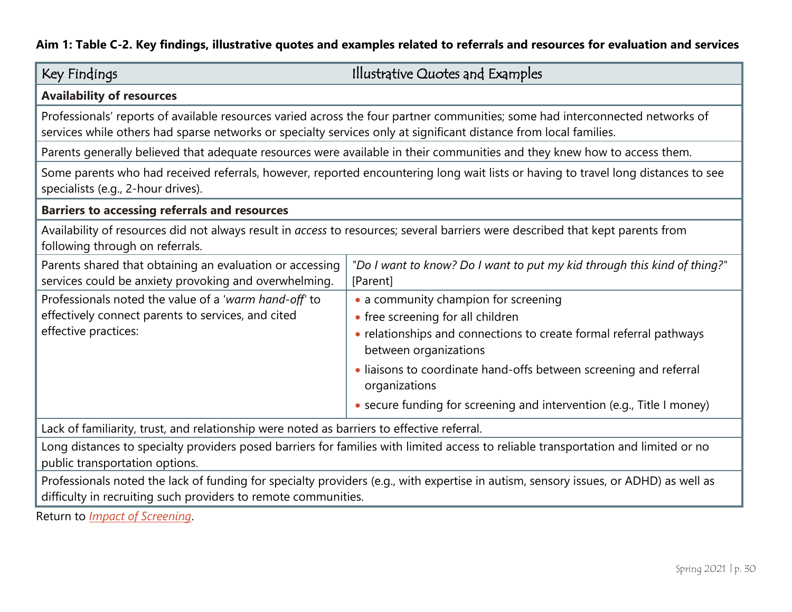#### **Aim 1: Table C-2. Key findings, illustrative quotes and examples related to referrals and resources for evaluation and services**

<span id="page-29-1"></span><span id="page-29-0"></span>

| Key Findings                                                                                                                                                                                                                                       | Illustrative Quotes and Examples                                                                                                                |  |
|----------------------------------------------------------------------------------------------------------------------------------------------------------------------------------------------------------------------------------------------------|-------------------------------------------------------------------------------------------------------------------------------------------------|--|
| <b>Availability of resources</b>                                                                                                                                                                                                                   |                                                                                                                                                 |  |
| Professionals' reports of available resources varied across the four partner communities; some had interconnected networks of<br>services while others had sparse networks or specialty services only at significant distance from local families. |                                                                                                                                                 |  |
|                                                                                                                                                                                                                                                    | Parents generally believed that adequate resources were available in their communities and they knew how to access them.                        |  |
| Some parents who had received referrals, however, reported encountering long wait lists or having to travel long distances to see<br>specialists (e.g., 2-hour drives).                                                                            |                                                                                                                                                 |  |
| <b>Barriers to accessing referrals and resources</b>                                                                                                                                                                                               |                                                                                                                                                 |  |
| Availability of resources did not always result in access to resources; several barriers were described that kept parents from<br>following through on referrals.                                                                                  |                                                                                                                                                 |  |
| Parents shared that obtaining an evaluation or accessing<br>services could be anxiety provoking and overwhelming.                                                                                                                                  | "Do I want to know? Do I want to put my kid through this kind of thing?"<br>[Parent]                                                            |  |
| Professionals noted the value of a 'warm hand-off' to<br>effectively connect parents to services, and cited<br>effective practices:                                                                                                                | • a community champion for screening<br>• free screening for all children<br>• relationships and connections to create formal referral pathways |  |
|                                                                                                                                                                                                                                                    | between organizations<br>· liaisons to coordinate hand-offs between screening and referral<br>organizations                                     |  |
|                                                                                                                                                                                                                                                    | • secure funding for screening and intervention (e.g., Title I money)                                                                           |  |
| Lack of familiarity, trust, and relationship were noted as barriers to effective referral.                                                                                                                                                         |                                                                                                                                                 |  |
| Long distances to specialty providers posed barriers for families with limited access to reliable transportation and limited or no<br>public transportation options.                                                                               |                                                                                                                                                 |  |
| Professionals noted the lack of funding for specialty providers (e.g., with expertise in autism, sensory issues, or ADHD) as well as<br>difficulty in recruiting such providers to remote communities.                                             |                                                                                                                                                 |  |
| Doturn to Impact of Carooning                                                                                                                                                                                                                      |                                                                                                                                                 |  |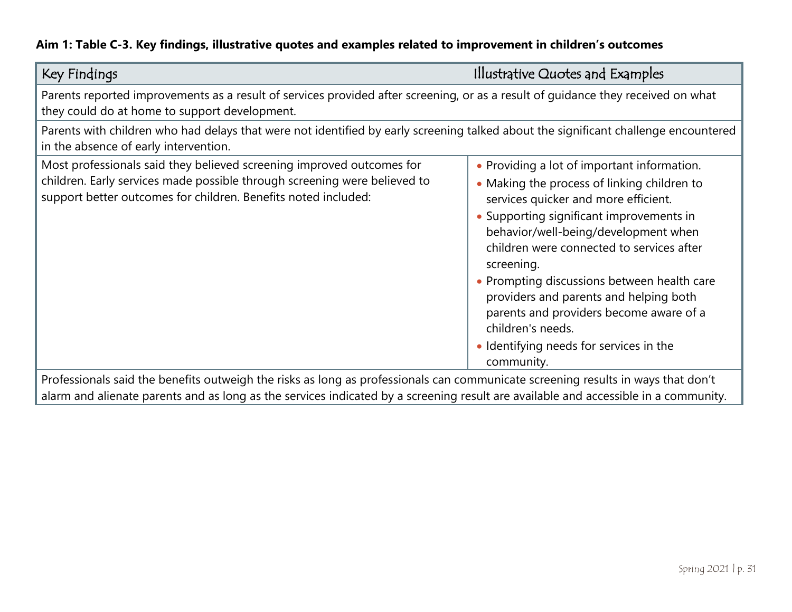#### **Aim 1: Table C-3. Key findings, illustrative quotes and examples related to improvement in children's outcomes**

<span id="page-30-0"></span>

| Parents reported improvements as a result of services provided after screening, or as a result of guidance they received on what<br>they could do at home to support development.                                                                                                                                                                        |                                                                                                                                                                                                                                                                                                                                                                                                                                                                                                     |  |
|----------------------------------------------------------------------------------------------------------------------------------------------------------------------------------------------------------------------------------------------------------------------------------------------------------------------------------------------------------|-----------------------------------------------------------------------------------------------------------------------------------------------------------------------------------------------------------------------------------------------------------------------------------------------------------------------------------------------------------------------------------------------------------------------------------------------------------------------------------------------------|--|
| Parents with children who had delays that were not identified by early screening talked about the significant challenge encountered<br>in the absence of early intervention.                                                                                                                                                                             |                                                                                                                                                                                                                                                                                                                                                                                                                                                                                                     |  |
| Most professionals said they believed screening improved outcomes for<br>children. Early services made possible through screening were believed to<br>support better outcomes for children. Benefits noted included:<br>Professionals said the benefits outweigh the risks as long as professionals can communicate screening results in ways that don't | • Providing a lot of important information.<br>• Making the process of linking children to<br>services quicker and more efficient.<br>• Supporting significant improvements in<br>behavior/well-being/development when<br>children were connected to services after<br>screening.<br>• Prompting discussions between health care<br>providers and parents and helping both<br>parents and providers become aware of a<br>children's needs.<br>• Identifying needs for services in the<br>community. |  |

alarm and alienate parents and as long as the services indicated by a screening result are available and accessible in a community.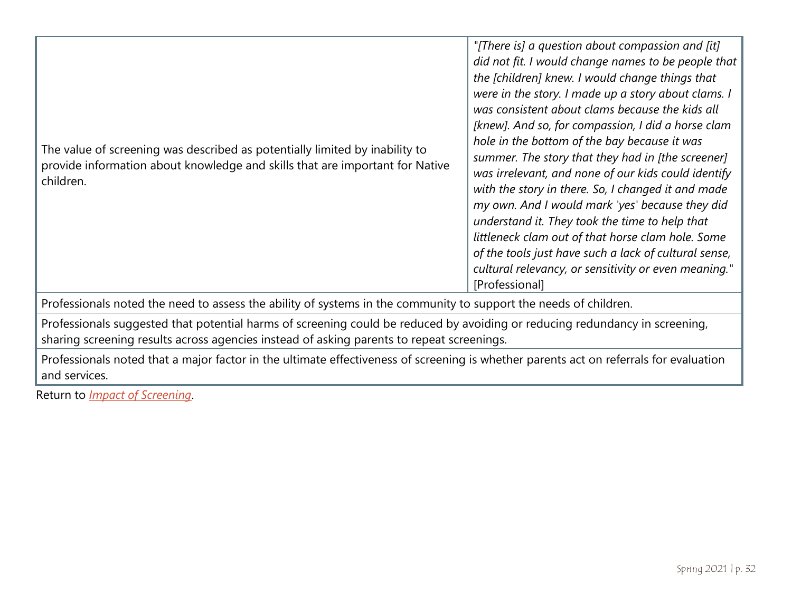|                                                                                                                  | The value of screening was described as potentially limited by inability to<br>provide information about knowledge and skills that are important for Native<br>children. | "[There is] a question about compassion and [it]<br>did not fit. I would change names to be people that<br>the [children] knew. I would change things that<br>were in the story. I made up a story about clams. I<br>was consistent about clams because the kids all<br>[knew]. And so, for compassion, I did a horse clam<br>hole in the bottom of the bay because it was<br>summer. The story that they had in [the screener]<br>was irrelevant, and none of our kids could identify<br>with the story in there. So, I changed it and made<br>my own. And I would mark 'yes' because they did<br>understand it. They took the time to help that<br>littleneck clam out of that horse clam hole. Some<br>of the tools just have such a lack of cultural sense,<br>cultural relevancy, or sensitivity or even meaning."<br>[Professional] |
|------------------------------------------------------------------------------------------------------------------|--------------------------------------------------------------------------------------------------------------------------------------------------------------------------|-------------------------------------------------------------------------------------------------------------------------------------------------------------------------------------------------------------------------------------------------------------------------------------------------------------------------------------------------------------------------------------------------------------------------------------------------------------------------------------------------------------------------------------------------------------------------------------------------------------------------------------------------------------------------------------------------------------------------------------------------------------------------------------------------------------------------------------------|
| Professionals noted the need to assess the ability of systems in the community to support the needs of children. |                                                                                                                                                                          |                                                                                                                                                                                                                                                                                                                                                                                                                                                                                                                                                                                                                                                                                                                                                                                                                                           |

Professionals suggested that potential harms of screening could be reduced by avoiding or reducing redundancy in screening, sharing screening results across agencies instead of asking parents to repeat screenings.

Professionals noted that a major factor in the ultimate effectiveness of screening is whether parents act on referrals for evaluation and services.

Return to *[Impact of Screening](#page-12-2)*.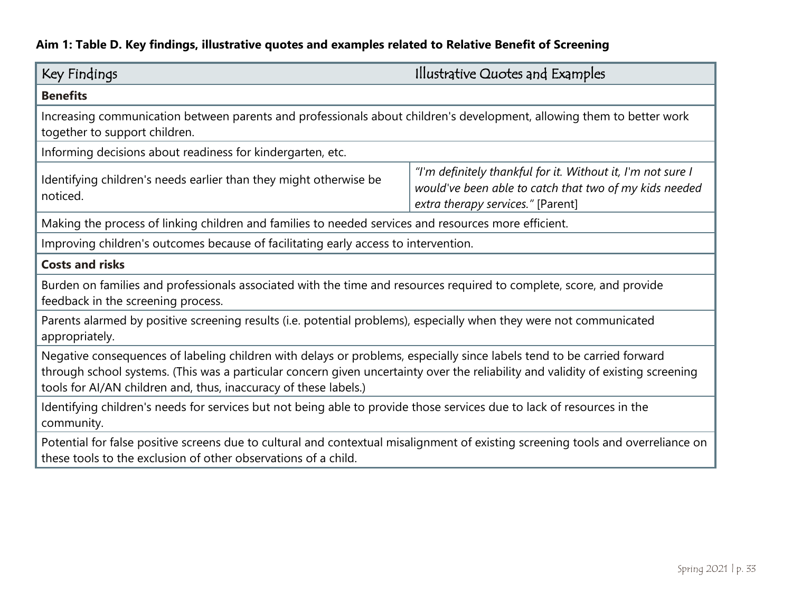### **Aim 1: Table D. Key findings, illustrative quotes and examples related to Relative Benefit of Screening**

<span id="page-32-0"></span>

| Key Findings                                                                                                                                                                                                                                                                                                                   | Illustrative Quotes and Examples                                                                                                                           |  |
|--------------------------------------------------------------------------------------------------------------------------------------------------------------------------------------------------------------------------------------------------------------------------------------------------------------------------------|------------------------------------------------------------------------------------------------------------------------------------------------------------|--|
| <b>Benefits</b>                                                                                                                                                                                                                                                                                                                |                                                                                                                                                            |  |
| Increasing communication between parents and professionals about children's development, allowing them to better work<br>together to support children.                                                                                                                                                                         |                                                                                                                                                            |  |
| Informing decisions about readiness for kindergarten, etc.                                                                                                                                                                                                                                                                     |                                                                                                                                                            |  |
| Identifying children's needs earlier than they might otherwise be<br>noticed.                                                                                                                                                                                                                                                  | "I'm definitely thankful for it. Without it, I'm not sure I<br>would've been able to catch that two of my kids needed<br>extra therapy services." [Parent] |  |
| Making the process of linking children and families to needed services and resources more efficient.                                                                                                                                                                                                                           |                                                                                                                                                            |  |
| Improving children's outcomes because of facilitating early access to intervention.                                                                                                                                                                                                                                            |                                                                                                                                                            |  |
| <b>Costs and risks</b>                                                                                                                                                                                                                                                                                                         |                                                                                                                                                            |  |
| Burden on families and professionals associated with the time and resources required to complete, score, and provide<br>feedback in the screening process.                                                                                                                                                                     |                                                                                                                                                            |  |
| Parents alarmed by positive screening results (i.e. potential problems), especially when they were not communicated<br>appropriately.                                                                                                                                                                                          |                                                                                                                                                            |  |
| Negative consequences of labeling children with delays or problems, especially since labels tend to be carried forward<br>through school systems. (This was a particular concern given uncertainty over the reliability and validity of existing screening<br>tools for AI/AN children and, thus, inaccuracy of these labels.) |                                                                                                                                                            |  |
| Identifying children's needs for services but not being able to provide those services due to lack of resources in the<br>community.                                                                                                                                                                                           |                                                                                                                                                            |  |
| Potential for false positive screens due to cultural and contextual misalignment of existing screening tools and overreliance on<br>these tools to the exclusion of other observations of a child.                                                                                                                             |                                                                                                                                                            |  |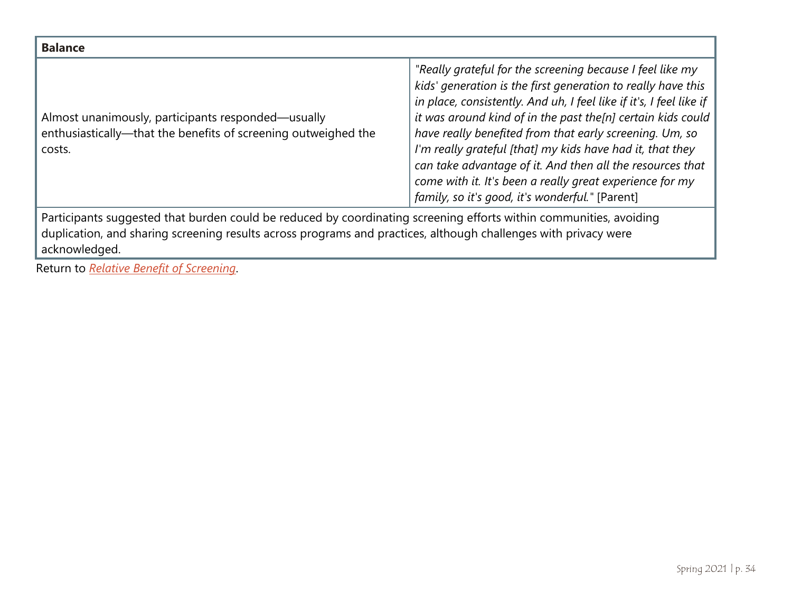| <b>Balance</b>                                                                                                                                                                                                                                         |                                                                                                                                                                                                                                                                                                                                                                                                                                                                                                                                                                     |  |
|--------------------------------------------------------------------------------------------------------------------------------------------------------------------------------------------------------------------------------------------------------|---------------------------------------------------------------------------------------------------------------------------------------------------------------------------------------------------------------------------------------------------------------------------------------------------------------------------------------------------------------------------------------------------------------------------------------------------------------------------------------------------------------------------------------------------------------------|--|
| Almost unanimously, participants responded—usually<br>enthusiastically-that the benefits of screening outweighed the<br>costs.                                                                                                                         | "Really grateful for the screening because I feel like my<br>kids' generation is the first generation to really have this<br>in place, consistently. And uh, I feel like if it's, I feel like if<br>it was around kind of in the past the[n] certain kids could<br>have really benefited from that early screening. Um, so<br>I'm really grateful [that] my kids have had it, that they<br>can take advantage of it. And then all the resources that<br>come with it. It's been a really great experience for my<br>family, so it's good, it's wonderful." [Parent] |  |
| Participants suggested that burden could be reduced by coordinating screening efforts within communities, avoiding<br>duplication, and sharing screening results across programs and practices, although challenges with privacy were<br>acknowledged. |                                                                                                                                                                                                                                                                                                                                                                                                                                                                                                                                                                     |  |

Return to *[Relative Benefit of Screening](#page-12-3)*.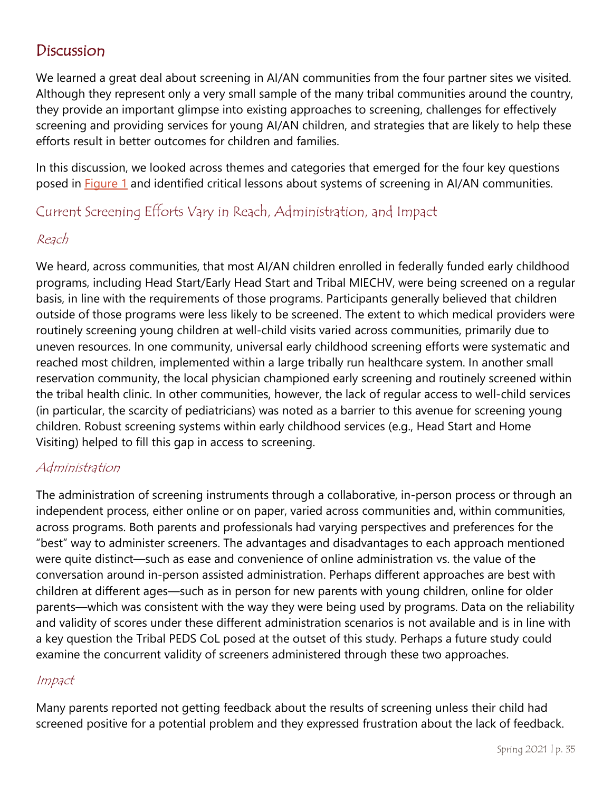### <span id="page-34-0"></span>Discussion

We learned a great deal about screening in AI/AN communities from the four partner sites we visited. Although they represent only a very small sample of the many tribal communities around the country, they provide an important glimpse into existing approaches to screening, challenges for effectively screening and providing services for young AI/AN children, and strategies that are likely to help these efforts result in better outcomes for children and families.

In this discussion, we looked across themes and categories that emerged for the four key questions posed in **Figure 1** and identified critical lessons about systems of screening in AI/AN communities.

### Current Screening Efforts Vary in Reach, Administration, and Impact

#### Reach

We heard, across communities, that most AI/AN children enrolled in federally funded early childhood programs, including Head Start/Early Head Start and Tribal MIECHV, were being screened on a regular basis, in line with the requirements of those programs. Participants generally believed that children outside of those programs were less likely to be screened. The extent to which medical providers were routinely screening young children at well-child visits varied across communities, primarily due to uneven resources. In one community, universal early childhood screening efforts were systematic and reached most children, implemented within a large tribally run healthcare system. In another small reservation community, the local physician championed early screening and routinely screened within the tribal health clinic. In other communities, however, the lack of regular access to well-child services (in particular, the scarcity of pediatricians) was noted as a barrier to this avenue for screening young children. Robust screening systems within early childhood services (e.g., Head Start and Home Visiting) helped to fill this gap in access to screening.

#### Administration

The administration of screening instruments through a collaborative, in-person process or through an independent process, either online or on paper, varied across communities and, within communities, across programs. Both parents and professionals had varying perspectives and preferences for the "best" way to administer screeners. The advantages and disadvantages to each approach mentioned were quite distinct—such as ease and convenience of online administration vs. the value of the conversation around in-person assisted administration. Perhaps different approaches are best with children at different ages—such as in person for new parents with young children, online for older parents—which was consistent with the way they were being used by programs. Data on the reliability and validity of scores under these different administration scenarios is not available and is in line with a key question the Tribal PEDS CoL posed at the outset of this study. Perhaps a future study could examine the concurrent validity of screeners administered through these two approaches.

#### Impact

Many parents reported not getting feedback about the results of screening unless their child had screened positive for a potential problem and they expressed frustration about the lack of feedback.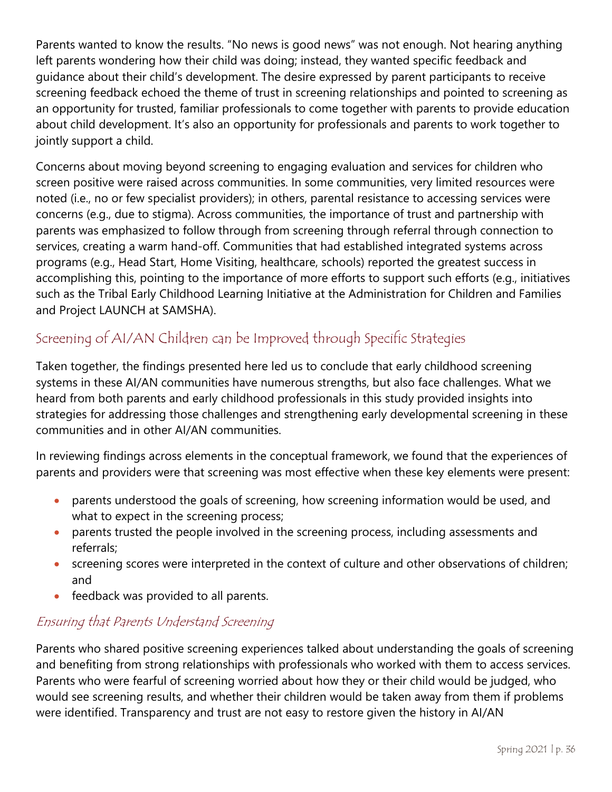Parents wanted to know the results. "No news is good news" was not enough. Not hearing anything left parents wondering how their child was doing; instead, they wanted specific feedback and guidance about their child's development. The desire expressed by parent participants to receive screening feedback echoed the theme of trust in screening relationships and pointed to screening as an opportunity for trusted, familiar professionals to come together with parents to provide education about child development. It's also an opportunity for professionals and parents to work together to jointly support a child.

Concerns about moving beyond screening to engaging evaluation and services for children who screen positive were raised across communities. In some communities, very limited resources were noted (i.e., no or few specialist providers); in others, parental resistance to accessing services were concerns (e.g., due to stigma). Across communities, the importance of trust and partnership with parents was emphasized to follow through from screening through referral through connection to services, creating a warm hand-off. Communities that had established integrated systems across programs (e.g., Head Start, Home Visiting, healthcare, schools) reported the greatest success in accomplishing this, pointing to the importance of more efforts to support such efforts (e.g., initiatives such as the Tribal Early Childhood Learning Initiative at the Administration for Children and Families and Project LAUNCH at SAMSHA).

## Screening of AI/AN Children can be Improved through Specific Strategies

Taken together, the findings presented here led us to conclude that early childhood screening systems in these AI/AN communities have numerous strengths, but also face challenges. What we heard from both parents and early childhood professionals in this study provided insights into strategies for addressing those challenges and strengthening early developmental screening in these communities and in other AI/AN communities.

In reviewing findings across elements in the conceptual framework, we found that the experiences of parents and providers were that screening was most effective when these key elements were present:

- parents understood the goals of screening, how screening information would be used, and what to expect in the screening process;
- parents trusted the people involved in the screening process, including assessments and referrals;
- screening scores were interpreted in the context of culture and other observations of children; and
- feedback was provided to all parents.

#### Ensuring that Parents Understand Screening

Parents who shared positive screening experiences talked about understanding the goals of screening and benefiting from strong relationships with professionals who worked with them to access services. Parents who were fearful of screening worried about how they or their child would be judged, who would see screening results, and whether their children would be taken away from them if problems were identified. Transparency and trust are not easy to restore given the history in AI/AN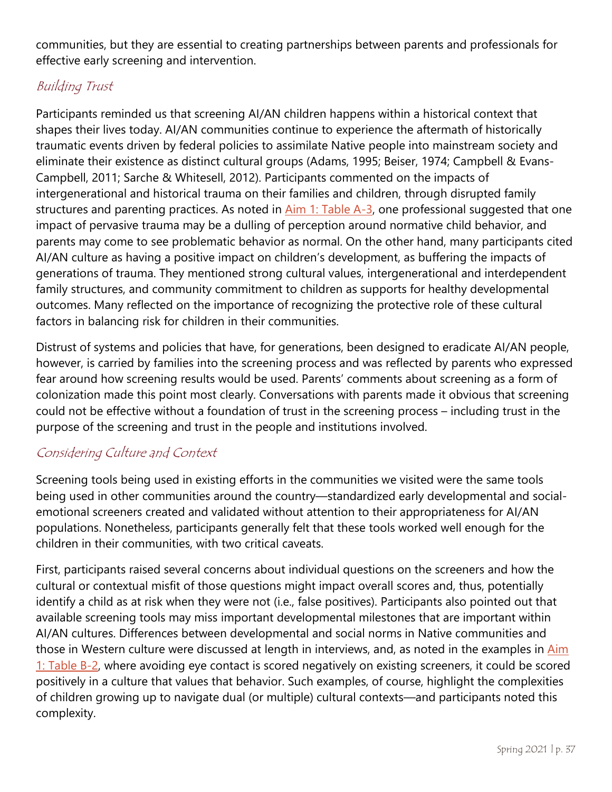communities, but they are essential to creating partnerships between parents and professionals for effective early screening and intervention.

## Building Trust

Participants reminded us that screening AI/AN children happens within a historical context that shapes their lives today. AI/AN communities continue to experience the aftermath of historically traumatic events driven by federal policies to assimilate Native people into mainstream society and eliminate their existence as distinct cultural groups (Adams, 1995; Beiser, 1974; Campbell & Evans-Campbell, 2011; Sarche & Whitesell, 2012). Participants commented on the impacts of intergenerational and historical trauma on their families and children, through disrupted family structures and parenting practices. As noted in [Aim 1: Table A-3,](#page-16-0) one professional suggested that one impact of pervasive trauma may be a dulling of perception around normative child behavior, and parents may come to see problematic behavior as normal. On the other hand, many participants cited AI/AN culture as having a positive impact on children's development, as buffering the impacts of generations of trauma. They mentioned strong cultural values, intergenerational and interdependent family structures, and community commitment to children as supports for healthy developmental outcomes. Many reflected on the importance of recognizing the protective role of these cultural factors in balancing risk for children in their communities.

Distrust of systems and policies that have, for generations, been designed to eradicate AI/AN people, however, is carried by families into the screening process and was reflected by parents who expressed fear around how screening results would be used. Parents' comments about screening as a form of colonization made this point most clearly. Conversations with parents made it obvious that screening could not be effective without a foundation of trust in the screening process – including trust in the purpose of the screening and trust in the people and institutions involved.

## Considering Culture and Context

Screening tools being used in existing efforts in the communities we visited were the same tools being used in other communities around the country—standardized early developmental and socialemotional screeners created and validated without attention to their appropriateness for AI/AN populations. Nonetheless, participants generally felt that these tools worked well enough for the children in their communities, with two critical caveats.

First, participants raised several concerns about individual questions on the screeners and how the cultural or contextual misfit of those questions might impact overall scores and, thus, potentially identify a child as at risk when they were not (i.e., false positives). Participants also pointed out that available screening tools may miss important developmental milestones that are important within AI/AN cultures. Differences between developmental and social norms in Native communities and those in Western culture were discussed at length in interviews, and, as noted in the examples in Aim [1: Table](#page-20-0) B-2, where avoiding eye contact is scored negatively on existing screeners, it could be scored positively in a culture that values that behavior. Such examples, of course, highlight the complexities of children growing up to navigate dual (or multiple) cultural contexts—and participants noted this complexity.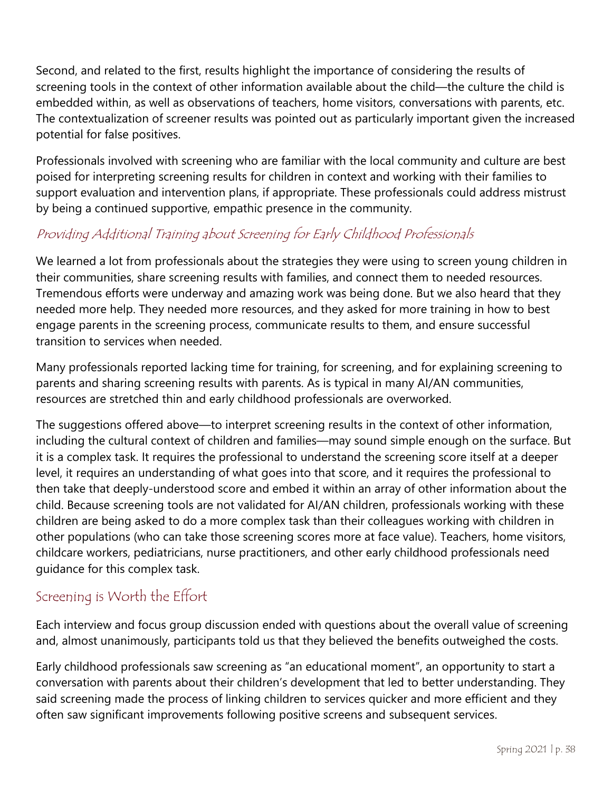Second, and related to the first, results highlight the importance of considering the results of screening tools in the context of other information available about the child—the culture the child is embedded within, as well as observations of teachers, home visitors, conversations with parents, etc. The contextualization of screener results was pointed out as particularly important given the increased potential for false positives.

Professionals involved with screening who are familiar with the local community and culture are best poised for interpreting screening results for children in context and working with their families to support evaluation and intervention plans, if appropriate. These professionals could address mistrust by being a continued supportive, empathic presence in the community.

## Providing Additional Training about Screening for Early Childhood Professionals

We learned a lot from professionals about the strategies they were using to screen young children in their communities, share screening results with families, and connect them to needed resources. Tremendous efforts were underway and amazing work was being done. But we also heard that they needed more help. They needed more resources, and they asked for more training in how to best engage parents in the screening process, communicate results to them, and ensure successful transition to services when needed.

Many professionals reported lacking time for training, for screening, and for explaining screening to parents and sharing screening results with parents. As is typical in many AI/AN communities, resources are stretched thin and early childhood professionals are overworked.

The suggestions offered above—to interpret screening results in the context of other information, including the cultural context of children and families—may sound simple enough on the surface. But it is a complex task. It requires the professional to understand the screening score itself at a deeper level, it requires an understanding of what goes into that score, and it requires the professional to then take that deeply-understood score and embed it within an array of other information about the child. Because screening tools are not validated for AI/AN children, professionals working with these children are being asked to do a more complex task than their colleagues working with children in other populations (who can take those screening scores more at face value). Teachers, home visitors, childcare workers, pediatricians, nurse practitioners, and other early childhood professionals need guidance for this complex task.

#### Screening is Worth the Effort

Each interview and focus group discussion ended with questions about the overall value of screening and, almost unanimously, participants told us that they believed the benefits outweighed the costs.

Early childhood professionals saw screening as "an educational moment", an opportunity to start a conversation with parents about their children's development that led to better understanding. They said screening made the process of linking children to services quicker and more efficient and they often saw significant improvements following positive screens and subsequent services.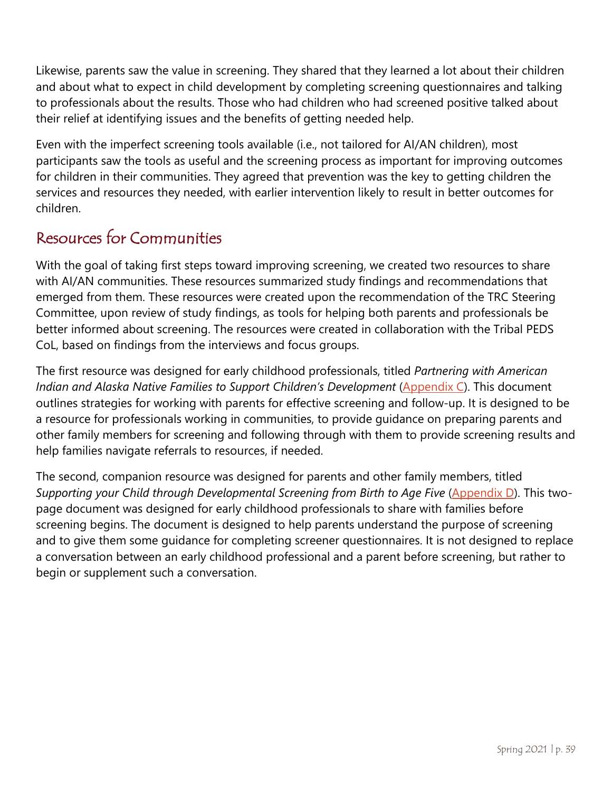Likewise, parents saw the value in screening. They shared that they learned a lot about their children and about what to expect in child development by completing screening questionnaires and talking to professionals about the results. Those who had children who had screened positive talked about their relief at identifying issues and the benefits of getting needed help.

Even with the imperfect screening tools available (i.e., not tailored for AI/AN children), most participants saw the tools as useful and the screening process as important for improving outcomes for children in their communities. They agreed that prevention was the key to getting children the services and resources they needed, with earlier intervention likely to result in better outcomes for children.

# Resources for Communities

With the goal of taking first steps toward improving screening, we created two resources to share with AI/AN communities. These resources summarized study findings and recommendations that emerged from them. These resources were created upon the recommendation of the TRC Steering Committee, upon review of study findings, as tools for helping both parents and professionals be better informed about screening. The resources were created in collaboration with the Tribal PEDS CoL, based on findings from the interviews and focus groups.

The first resource was designed for early childhood professionals, titled *Partnering with American Indian and Alaska Native Families to Support Children's Development* [\(Appendix C\)](#page-64-0). This document outlines strategies for working with parents for effective screening and follow-up. It is designed to be a resource for professionals working in communities, to provide guidance on preparing parents and other family members for screening and following through with them to provide screening results and help families navigate referrals to resources, if needed.

The second, companion resource was designed for parents and other family members, titled *Supporting your Child through Developmental Screening from Birth to Age Five* [\(Appendix D\)](#page-69-0). This twopage document was designed for early childhood professionals to share with families before screening begins. The document is designed to help parents understand the purpose of screening and to give them some guidance for completing screener questionnaires. It is not designed to replace a conversation between an early childhood professional and a parent before screening, but rather to begin or supplement such a conversation.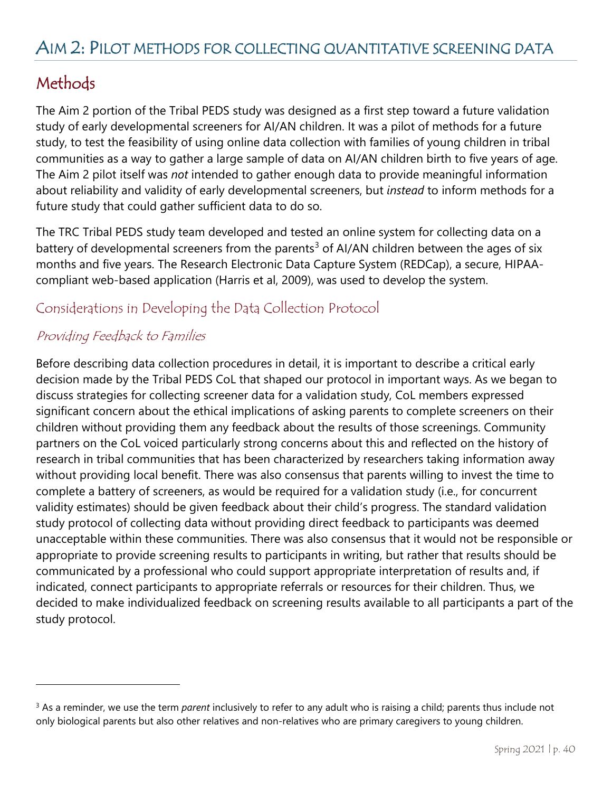# **Methods**

 $\overline{a}$ 

The Aim 2 portion of the Tribal PEDS study was designed as a first step toward a future validation study of early developmental screeners for AI/AN children. It was a pilot of methods for a future study, to test the feasibility of using online data collection with families of young children in tribal communities as a way to gather a large sample of data on AI/AN children birth to five years of age. The Aim 2 pilot itself was *not* intended to gather enough data to provide meaningful information about reliability and validity of early developmental screeners, but *instead* to inform methods for a future study that could gather sufficient data to do so.

The TRC Tribal PEDS study team developed and tested an online system for collecting data on a battery of developmental screeners from the parents<sup>[3](#page-40-0)</sup> of AI/AN children between the ages of six months and five years. The Research Electronic Data Capture System (REDCap), a secure, HIPAAcompliant web-based application (Harris et al, 2009), was used to develop the system.

#### Considerations in Developing the Data Collection Protocol

#### Providing Feedback to Families

Before describing data collection procedures in detail, it is important to describe a critical early decision made by the Tribal PEDS CoL that shaped our protocol in important ways. As we began to discuss strategies for collecting screener data for a validation study, CoL members expressed significant concern about the ethical implications of asking parents to complete screeners on their children without providing them any feedback about the results of those screenings. Community partners on the CoL voiced particularly strong concerns about this and reflected on the history of research in tribal communities that has been characterized by researchers taking information away without providing local benefit. There was also consensus that parents willing to invest the time to complete a battery of screeners, as would be required for a validation study (i.e., for concurrent validity estimates) should be given feedback about their child's progress. The standard validation study protocol of collecting data without providing direct feedback to participants was deemed unacceptable within these communities. There was also consensus that it would not be responsible or appropriate to provide screening results to participants in writing, but rather that results should be communicated by a professional who could support appropriate interpretation of results and, if indicated, connect participants to appropriate referrals or resources for their children. Thus, we decided to make individualized feedback on screening results available to all participants a part of the study protocol.

<sup>3</sup> As a reminder, we use the term *parent* inclusively to refer to any adult who is raising a child; parents thus include not only biological parents but also other relatives and non-relatives who are primary caregivers to young children.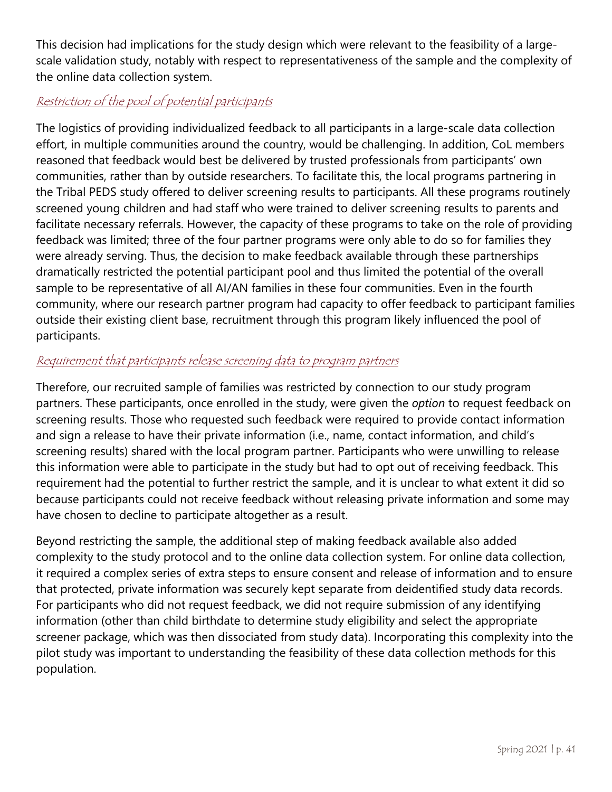This decision had implications for the study design which were relevant to the feasibility of a largescale validation study, notably with respect to representativeness of the sample and the complexity of the online data collection system.

#### Restriction of the pool of potential participants

The logistics of providing individualized feedback to all participants in a large-scale data collection effort, in multiple communities around the country, would be challenging. In addition, CoL members reasoned that feedback would best be delivered by trusted professionals from participants' own communities, rather than by outside researchers. To facilitate this, the local programs partnering in the Tribal PEDS study offered to deliver screening results to participants. All these programs routinely screened young children and had staff who were trained to deliver screening results to parents and facilitate necessary referrals. However, the capacity of these programs to take on the role of providing feedback was limited; three of the four partner programs were only able to do so for families they were already serving. Thus, the decision to make feedback available through these partnerships dramatically restricted the potential participant pool and thus limited the potential of the overall sample to be representative of all AI/AN families in these four communities. Even in the fourth community, where our research partner program had capacity to offer feedback to participant families outside their existing client base, recruitment through this program likely influenced the pool of participants.

## Requirement that participants release screening data to program partners

Therefore, our recruited sample of families was restricted by connection to our study program partners. These participants, once enrolled in the study, were given the *option* to request feedback on screening results. Those who requested such feedback were required to provide contact information and sign a release to have their private information (i.e., name, contact information, and child's screening results) shared with the local program partner. Participants who were unwilling to release this information were able to participate in the study but had to opt out of receiving feedback. This requirement had the potential to further restrict the sample, and it is unclear to what extent it did so because participants could not receive feedback without releasing private information and some may have chosen to decline to participate altogether as a result.

<span id="page-40-0"></span>Beyond restricting the sample, the additional step of making feedback available also added complexity to the study protocol and to the online data collection system. For online data collection, it required a complex series of extra steps to ensure consent and release of information and to ensure that protected, private information was securely kept separate from deidentified study data records. For participants who did not request feedback, we did not require submission of any identifying information (other than child birthdate to determine study eligibility and select the appropriate screener package, which was then dissociated from study data). Incorporating this complexity into the pilot study was important to understanding the feasibility of these data collection methods for this population.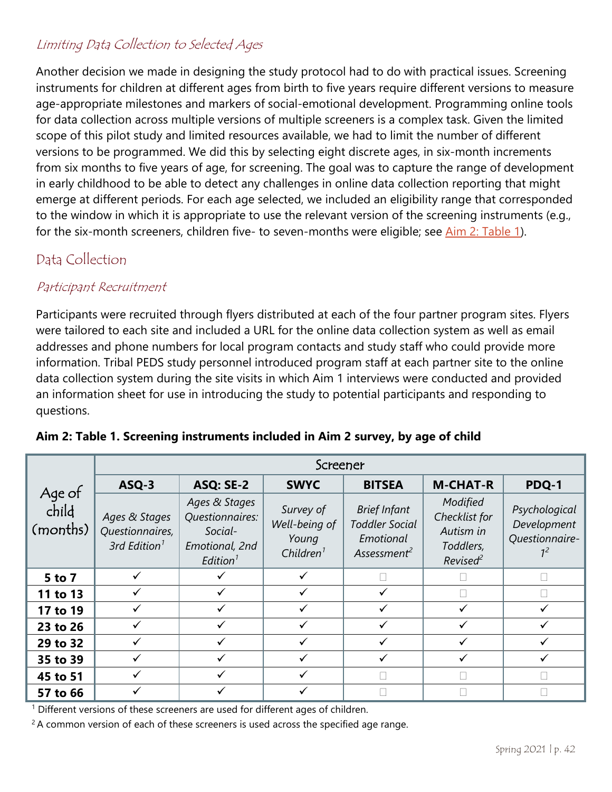## Limiting Data Collection to Selected Ages

Another decision we made in designing the study protocol had to do with practical issues. Screening instruments for children at different ages from birth to five years require different versions to measure age-appropriate milestones and markers of social-emotional development. Programming online tools for data collection across multiple versions of multiple screeners is a complex task. Given the limited scope of this pilot study and limited resources available, we had to limit the number of different versions to be programmed. We did this by selecting eight discrete ages, in six-month increments from six months to five years of age, for screening. The goal was to capture the range of development in early childhood to be able to detect any challenges in online data collection reporting that might emerge at different periods. For each age selected, we included an eligibility range that corresponded to the window in which it is appropriate to use the relevant version of the screening instruments (e.g., for the six-month screeners, children five- to seven-months were eligible; see [Aim 2: Table 1\)](#page-41-0).

# Data Collection

#### Participant Recruitment

Participants were recruited through flyers distributed at each of the four partner program sites. Flyers were tailored to each site and included a URL for the online data collection system as well as email addresses and phone numbers for local program contacts and study staff who could provide more information. Tribal PEDS study personnel introduced program staff at each partner site to the online data collection system during the site visits in which Aim 1 interviews were conducted and provided an information sheet for use in introducing the study to potential participants and responding to questions.

|                             | Screener                                                     |                                                                                      |                                                              |                                                                                      |                                                                             |                                                |  |  |  |  |  |  |
|-----------------------------|--------------------------------------------------------------|--------------------------------------------------------------------------------------|--------------------------------------------------------------|--------------------------------------------------------------------------------------|-----------------------------------------------------------------------------|------------------------------------------------|--|--|--|--|--|--|
| Age of<br>child<br>(months) | ASQ-3                                                        | <b>ASQ: SE-2</b>                                                                     | <b>SWYC</b>                                                  | <b>BITSEA</b>                                                                        | <b>M-CHAT-R</b>                                                             | PDQ-1                                          |  |  |  |  |  |  |
|                             | Ages & Stages<br>Questionnaires,<br>3rd Edition <sup>1</sup> | Ages & Stages<br>Questionnaires:<br>Social-<br>Emotional, 2nd<br>Editor <sup>1</sup> | Survey of<br>Well-being of<br>Young<br>Children <sup>1</sup> | <b>Brief Infant</b><br><b>Toddler Social</b><br>Emotional<br>Assessment <sup>2</sup> | Modified<br>Checklist for<br>Autism in<br>Toddlers,<br>Revised <sup>2</sup> | Psychological<br>Development<br>Questionnaire- |  |  |  |  |  |  |
| 5 to 7                      | $\checkmark$                                                 |                                                                                      | $\checkmark$                                                 |                                                                                      |                                                                             |                                                |  |  |  |  |  |  |
| 11 to 13                    |                                                              |                                                                                      |                                                              |                                                                                      |                                                                             |                                                |  |  |  |  |  |  |
| 17 to 19                    | ✓                                                            |                                                                                      | $\checkmark$                                                 |                                                                                      | ✓                                                                           |                                                |  |  |  |  |  |  |
| 23 to 26                    | ✓                                                            |                                                                                      |                                                              |                                                                                      |                                                                             |                                                |  |  |  |  |  |  |
| 29 to 32                    | ✓                                                            |                                                                                      | $\checkmark$                                                 |                                                                                      | $\checkmark$                                                                |                                                |  |  |  |  |  |  |
| 35 to 39                    |                                                              |                                                                                      |                                                              |                                                                                      |                                                                             |                                                |  |  |  |  |  |  |
| 45 to 51                    | ✓                                                            |                                                                                      |                                                              |                                                                                      |                                                                             |                                                |  |  |  |  |  |  |
| 57 to 66                    |                                                              |                                                                                      |                                                              |                                                                                      |                                                                             |                                                |  |  |  |  |  |  |

<span id="page-41-0"></span>

| Aim 2: Table 1. Screening instruments included in Aim 2 survey, by age of child |  |  |  |
|---------------------------------------------------------------------------------|--|--|--|
|                                                                                 |  |  |  |

<sup>1</sup> Different versions of these screeners are used for different ages of children.

 $2A$  common version of each of these screeners is used across the specified age range.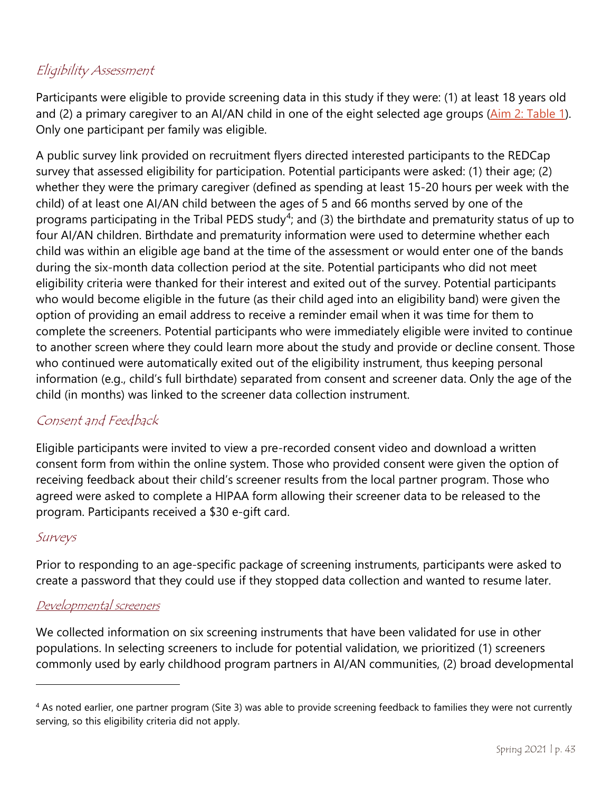### Eligibility Assessment

Participants were eligible to provide screening data in this study if they were: (1) at least 18 years old and (2) a primary caregiver to an AI/AN child in one of the eight selected age groups [\(Aim 2: Table](#page-41-0) 1). Only one participant per family was eligible.

A public survey link provided on recruitment flyers directed interested participants to the REDCap survey that assessed eligibility for participation. Potential participants were asked: (1) their age; (2) whether they were the primary caregiver (defined as spending at least 15-20 hours per week with the child) of at least one AI/AN child between the ages of 5 and 66 months served by one of the programs participating in the Tribal PEDS study<sup>[4](#page-43-0)</sup>; and (3) the birthdate and prematurity status of up to four AI/AN children. Birthdate and prematurity information were used to determine whether each child was within an eligible age band at the time of the assessment or would enter one of the bands during the six-month data collection period at the site. Potential participants who did not meet eligibility criteria were thanked for their interest and exited out of the survey. Potential participants who would become eligible in the future (as their child aged into an eligibility band) were given the option of providing an email address to receive a reminder email when it was time for them to complete the screeners. Potential participants who were immediately eligible were invited to continue to another screen where they could learn more about the study and provide or decline consent. Those who continued were automatically exited out of the eligibility instrument, thus keeping personal information (e.g., child's full birthdate) separated from consent and screener data. Only the age of the child (in months) was linked to the screener data collection instrument.

#### Consent and Feedback

Eligible participants were invited to view a pre-recorded consent video and download a written consent form from within the online system. Those who provided consent were given the option of receiving feedback about their child's screener results from the local partner program. Those who agreed were asked to complete a HIPAA form allowing their screener data to be released to the program. Participants received a \$30 e-gift card.

#### Surveys

 $\overline{a}$ 

Prior to responding to an age-specific package of screening instruments, participants were asked to create a password that they could use if they stopped data collection and wanted to resume later.

#### Developmental screeners

We collected information on six screening instruments that have been validated for use in other populations. In selecting screeners to include for potential validation, we prioritized (1) screeners commonly used by early childhood program partners in AI/AN communities, (2) broad developmental

<sup>&</sup>lt;sup>4</sup> As noted earlier, one partner program (Site 3) was able to provide screening feedback to families they were not currently serving, so this eligibility criteria did not apply.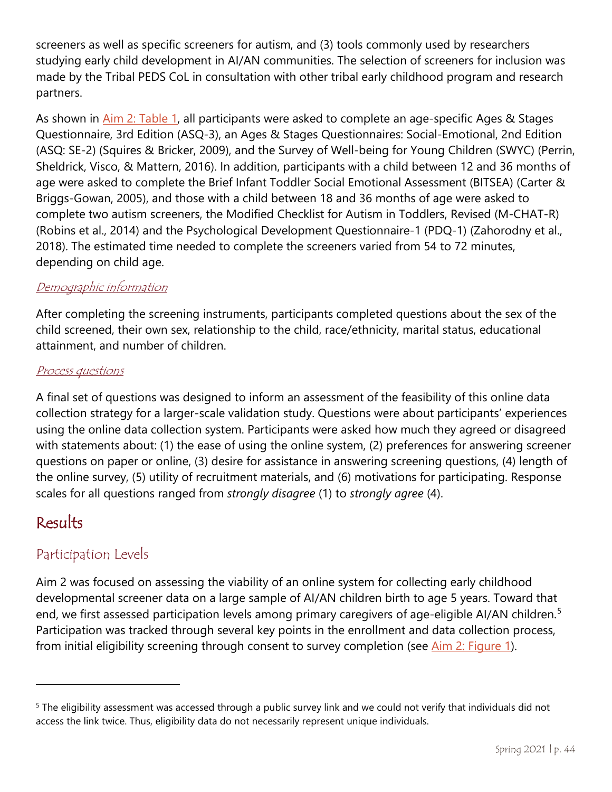screeners as well as specific screeners for autism, and (3) tools commonly used by researchers studying early child development in AI/AN communities. The selection of screeners for inclusion was made by the Tribal PEDS CoL in consultation with other tribal early childhood program and research partners.

As shown in [Aim 2: Table 1,](#page-41-0) all participants were asked to complete an age-specific Ages & Stages Questionnaire, 3rd Edition (ASQ-3), an Ages & Stages Questionnaires: Social-Emotional, 2nd Edition (ASQ: SE-2) (Squires & Bricker, 2009), and the Survey of Well-being for Young Children (SWYC) (Perrin, Sheldrick, Visco, & Mattern, 2016). In addition, participants with a child between 12 and 36 months of age were asked to complete the Brief Infant Toddler Social Emotional Assessment (BITSEA) (Carter & Briggs-Gowan, 2005), and those with a child between 18 and 36 months of age were asked to complete two autism screeners, the Modified Checklist for Autism in Toddlers, Revised (M-CHAT-R) (Robins et al., 2014) and the Psychological Development Questionnaire-1 (PDQ-1) (Zahorodny et al., 2018). The estimated time needed to complete the screeners varied from 54 to 72 minutes, depending on child age.

#### Demographic information

After completing the screening instruments, participants completed questions about the sex of the child screened, their own sex, relationship to the child, race/ethnicity, marital status, educational attainment, and number of children.

#### Process questions

A final set of questions was designed to inform an assessment of the feasibility of this online data collection strategy for a larger-scale validation study. Questions were about participants' experiences using the online data collection system. Participants were asked how much they agreed or disagreed with statements about: (1) the ease of using the online system, (2) preferences for answering screener questions on paper or online, (3) desire for assistance in answering screening questions, (4) length of the online survey, (5) utility of recruitment materials, and (6) motivations for participating. Response scales for all questions ranged from *strongly disagree* (1) to *strongly agree* (4).

# Results

 $\overline{a}$ 

#### Participation Levels

Aim 2 was focused on assessing the viability of an online system for collecting early childhood developmental screener data on a large sample of AI/AN children birth to age 5 years. Toward that end, we first assessed participation levels among primary caregivers of age-eligible AI/AN children.<sup>[5](#page-44-1)</sup> Participation was tracked through several key points in the enrollment and data collection process, from initial eligibility screening through consent to survey completion (see [Aim 2: Figure](#page-44-0) 1).

<span id="page-43-0"></span><sup>&</sup>lt;sup>5</sup> The eligibility assessment was accessed through a public survey link and we could not verify that individuals did not access the link twice. Thus, eligibility data do not necessarily represent unique individuals.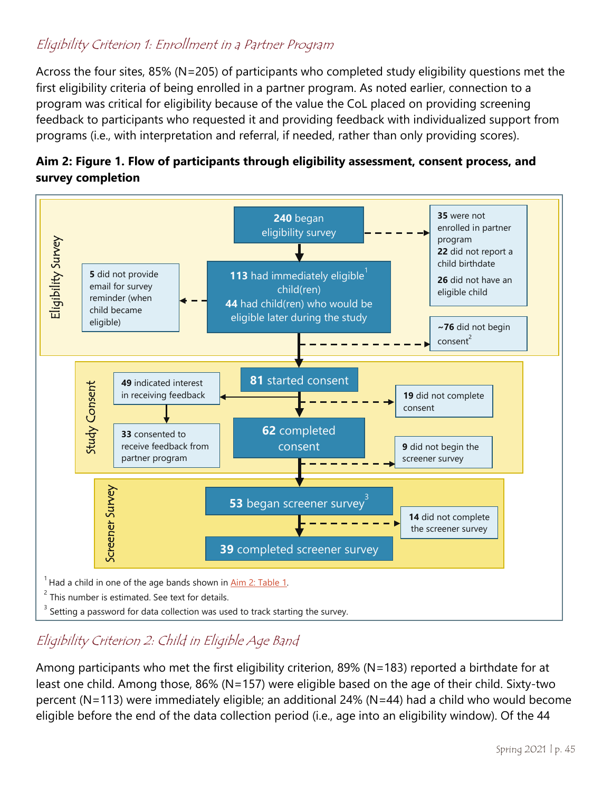#### Eligibility Criterion 1: Enrollment in a Partner Program

Across the four sites, 85% (N=205) of participants who completed study eligibility questions met the first eligibility criteria of being enrolled in a partner program. As noted earlier, connection to a program was critical for eligibility because of the value the CoL placed on providing screening feedback to participants who requested it and providing feedback with individualized support from programs (i.e., with interpretation and referral, if needed, rather than only providing scores).



<span id="page-44-0"></span>

# Eligibility Criterion 2: Child in Eligible Age Band

<span id="page-44-1"></span>Among participants who met the first eligibility criterion, 89% (N=183) reported a birthdate for at least one child. Among those, 86% (N=157) were eligible based on the age of their child. Sixty-two percent (N=113) were immediately eligible; an additional 24% (N=44) had a child who would become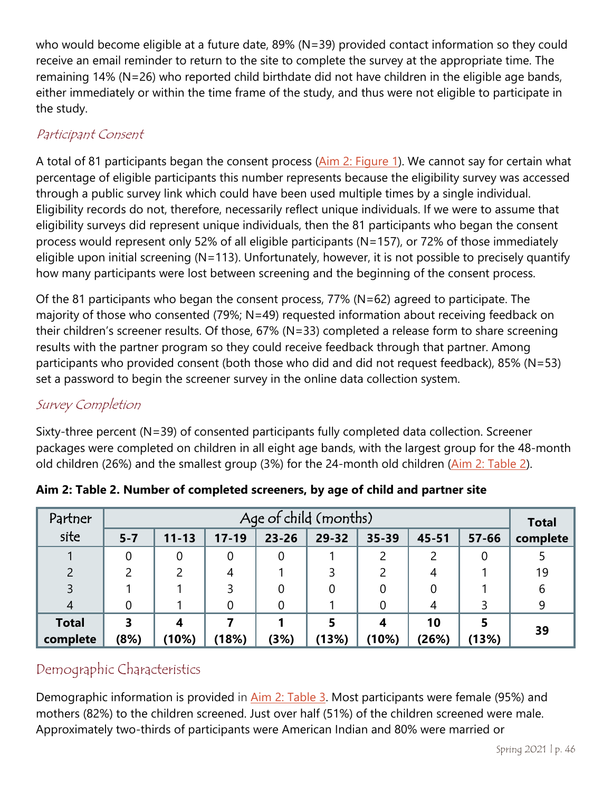who would become eligible at a future date, 89% (N=39) provided contact information so they could receive an email reminder to return to the site to complete the survey at the appropriate time. The remaining 14% (N=26) who reported child birthdate did not have children in the eligible age bands, either immediately or within the time frame of the study, and thus were not eligible to participate in the study.

### Participant Consent

A total of 81 participants began the consent process [\(Aim 2: Figure 1\)](#page-44-0). We cannot say for certain what percentage of eligible participants this number represents because the eligibility survey was accessed through a public survey link which could have been used multiple times by a single individual. Eligibility records do not, therefore, necessarily reflect unique individuals. If we were to assume that eligibility surveys did represent unique individuals, then the 81 participants who began the consent process would represent only 52% of all eligible participants (N=157), or 72% of those immediately eligible upon initial screening (N=113). Unfortunately, however, it is not possible to precisely quantify how many participants were lost between screening and the beginning of the consent process.

Of the 81 participants who began the consent process, 77% (N=62) agreed to participate. The majority of those who consented (79%; N=49) requested information about receiving feedback on their children's screener results. Of those, 67% (N=33) completed a release form to share screening results with the partner program so they could receive feedback through that partner. Among participants who provided consent (both those who did and did not request feedback), 85% (N=53) set a password to begin the screener survey in the online data collection system.

#### Survey Completion

Sixty-three percent (N=39) of consented participants fully completed data collection. Screener packages were completed on children in all eight age bands, with the largest group for the 48-month old children (26%) and the smallest group (3%) for the 24-month old children [\(Aim 2: Table 2\)](#page-45-0).

| Partner        | Age of child (months)   |           |           |           |       |       |           |           |          |  |
|----------------|-------------------------|-----------|-----------|-----------|-------|-------|-----------|-----------|----------|--|
| site           | $5 - 7$                 | $11 - 13$ | $17 - 19$ | $23 - 26$ | 29-32 | 35-39 | $45 - 51$ | $57 - 66$ | complete |  |
|                |                         |           |           |           |       | 2     | າ         | 0         |          |  |
|                |                         |           | 4         |           |       |       |           |           | 19       |  |
| 3              |                         |           |           |           |       |       |           |           | 6        |  |
| $\overline{4}$ |                         |           |           |           |       |       |           |           | 9        |  |
| <b>Total</b>   | $\overline{\mathbf{3}}$ |           |           |           |       |       | 10        |           | 39       |  |
| complete       | (8%)                    | (10%)     | (18%)     | (3%)      | (13%) | (10%) | (26%)     | (13%)     |          |  |

<span id="page-45-0"></span>**Aim 2: Table 2. Number of completed screeners, by age of child and partner site**

# Demographic Characteristics

Demographic information is provided in [Aim 2: Table 3.](#page-46-0) Most participants were female (95%) and mothers (82%) to the children screened. Just over half (51%) of the children screened were male. Approximately two-thirds of participants were American Indian and 80% were married or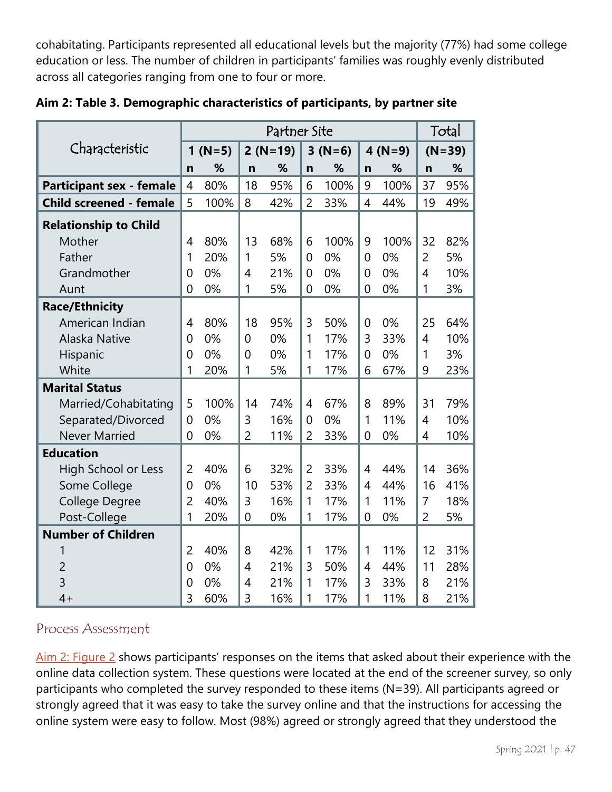cohabitating. Participants represented all educational levels but the majority (77%) had some college education or less. The number of children in participants' families was roughly evenly distributed across all categories ranging from one to four or more.

|                                 | Partner Site   |          |                |           |                |          |                |           | Total          |          |  |
|---------------------------------|----------------|----------|----------------|-----------|----------------|----------|----------------|-----------|----------------|----------|--|
| Characteristic                  |                | $1(N=5)$ |                | $2(N=19)$ |                | $3(N=6)$ |                | $4 (N=9)$ |                | $(N=39)$ |  |
|                                 | n              | %        | $\mathbf n$    | %         | $\mathbf n$    | %        | $\mathbf n$    | %         | $\mathbf n$    | %        |  |
| <b>Participant sex - female</b> | 4              | 80%      | 18             | 95%       | 6              | 100%     | 9              | 100%      | 37             | 95%      |  |
| <b>Child screened - female</b>  | 5              | 100%     | 8              | 42%       | $\overline{2}$ | 33%      | $\overline{4}$ | 44%       | 19             | 49%      |  |
| <b>Relationship to Child</b>    |                |          |                |           |                |          |                |           |                |          |  |
| Mother                          | 4              | 80%      | 13             | 68%       | 6              | 100%     | 9              | 100%      | 32             | 82%      |  |
| Father                          | 1              | 20%      | 1              | 5%        | $\overline{0}$ | 0%       | $\overline{0}$ | 0%        | 2              | 5%       |  |
| Grandmother                     | $\overline{0}$ | 0%       | 4              | 21%       | $\overline{0}$ | 0%       | $\overline{0}$ | 0%        | $\overline{4}$ | 10%      |  |
| Aunt                            | $\overline{0}$ | 0%       | 1              | 5%        | $\overline{0}$ | 0%       | $\overline{0}$ | 0%        | 1              | 3%       |  |
| <b>Race/Ethnicity</b>           |                |          |                |           |                |          |                |           |                |          |  |
| American Indian                 | 4              | 80%      | 18             | 95%       | $\overline{3}$ | 50%      | $\overline{0}$ | 0%        | 25             | 64%      |  |
| Alaska Native                   | $\overline{0}$ | 0%       | 0              | 0%        | 1              | 17%      | 3              | 33%       | $\overline{4}$ | 10%      |  |
| Hispanic                        | $\overline{0}$ | 0%       | 0              | 0%        | 1              | 17%      | $\overline{0}$ | 0%        | 1              | 3%       |  |
| White                           | 1              | 20%      | 1              | 5%        | 1              | 17%      | 6              | 67%       | 9              | 23%      |  |
| <b>Marital Status</b>           |                |          |                |           |                |          |                |           |                |          |  |
| Married/Cohabitating            | 5              | 100%     | 14             | 74%       | $\overline{4}$ | 67%      | 8              | 89%       | 31             | 79%      |  |
| Separated/Divorced              | $\overline{0}$ | 0%       | 3              | 16%       | $\overline{0}$ | 0%       | 1              | 11%       | $\overline{4}$ | 10%      |  |
| <b>Never Married</b>            | 0              | 0%       | $\overline{2}$ | 11%       | $\overline{2}$ | 33%      | $\overline{0}$ | 0%        | $\overline{4}$ | 10%      |  |
| <b>Education</b>                |                |          |                |           |                |          |                |           |                |          |  |
| <b>High School or Less</b>      | $\overline{2}$ | 40%      | 6              | 32%       | $\overline{2}$ | 33%      | 4              | 44%       | 14             | 36%      |  |
| Some College                    | $\overline{0}$ | 0%       | 10             | 53%       | $\overline{2}$ | 33%      | $\overline{4}$ | 44%       | 16             | 41%      |  |
| <b>College Degree</b>           | $\overline{2}$ | 40%      | 3              | 16%       | 1              | 17%      | 1              | 11%       | 7              | 18%      |  |
| Post-College                    | 1              | 20%      | 0              | 0%        | 1              | 17%      | $\overline{0}$ | 0%        | $\overline{2}$ | 5%       |  |
| <b>Number of Children</b>       |                |          |                |           |                |          |                |           |                |          |  |
| 1                               | $\overline{2}$ | 40%      | 8              | 42%       | 1              | 17%      | 1              | 11%       | 12             | 31%      |  |
| $\overline{2}$                  | $\overline{0}$ | 0%       | $\overline{4}$ | 21%       | 3              | 50%      | 4              | 44%       | 11             | 28%      |  |
| 3                               | 0              | 0%       | 4              | 21%       | 1              | 17%      | 3              | 33%       | 8              | 21%      |  |
| $4+$                            | 3              | 60%      | 3              | 16%       | 1              | 17%      | 1              | 11%       | 8              | 21%      |  |

<span id="page-46-0"></span>**Aim 2: Table 3. Demographic characteristics of participants, by partner site**

#### Process Assessment

[Aim 2: Figure 2](#page-48-0) shows participants' responses on the items that asked about their experience with the online data collection system. These questions were located at the end of the screener survey, so only participants who completed the survey responded to these items (N=39). All participants agreed or strongly agreed that it was easy to take the survey online and that the instructions for accessing the online system were easy to follow. Most (98%) agreed or strongly agreed that they understood the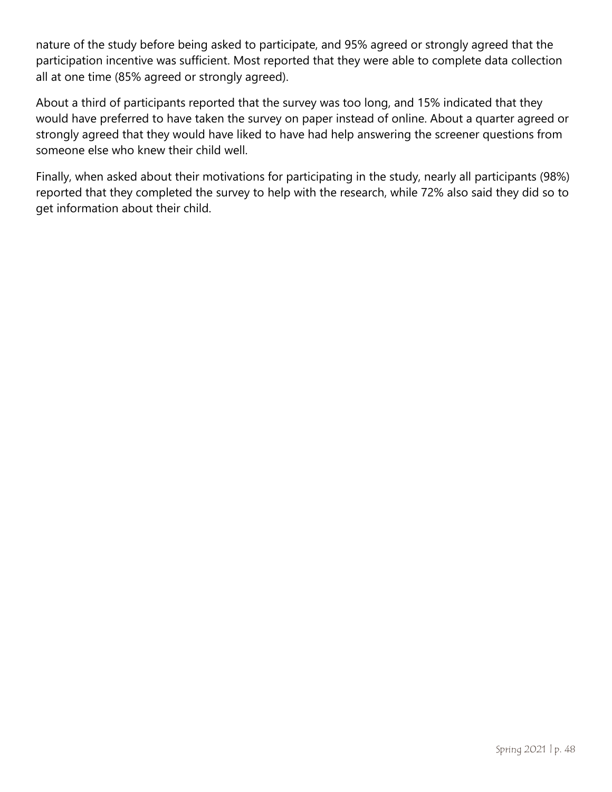nature of the study before being asked to participate, and 95% agreed or strongly agreed that the participation incentive was sufficient. Most reported that they were able to complete data collection all at one time (85% agreed or strongly agreed).

About a third of participants reported that the survey was too long, and 15% indicated that they would have preferred to have taken the survey on paper instead of online. About a quarter agreed or strongly agreed that they would have liked to have had help answering the screener questions from someone else who knew their child well.

Finally, when asked about their motivations for participating in the study, nearly all participants (98%) reported that they completed the survey to help with the research, while 72% also said they did so to get information about their child.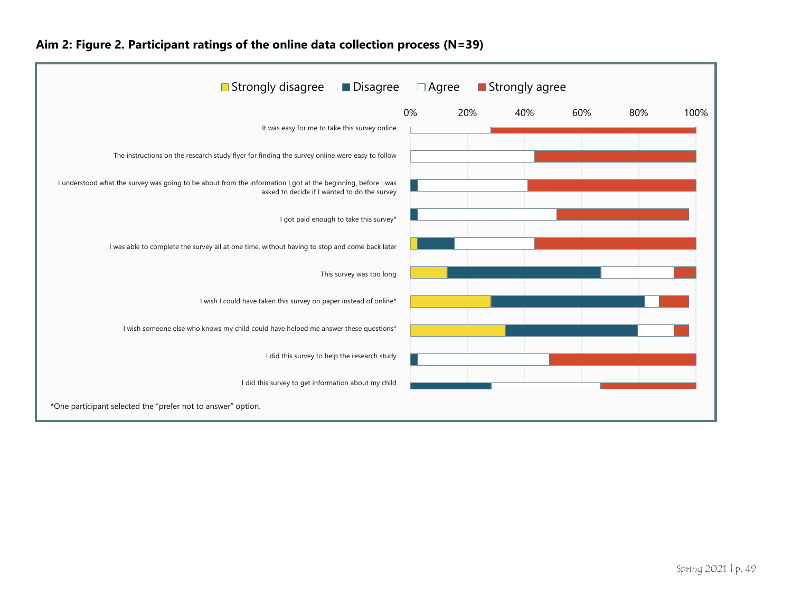<span id="page-48-0"></span>

#### **Aim 2: Figure 2. Participant ratings of the online data collection process (N=39)**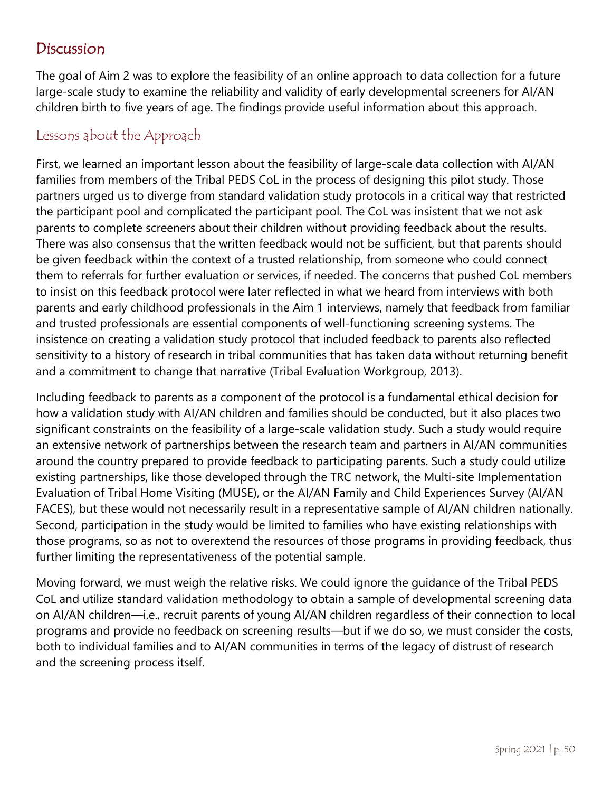# Discussion

The goal of Aim 2 was to explore the feasibility of an online approach to data collection for a future large-scale study to examine the reliability and validity of early developmental screeners for AI/AN children birth to five years of age. The findings provide useful information about this approach.

#### Lessons about the Approach

First, we learned an important lesson about the feasibility of large-scale data collection with AI/AN families from members of the Tribal PEDS CoL in the process of designing this pilot study. Those partners urged us to diverge from standard validation study protocols in a critical way that restricted the participant pool and complicated the participant pool. The CoL was insistent that we not ask parents to complete screeners about their children without providing feedback about the results. There was also consensus that the written feedback would not be sufficient, but that parents should be given feedback within the context of a trusted relationship, from someone who could connect them to referrals for further evaluation or services, if needed. The concerns that pushed CoL members to insist on this feedback protocol were later reflected in what we heard from interviews with both parents and early childhood professionals in the Aim 1 interviews, namely that feedback from familiar and trusted professionals are essential components of well-functioning screening systems. The insistence on creating a validation study protocol that included feedback to parents also reflected sensitivity to a history of research in tribal communities that has taken data without returning benefit and a commitment to change that narrative (Tribal Evaluation Workgroup, 2013).

Including feedback to parents as a component of the protocol is a fundamental ethical decision for how a validation study with AI/AN children and families should be conducted, but it also places two significant constraints on the feasibility of a large-scale validation study. Such a study would require an extensive network of partnerships between the research team and partners in AI/AN communities around the country prepared to provide feedback to participating parents. Such a study could utilize existing partnerships, like those developed through the TRC network, the Multi-site Implementation Evaluation of Tribal Home Visiting (MUSE), or the AI/AN Family and Child Experiences Survey (AI/AN FACES), but these would not necessarily result in a representative sample of AI/AN children nationally. Second, participation in the study would be limited to families who have existing relationships with those programs, so as not to overextend the resources of those programs in providing feedback, thus further limiting the representativeness of the potential sample.

Moving forward, we must weigh the relative risks. We could ignore the guidance of the Tribal PEDS CoL and utilize standard validation methodology to obtain a sample of developmental screening data on AI/AN children—i.e., recruit parents of young AI/AN children regardless of their connection to local programs and provide no feedback on screening results—but if we do so, we must consider the costs, both to individual families and to AI/AN communities in terms of the legacy of distrust of research and the screening process itself.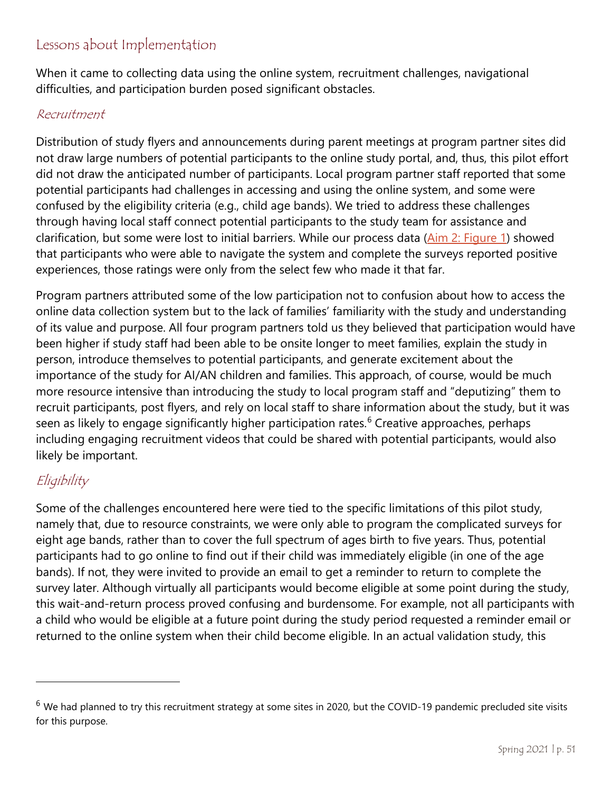### Lessons about Implementation

When it came to collecting data using the online system, recruitment challenges, navigational difficulties, and participation burden posed significant obstacles.

#### Recruitment

Distribution of study flyers and announcements during parent meetings at program partner sites did not draw large numbers of potential participants to the online study portal, and, thus, this pilot effort did not draw the anticipated number of participants. Local program partner staff reported that some potential participants had challenges in accessing and using the online system, and some were confused by the eligibility criteria (e.g., child age bands). We tried to address these challenges through having local staff connect potential participants to the study team for assistance and clarification, but some were lost to initial barriers. While our process data [\(Aim 2: Figure](#page-44-0) 1) showed that participants who were able to navigate the system and complete the surveys reported positive experiences, those ratings were only from the select few who made it that far.

Program partners attributed some of the low participation not to confusion about how to access the online data collection system but to the lack of families' familiarity with the study and understanding of its value and purpose. All four program partners told us they believed that participation would have been higher if study staff had been able to be onsite longer to meet families, explain the study in person, introduce themselves to potential participants, and generate excitement about the importance of the study for AI/AN children and families. This approach, of course, would be much more resource intensive than introducing the study to local program staff and "deputizing" them to recruit participants, post flyers, and rely on local staff to share information about the study, but it was seen as likely to engage significantly higher participation rates.<sup>[6](#page-51-0)</sup> Creative approaches, perhaps including engaging recruitment videos that could be shared with potential participants, would also likely be important.

## Eligibility

 $\overline{a}$ 

Some of the challenges encountered here were tied to the specific limitations of this pilot study, namely that, due to resource constraints, we were only able to program the complicated surveys for eight age bands, rather than to cover the full spectrum of ages birth to five years. Thus, potential participants had to go online to find out if their child was immediately eligible (in one of the age bands). If not, they were invited to provide an email to get a reminder to return to complete the survey later. Although virtually all participants would become eligible at some point during the study, this wait-and-return process proved confusing and burdensome. For example, not all participants with a child who would be eligible at a future point during the study period requested a reminder email or returned to the online system when their child become eligible. In an actual validation study, this

 $6$  We had planned to try this recruitment strategy at some sites in 2020, but the COVID-19 pandemic precluded site visits for this purpose.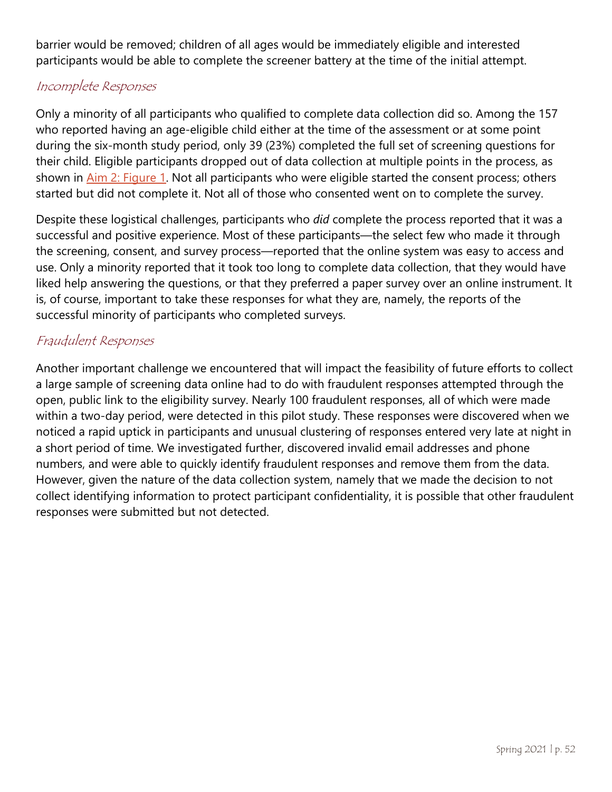barrier would be removed; children of all ages would be immediately eligible and interested participants would be able to complete the screener battery at the time of the initial attempt.

#### Incomplete Responses

Only a minority of all participants who qualified to complete data collection did so. Among the 157 who reported having an age-eligible child either at the time of the assessment or at some point during the six-month study period, only 39 (23%) completed the full set of screening questions for their child. Eligible participants dropped out of data collection at multiple points in the process, as shown in [Aim 2: Figure 1.](#page-44-0) Not all participants who were eligible started the consent process; others started but did not complete it. Not all of those who consented went on to complete the survey.

Despite these logistical challenges, participants who *did* complete the process reported that it was a successful and positive experience. Most of these participants—the select few who made it through the screening, consent, and survey process—reported that the online system was easy to access and use. Only a minority reported that it took too long to complete data collection, that they would have liked help answering the questions, or that they preferred a paper survey over an online instrument. It is, of course, important to take these responses for what they are, namely, the reports of the successful minority of participants who completed surveys.

#### Fraudulent Responses

<span id="page-51-0"></span>Another important challenge we encountered that will impact the feasibility of future efforts to collect a large sample of screening data online had to do with fraudulent responses attempted through the open, public link to the eligibility survey. Nearly 100 fraudulent responses, all of which were made within a two-day period, were detected in this pilot study. These responses were discovered when we noticed a rapid uptick in participants and unusual clustering of responses entered very late at night in a short period of time. We investigated further, discovered invalid email addresses and phone numbers, and were able to quickly identify fraudulent responses and remove them from the data. However, given the nature of the data collection system, namely that we made the decision to not collect identifying information to protect participant confidentiality, it is possible that other fraudulent responses were submitted but not detected.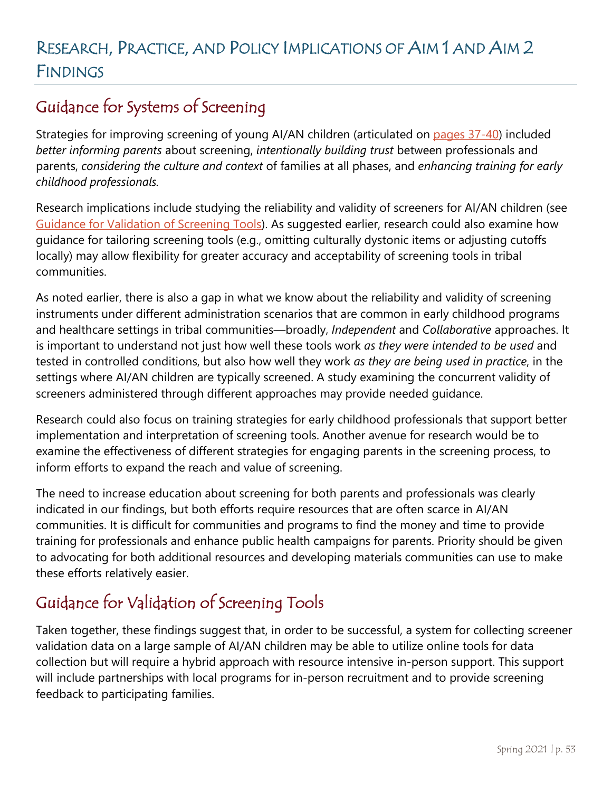# RESEARCH, PRACTICE, AND POLICY IMPLICATIONS OF AIM 1 AND AIM 2 FINDINGS

# Guidance for Systems of Screening

Strategies for improving screening of young AI/AN children (articulated on [pages 37-40\)](#page-35-0) included *better informing parents* about screening, *intentionally building trust* between professionals and parents, *considering the culture and context* of families at all phases, and *enhancing training for early childhood professionals.* 

Research implications include studying the reliability and validity of screeners for AI/AN children (see [Guidance for Validation of Screening Tools\)](#page-52-0). As suggested earlier, research could also examine how guidance for tailoring screening tools (e.g., omitting culturally dystonic items or adjusting cutoffs locally) may allow flexibility for greater accuracy and acceptability of screening tools in tribal communities.

As noted earlier, there is also a gap in what we know about the reliability and validity of screening instruments under different administration scenarios that are common in early childhood programs and healthcare settings in tribal communities—broadly, *Independent* and *Collaborative* approaches. It is important to understand not just how well these tools work *as they were intended to be used* and tested in controlled conditions, but also how well they work *as they are being used in practice*, in the settings where AI/AN children are typically screened. A study examining the concurrent validity of screeners administered through different approaches may provide needed guidance.

Research could also focus on training strategies for early childhood professionals that support better implementation and interpretation of screening tools. Another avenue for research would be to examine the effectiveness of different strategies for engaging parents in the screening process, to inform efforts to expand the reach and value of screening.

The need to increase education about screening for both parents and professionals was clearly indicated in our findings, but both efforts require resources that are often scarce in AI/AN communities. It is difficult for communities and programs to find the money and time to provide training for professionals and enhance public health campaigns for parents. Priority should be given to advocating for both additional resources and developing materials communities can use to make these efforts relatively easier.

# <span id="page-52-0"></span>Guidance for Validation of Screening Tools

Taken together, these findings suggest that, in order to be successful, a system for collecting screener validation data on a large sample of AI/AN children may be able to utilize online tools for data collection but will require a hybrid approach with resource intensive in-person support. This support will include partnerships with local programs for in-person recruitment and to provide screening feedback to participating families.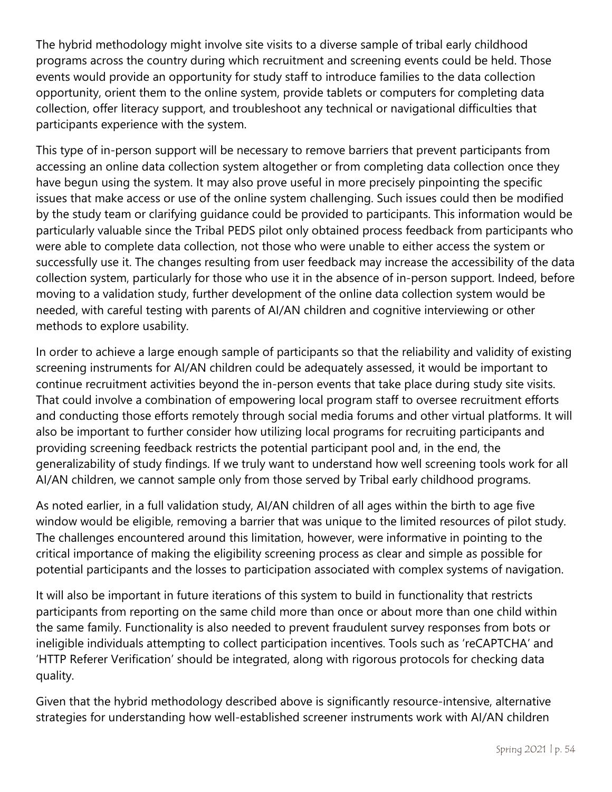The hybrid methodology might involve site visits to a diverse sample of tribal early childhood programs across the country during which recruitment and screening events could be held. Those events would provide an opportunity for study staff to introduce families to the data collection opportunity, orient them to the online system, provide tablets or computers for completing data collection, offer literacy support, and troubleshoot any technical or navigational difficulties that participants experience with the system.

This type of in-person support will be necessary to remove barriers that prevent participants from accessing an online data collection system altogether or from completing data collection once they have begun using the system. It may also prove useful in more precisely pinpointing the specific issues that make access or use of the online system challenging. Such issues could then be modified by the study team or clarifying guidance could be provided to participants. This information would be particularly valuable since the Tribal PEDS pilot only obtained process feedback from participants who were able to complete data collection, not those who were unable to either access the system or successfully use it. The changes resulting from user feedback may increase the accessibility of the data collection system, particularly for those who use it in the absence of in-person support. Indeed, before moving to a validation study, further development of the online data collection system would be needed, with careful testing with parents of AI/AN children and cognitive interviewing or other methods to explore usability.

In order to achieve a large enough sample of participants so that the reliability and validity of existing screening instruments for AI/AN children could be adequately assessed, it would be important to continue recruitment activities beyond the in-person events that take place during study site visits. That could involve a combination of empowering local program staff to oversee recruitment efforts and conducting those efforts remotely through social media forums and other virtual platforms. It will also be important to further consider how utilizing local programs for recruiting participants and providing screening feedback restricts the potential participant pool and, in the end, the generalizability of study findings. If we truly want to understand how well screening tools work for all AI/AN children, we cannot sample only from those served by Tribal early childhood programs.

As noted earlier, in a full validation study, AI/AN children of all ages within the birth to age five window would be eligible, removing a barrier that was unique to the limited resources of pilot study. The challenges encountered around this limitation, however, were informative in pointing to the critical importance of making the eligibility screening process as clear and simple as possible for potential participants and the losses to participation associated with complex systems of navigation.

It will also be important in future iterations of this system to build in functionality that restricts participants from reporting on the same child more than once or about more than one child within the same family. Functionality is also needed to prevent fraudulent survey responses from bots or ineligible individuals attempting to collect participation incentives. Tools such as 'reCAPTCHA' and 'HTTP Referer Verification' should be integrated, along with rigorous protocols for checking data quality.

Given that the hybrid methodology described above is significantly resource-intensive, alternative strategies for understanding how well-established screener instruments work with AI/AN children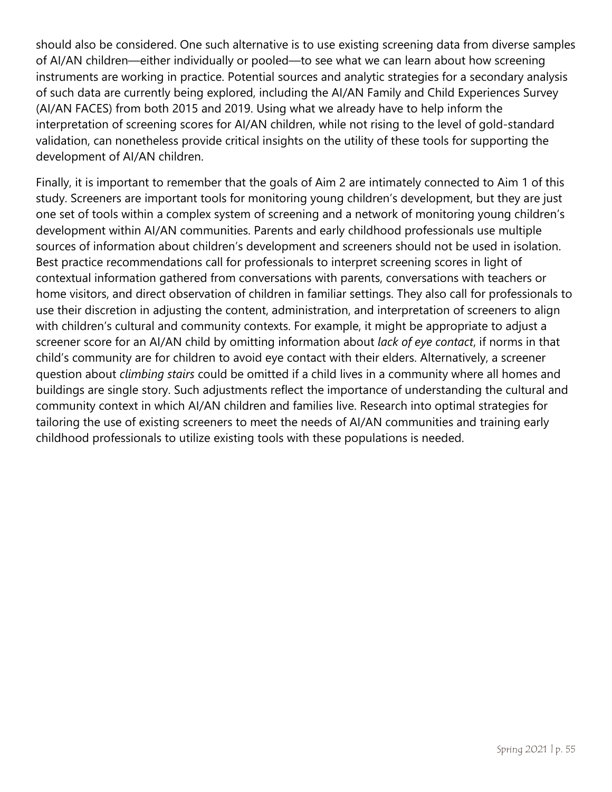should also be considered. One such alternative is to use existing screening data from diverse samples of AI/AN children—either individually or pooled—to see what we can learn about how screening instruments are working in practice. Potential sources and analytic strategies for a secondary analysis of such data are currently being explored, including the AI/AN Family and Child Experiences Survey (AI/AN FACES) from both 2015 and 2019. Using what we already have to help inform the interpretation of screening scores for AI/AN children, while not rising to the level of gold-standard validation, can nonetheless provide critical insights on the utility of these tools for supporting the development of AI/AN children.

Finally, it is important to remember that the goals of Aim 2 are intimately connected to Aim 1 of this study. Screeners are important tools for monitoring young children's development, but they are just one set of tools within a complex system of screening and a network of monitoring young children's development within AI/AN communities. Parents and early childhood professionals use multiple sources of information about children's development and screeners should not be used in isolation. Best practice recommendations call for professionals to interpret screening scores in light of contextual information gathered from conversations with parents, conversations with teachers or home visitors, and direct observation of children in familiar settings. They also call for professionals to use their discretion in adjusting the content, administration, and interpretation of screeners to align with children's cultural and community contexts. For example, it might be appropriate to adjust a screener score for an AI/AN child by omitting information about *lack of eye contact*, if norms in that child's community are for children to avoid eye contact with their elders. Alternatively, a screener question about *climbing stairs* could be omitted if a child lives in a community where all homes and buildings are single story. Such adjustments reflect the importance of understanding the cultural and community context in which AI/AN children and families live. Research into optimal strategies for tailoring the use of existing screeners to meet the needs of AI/AN communities and training early childhood professionals to utilize existing tools with these populations is needed.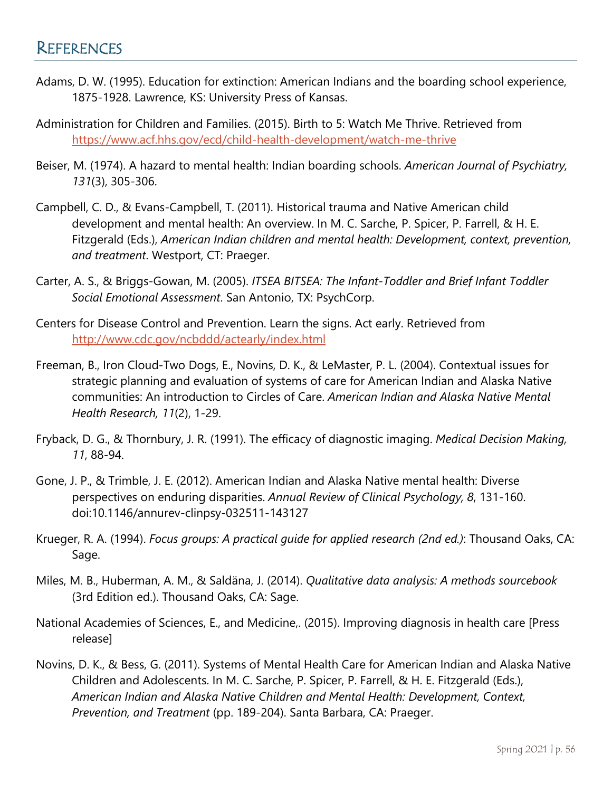### **REFERENCES**

- Adams, D. W. (1995). Education for extinction: American Indians and the boarding school experience, 1875-1928. Lawrence, KS: University Press of Kansas.
- Administration for Children and Families. (2015). Birth to 5: Watch Me Thrive. Retrieved from <https://www.acf.hhs.gov/ecd/child-health-development/watch-me-thrive>
- Beiser, M. (1974). A hazard to mental health: Indian boarding schools. *American Journal of Psychiatry, 131*(3), 305-306.
- Campbell, C. D., & Evans-Campbell, T. (2011). Historical trauma and Native American child development and mental health: An overview. In M. C. Sarche, P. Spicer, P. Farrell, & H. E. Fitzgerald (Eds.), *American Indian children and mental health: Development, context, prevention, and treatment*. Westport, CT: Praeger.
- Carter, A. S., & Briggs-Gowan, M. (2005). *ITSEA BITSEA: The Infant-Toddler and Brief Infant Toddler Social Emotional Assessment*. San Antonio, TX: PsychCorp.
- Centers for Disease Control and Prevention. Learn the signs. Act early. Retrieved from <http://www.cdc.gov/ncbddd/actearly/index.html>
- Freeman, B., Iron Cloud-Two Dogs, E., Novins, D. K., & LeMaster, P. L. (2004). Contextual issues for strategic planning and evaluation of systems of care for American Indian and Alaska Native communities: An introduction to Circles of Care. *American Indian and Alaska Native Mental Health Research, 11*(2), 1-29.
- Fryback, D. G., & Thornbury, J. R. (1991). The efficacy of diagnostic imaging. *Medical Decision Making, 11*, 88-94.
- Gone, J. P., & Trimble, J. E. (2012). American Indian and Alaska Native mental health: Diverse perspectives on enduring disparities. *Annual Review of Clinical Psychology, 8*, 131-160. doi:10.1146/annurev-clinpsy-032511-143127
- Krueger, R. A. (1994). *Focus groups: A practical guide for applied research (2nd ed.)*: Thousand Oaks, CA: Sage.
- Miles, M. B., Huberman, A. M., & Saldäna, J. (2014). *Qualitative data analysis: A methods sourcebook* (3rd Edition ed.). Thousand Oaks, CA: Sage.
- National Academies of Sciences, E., and Medicine,. (2015). Improving diagnosis in health care [Press release]
- Novins, D. K., & Bess, G. (2011). Systems of Mental Health Care for American Indian and Alaska Native Children and Adolescents. In M. C. Sarche, P. Spicer, P. Farrell, & H. E. Fitzgerald (Eds.), *American Indian and Alaska Native Children and Mental Health: Development, Context, Prevention, and Treatment* (pp. 189-204). Santa Barbara, CA: Praeger.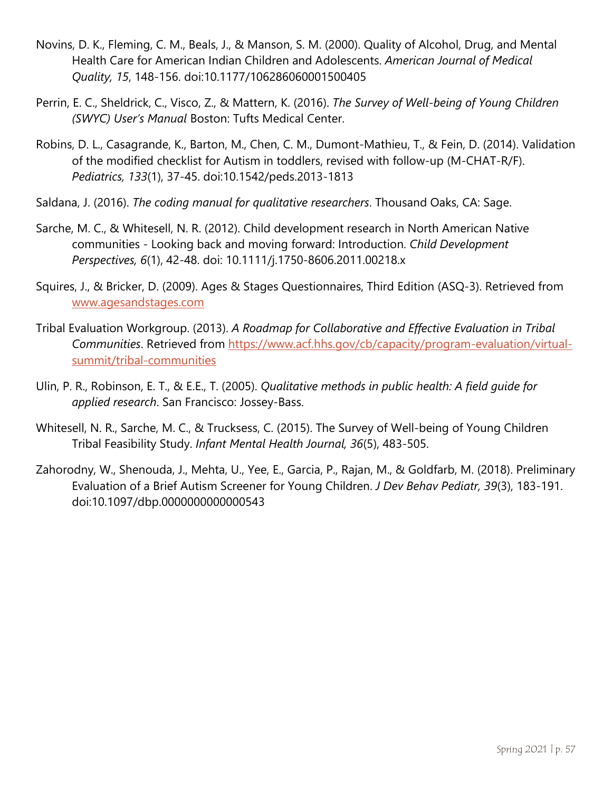- Novins, D. K., Fleming, C. M., Beals, J., & Manson, S. M. (2000). Quality of Alcohol, Drug, and Mental Health Care for American Indian Children and Adolescents. *American Journal of Medical Quality, 15*, 148-156. doi:10.1177/106286060001500405
- Perrin, E. C., Sheldrick, C., Visco, Z., & Mattern, K. (2016). *The Survey of Well-being of Young Children (SWYC) User's Manual* Boston: Tufts Medical Center.
- Robins, D. L., Casagrande, K., Barton, M., Chen, C. M., Dumont-Mathieu, T., & Fein, D. (2014). Validation of the modified checklist for Autism in toddlers, revised with follow-up (M-CHAT-R/F). *Pediatrics, 133*(1), 37-45. doi:10.1542/peds.2013-1813
- Saldana, J. (2016). *The coding manual for qualitative researchers*. Thousand Oaks, CA: Sage.
- Sarche, M. C., & Whitesell, N. R. (2012). Child development research in North American Native communities - Looking back and moving forward: Introduction. *Child Development Perspectives, 6*(1), 42-48. doi: 10.1111/j.1750-8606.2011.00218.x
- Squires, J., & Bricker, D. (2009). Ages & Stages Questionnaires, Third Edition (ASQ-3). Retrieved from [www.agesandstages.com](https://agesandstages.com/)
- Tribal Evaluation Workgroup. (2013). *A Roadmap for Collaborative and Effective Evaluation in Tribal Communities*. Retrieved from [https://www.acf.hhs.gov/cb/capacity/program-evaluation/virtual](https://www.acf.hhs.gov/cb/capacity/program-evaluation/virtual-summit/tribal-communities)[summit/tribal-communities](https://www.acf.hhs.gov/cb/capacity/program-evaluation/virtual-summit/tribal-communities)
- Ulin, P. R., Robinson, E. T., & E.E., T. (2005). *Qualitative methods in public health: A field guide for applied research*. San Francisco: Jossey-Bass.
- Whitesell, N. R., Sarche, M. C., & Trucksess, C. (2015). The Survey of Well-being of Young Children Tribal Feasibility Study. *Infant Mental Health Journal, 36*(5), 483-505.
- Zahorodny, W., Shenouda, J., Mehta, U., Yee, E., Garcia, P., Rajan, M., & Goldfarb, M. (2018). Preliminary Evaluation of a Brief Autism Screener for Young Children. *J Dev Behav Pediatr, 39*(3), 183-191. doi:10.1097/dbp.0000000000000543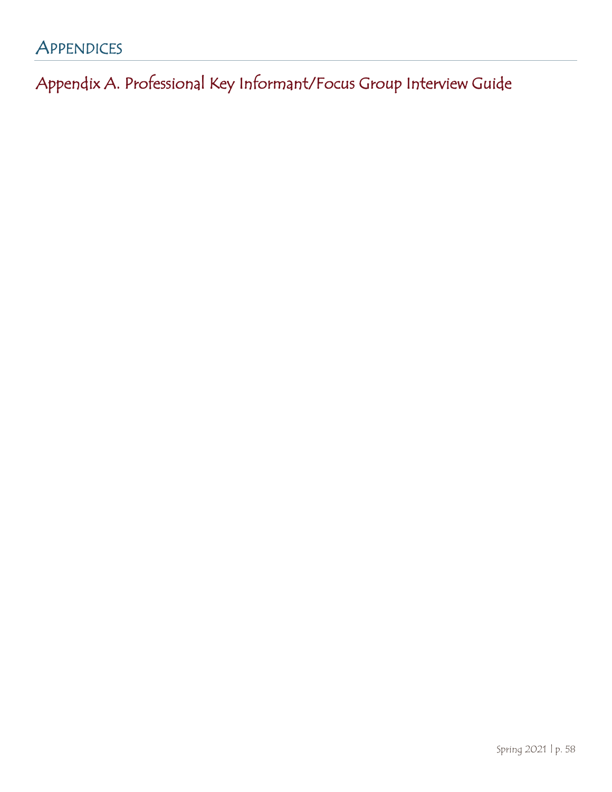# **APPENDICES**

Appendix A. Professional Key Informant/Focus Group Interview Guide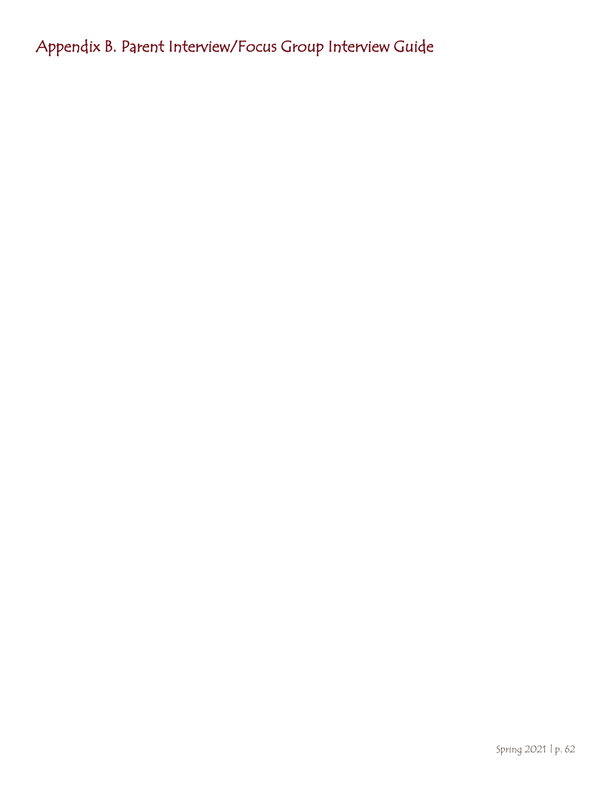Appendix B. Parent Interview/Focus Group Interview Guide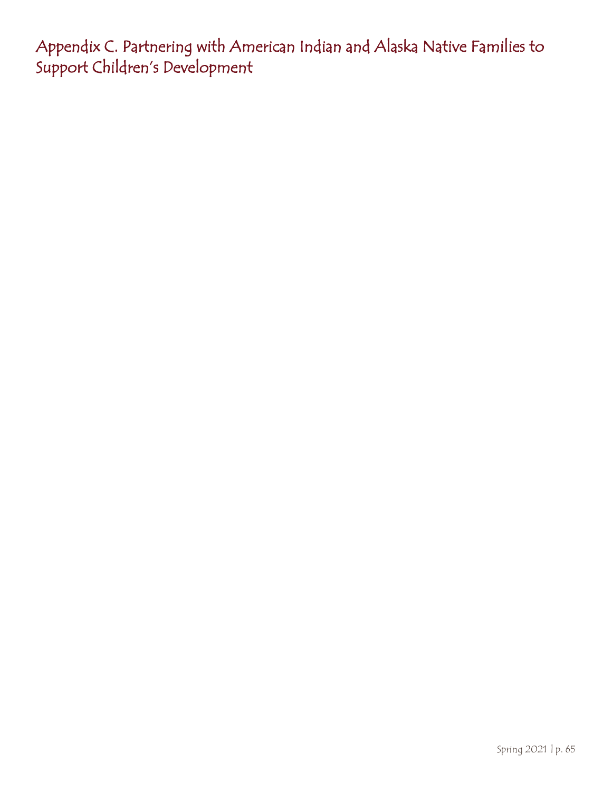<span id="page-64-0"></span>Appendix C. Partnering with American Indian and Alaska Native Families to Support Children's Development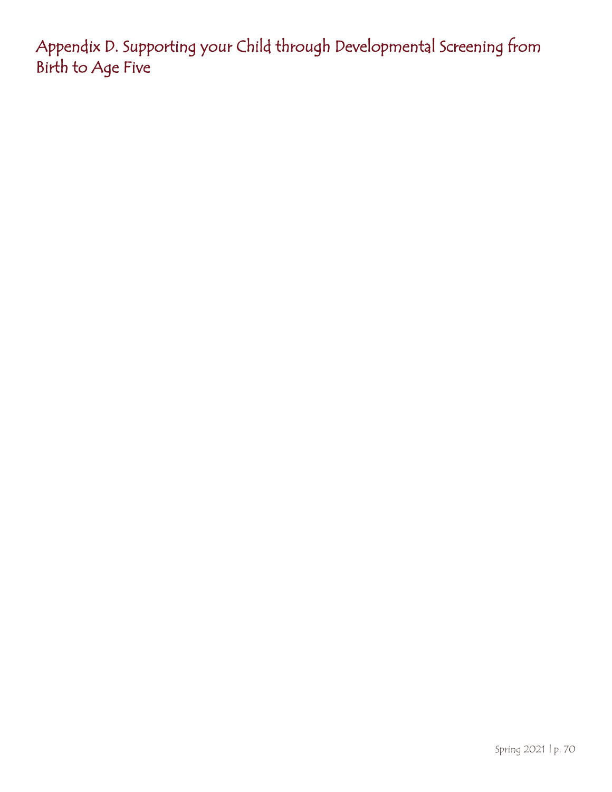<span id="page-69-0"></span>Appendix D. Supporting your Child through Developmental Screening from Birth to Age Five